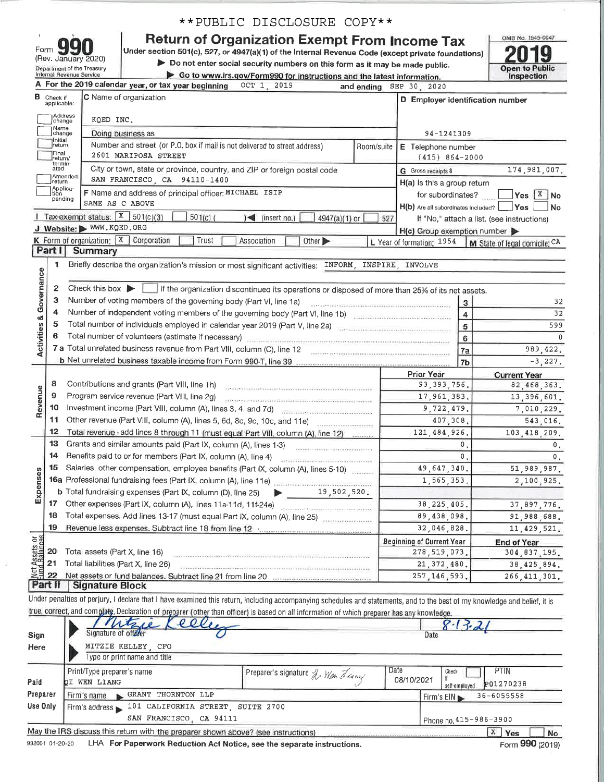## \*\*PUBLIC DISCLOSURE COPY\*\*

| Form<br>(Rev. January 2020)                          |  |
|------------------------------------------------------|--|
| Department of the Treasury<br>ternal Revenue Service |  |

 $A$  Equation 00:10 polar

**Return of Organization Exempt From Income Tax** 

Under section 501(c), 527, or 4947(a)(1) of the Internal Revenue Code (except private foundations)

Do not enter social security numbers on this form as it may be made public. ▶ Go to www.irs.gov/Form990 for instructions and the latest information.



|                                    |                                  | A For the 2019 calendar year, or tax year beginning<br>OCT T<br>3019                                                                                                                                                                                                                                                                                                                                                                                                                                                                                                                                | and ending         | SEP 30, 2020                                   |                                            |  |  |  |  |  |  |  |  |  |  |
|------------------------------------|----------------------------------|-----------------------------------------------------------------------------------------------------------------------------------------------------------------------------------------------------------------------------------------------------------------------------------------------------------------------------------------------------------------------------------------------------------------------------------------------------------------------------------------------------------------------------------------------------------------------------------------------------|--------------------|------------------------------------------------|--------------------------------------------|--|--|--|--|--|--|--|--|--|--|
|                                    | <b>B</b> Check if<br>applicable: | C Name of organization                                                                                                                                                                                                                                                                                                                                                                                                                                                                                                                                                                              |                    | D Employer identification number               |                                            |  |  |  |  |  |  |  |  |  |  |
|                                    | Address<br>change                | KQED INC.                                                                                                                                                                                                                                                                                                                                                                                                                                                                                                                                                                                           |                    |                                                |                                            |  |  |  |  |  |  |  |  |  |  |
|                                    | .<br>Name<br>Change              | Doing business as                                                                                                                                                                                                                                                                                                                                                                                                                                                                                                                                                                                   | 94-1241309         |                                                |                                            |  |  |  |  |  |  |  |  |  |  |
|                                    | Initial<br>return                | Number and street (or P.O. box if mail is not delivered to street address)                                                                                                                                                                                                                                                                                                                                                                                                                                                                                                                          | E Telephone number |                                                |                                            |  |  |  |  |  |  |  |  |  |  |
|                                    | Final<br>return/                 | 2601 MARIPOSA STREET                                                                                                                                                                                                                                                                                                                                                                                                                                                                                                                                                                                | $(415) 864 - 2000$ |                                                |                                            |  |  |  |  |  |  |  |  |  |  |
|                                    | termin-<br>ated                  | City or town, state or province, country, and ZIP or foreign postal code<br>174,981,007.<br>G Gross receipts \$                                                                                                                                                                                                                                                                                                                                                                                                                                                                                     |                    |                                                |                                            |  |  |  |  |  |  |  |  |  |  |
|                                    | Amended<br>return                | SAN FRANCISCO CA 94110-1400<br>H(a) is this a group return                                                                                                                                                                                                                                                                                                                                                                                                                                                                                                                                          |                    |                                                |                                            |  |  |  |  |  |  |  |  |  |  |
|                                    | Applica-<br>tion                 | F Name and address of principal officer: MICHAEL ISIP<br>$Yes$ X No<br>for subordinates?                                                                                                                                                                                                                                                                                                                                                                                                                                                                                                            |                    |                                                |                                            |  |  |  |  |  |  |  |  |  |  |
|                                    | pending                          | SAME AS C ABOVE                                                                                                                                                                                                                                                                                                                                                                                                                                                                                                                                                                                     |                    | H(b) Are all subordinates included?            | Yes <br><b>No</b>                          |  |  |  |  |  |  |  |  |  |  |
|                                    |                                  | <b>I</b> Tax-exempt status: $X$ 501(c)(3)<br>$501(c)$ (<br>$\sqrt{ }$ (insert no.)<br>4947(a)(1) or                                                                                                                                                                                                                                                                                                                                                                                                                                                                                                 | 527                |                                                | If "No," attach a list. (see instructions) |  |  |  |  |  |  |  |  |  |  |
|                                    |                                  | J Website: WWW.KQED.ORG                                                                                                                                                                                                                                                                                                                                                                                                                                                                                                                                                                             |                    | $H(c)$ Group exemption number $\triangleright$ |                                            |  |  |  |  |  |  |  |  |  |  |
|                                    |                                  | K Form of organization: $X$ Corporation<br>Trust<br>Association<br>Other D                                                                                                                                                                                                                                                                                                                                                                                                                                                                                                                          |                    | L Year of formation: 1954                      | M State of legal domicile: CA              |  |  |  |  |  |  |  |  |  |  |
|                                    | Part I                           | Summary                                                                                                                                                                                                                                                                                                                                                                                                                                                                                                                                                                                             |                    |                                                |                                            |  |  |  |  |  |  |  |  |  |  |
|                                    | $\mathbf{1}$                     | Briefly describe the organization's mission or most significant activities: INFORM, INSPIRE,                                                                                                                                                                                                                                                                                                                                                                                                                                                                                                        |                    | <b>INVOLVE</b>                                 |                                            |  |  |  |  |  |  |  |  |  |  |
|                                    |                                  |                                                                                                                                                                                                                                                                                                                                                                                                                                                                                                                                                                                                     |                    |                                                |                                            |  |  |  |  |  |  |  |  |  |  |
| <b>Activities &amp; Governance</b> | $\mathbf{2}$                     | Check this box $\blacktriangleright$<br>If the organization discontinued its operations or disposed of more than 25% of its net assets.                                                                                                                                                                                                                                                                                                                                                                                                                                                             |                    |                                                |                                            |  |  |  |  |  |  |  |  |  |  |
|                                    | 3                                | Number of voting members of the governing body (Part VI, line 1a)                                                                                                                                                                                                                                                                                                                                                                                                                                                                                                                                   |                    | $\cdots$<br>3                                  | 32                                         |  |  |  |  |  |  |  |  |  |  |
|                                    | $\overline{\bf{4}}$              | Number of independent voting members of the governing body (Part VI, line 1b)                                                                                                                                                                                                                                                                                                                                                                                                                                                                                                                       |                    | $\overline{4}$                                 | 32                                         |  |  |  |  |  |  |  |  |  |  |
|                                    | 5                                | Total number of individuals employed in calendar year 2019 (Part V, line 2a)                                                                                                                                                                                                                                                                                                                                                                                                                                                                                                                        |                    | $\overline{\mathbf{5}}$                        | 599                                        |  |  |  |  |  |  |  |  |  |  |
|                                    | 6                                | Total number of volunteers (estimate if necessary) manufacture contracts continued according to the                                                                                                                                                                                                                                                                                                                                                                                                                                                                                                 |                    | 6                                              | $\Omega$                                   |  |  |  |  |  |  |  |  |  |  |
|                                    |                                  | 7 a Total unrelated business revenue from Part VIII, column (C), line 12                                                                                                                                                                                                                                                                                                                                                                                                                                                                                                                            |                    | 7a                                             | 989,422.                                   |  |  |  |  |  |  |  |  |  |  |
|                                    |                                  | b Net unrelated business taxable income from Form 990-T, line 39 [10] [10] Net unrelated business research                                                                                                                                                                                                                                                                                                                                                                                                                                                                                          |                    | 7 <sub>b</sub>                                 | $-3,227.$                                  |  |  |  |  |  |  |  |  |  |  |
|                                    |                                  |                                                                                                                                                                                                                                                                                                                                                                                                                                                                                                                                                                                                     |                    | <b>Prior Year</b>                              | <b>Current Year</b>                        |  |  |  |  |  |  |  |  |  |  |
|                                    | 8                                | Contributions and grants (Part VIII, line 1h)<br>$\label{eq:3.1} \begin{minipage}{0.9\textwidth} \begin{minipage}{0.9\textwidth} \centering \begin{minipage}{0.9\textwidth} \centering \end{minipage} \begin{minipage}{0.9\textwidth} \centering \begin{minipage}{0.9\textwidth} \centering \end{minipage} \begin{minipage}{0.9\textwidth} \centering \end{minipage} \begin{minipage}{0.9\textwidth} \centering \end{minipage} \begin{minipage}{0.9\textwidth} \centering \end{minipage} \begin{minipage}{0.9\textwidth} \centering \end{minipage} \begin{minipage}{0.9\textwidth} \centering \end$ |                    | 93, 393, 756,                                  | 82,468,363.                                |  |  |  |  |  |  |  |  |  |  |
| Revenue                            | 9                                | Program service revenue (Part VIII, line 2g)                                                                                                                                                                                                                                                                                                                                                                                                                                                                                                                                                        |                    | 17,961,383.                                    | 13,396,601.                                |  |  |  |  |  |  |  |  |  |  |
|                                    | 10                               | Investment income (Part VIII, column (A), lines 3, 4, and 7d)                                                                                                                                                                                                                                                                                                                                                                                                                                                                                                                                       |                    | 9,722,479.                                     | 7,010,229.                                 |  |  |  |  |  |  |  |  |  |  |
|                                    | 11                               | Other revenue (Part VIII, column (A), lines 5, 6d, 8c, 9c, 10c, and 11e)                                                                                                                                                                                                                                                                                                                                                                                                                                                                                                                            |                    | 407,308.                                       | 543,016.                                   |  |  |  |  |  |  |  |  |  |  |
|                                    | 12                               | Total revenue - add lines 8 through 11 (must equal Part VIII, column (A), line 12)                                                                                                                                                                                                                                                                                                                                                                                                                                                                                                                  |                    | 121, 484, 926.                                 | 103, 418, 209.                             |  |  |  |  |  |  |  |  |  |  |
|                                    | 13                               | Grants and similar amounts paid (Part IX, column (A), lines 1-3)                                                                                                                                                                                                                                                                                                                                                                                                                                                                                                                                    |                    | 0.                                             | 0.                                         |  |  |  |  |  |  |  |  |  |  |
|                                    | 14                               | Benefits paid to or for members (Part IX, column (A), line 4)<br>$\label{eq:11} \begin{split} \mathcal{L}^{(1)}(x) = \mathcal{L}^{(1)}(x) + \mathcal{L}^{(1)}(x) + \mathcal{L}^{(2)}(x) + \mathcal{L}^{(3)}(x) + \mathcal{L}^{(4)}(x) + \mathcal{L}^{(5)}(x) + \mathcal{L}^{(6)}(x) \end{split}$                                                                                                                                                                                                                                                                                                    |                    | $\mathbf{0}$ .                                 | 0.                                         |  |  |  |  |  |  |  |  |  |  |
|                                    | 15                               | Salaries, other compensation, employee benefits (Part IX, column (A), lines 5-10)                                                                                                                                                                                                                                                                                                                                                                                                                                                                                                                   |                    | 49,647,340.                                    | 51,989,987.                                |  |  |  |  |  |  |  |  |  |  |
| Expenses                           |                                  | 16a Professional fundraising fees (Part IX, column (A), line 11e)                                                                                                                                                                                                                                                                                                                                                                                                                                                                                                                                   |                    | 1,565,353.                                     | 2,100,925.                                 |  |  |  |  |  |  |  |  |  |  |
|                                    |                                  | <b>b</b> Total fundraising expenses (Part IX, column (D), line 25)<br>$\longrightarrow$ 19,502,520.                                                                                                                                                                                                                                                                                                                                                                                                                                                                                                 |                    |                                                |                                            |  |  |  |  |  |  |  |  |  |  |
|                                    | 17                               | Other expenses (Part IX, column (A), lines 11a-11d, 11f-24e)                                                                                                                                                                                                                                                                                                                                                                                                                                                                                                                                        | 38, 225, 405.      | 37,897,776.                                    |                                            |  |  |  |  |  |  |  |  |  |  |
|                                    | 18                               | Total expenses. Add lines 13-17 (must equal Part IX, column (A), line 25)                                                                                                                                                                                                                                                                                                                                                                                                                                                                                                                           |                    | 89,438,098.                                    | 91,988,688.                                |  |  |  |  |  |  |  |  |  |  |
|                                    | 19                               |                                                                                                                                                                                                                                                                                                                                                                                                                                                                                                                                                                                                     |                    | 32,046,828.                                    | 11, 429, 521.                              |  |  |  |  |  |  |  |  |  |  |
| Net Assets or<br>Fund Ralances     |                                  |                                                                                                                                                                                                                                                                                                                                                                                                                                                                                                                                                                                                     |                    | <b>Beginning of Current Year</b>               | <b>End of Year</b>                         |  |  |  |  |  |  |  |  |  |  |
|                                    | 20                               | Total assets (Part X, line 16)                                                                                                                                                                                                                                                                                                                                                                                                                                                                                                                                                                      |                    | 278, 519, 073.                                 | 304, 837, 195.                             |  |  |  |  |  |  |  |  |  |  |
|                                    | 21                               | Total liabilities (Part X, line 26)                                                                                                                                                                                                                                                                                                                                                                                                                                                                                                                                                                 |                    | 21, 372, 480.                                  | 38,425,894.                                |  |  |  |  |  |  |  |  |  |  |
|                                    | 22                               | Net assets or fund balances. Subtract line 21 from line 20 minutes and contained the Net                                                                                                                                                                                                                                                                                                                                                                                                                                                                                                            |                    | 257.146.593.                                   | 266, 411, 301,                             |  |  |  |  |  |  |  |  |  |  |

**Part II Signature Block** 

Under penalties of perjury, I declare that I have examined this return, including accompanying schedules and statements, and to the best of my knowledge and belief, it is true, correct, and complety. Declaration of preparer (other than officer) is based on all information of which preparer has any knowledge.

| <b>Sign</b>     | Signature of officer Celley                                                       |                                                                    | Date                                           |
|-----------------|-----------------------------------------------------------------------------------|--------------------------------------------------------------------|------------------------------------------------|
| Here            | MITZIE KELLEY, CFO<br>Type or print name and title                                |                                                                    |                                                |
| Paid            | Print/Type preparer's name<br>Preparer's signature 2, Wen deansy<br>WEN LIANG     | Date<br>PTIN.<br>Check<br>08/10/2021<br>P01270238<br>self-employed |                                                |
| Preparer        | GRANT THORNTON LLP<br>Firm's name                                                 |                                                                    | 36-6055558<br>Firm's $EIN \blacktriangleright$ |
| Use Only        | 101 CALIFORNIA STREET, SUITE 2700<br>Firm's address                               |                                                                    |                                                |
|                 | SAN FRANCISCO, CA 94111                                                           |                                                                    | Phone no. 415-986-3900                         |
|                 | May the IRS discuss this return with the preparer shown above? (see instructions) |                                                                    | x  <br><b>Yes</b><br>No                        |
| 932001 01-20-20 | $HA$ For Daparwork Doduction Act Notion and the conquete instructions.            |                                                                    | $F = 000 \text{ m/s}$                          |

ork Reduction Act Notice, see the separate instructions.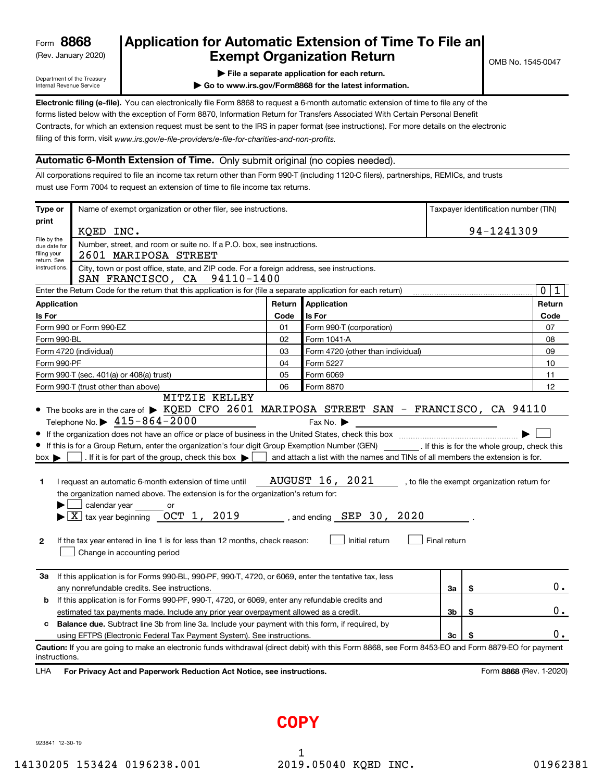# (Rev. January 2020) **Cxempt Organization Return** Manuary 2020) **Canadia Return 8868 Application for Automatic Extension of Time To File an**

Department of the Treasury Internal Revenue Service

**| File a separate application for each return.**

**| Go to www.irs.gov/Form8868 for the latest information.**

Electronic filing (e-file). You can electronically file Form 8868 to request a 6-month automatic extension of time to file any of the filing of this form, visit www.irs.gov/e-file-providers/e-file-for-charities-and-non-profits. forms listed below with the exception of Form 8870, Information Return for Transfers Associated With Certain Personal Benefit Contracts, for which an extension request must be sent to the IRS in paper format (see instructions). For more details on the electronic

### **Automatic 6-Month Extension of Time.** Only submit original (no copies needed).

All corporations required to file an income tax return other than Form 990-T (including 1120-C filers), partnerships, REMICs, and trusts must use Form 7004 to request an extension of time to file income tax returns.

| Type or                                                                                                                                   | Name of exempt organization or other filer, see instructions.                                                                                                                                                                                                                                                                                                                       |            |                                                                                                                 |              |                                              |      |  |  |  |
|-------------------------------------------------------------------------------------------------------------------------------------------|-------------------------------------------------------------------------------------------------------------------------------------------------------------------------------------------------------------------------------------------------------------------------------------------------------------------------------------------------------------------------------------|------------|-----------------------------------------------------------------------------------------------------------------|--------------|----------------------------------------------|------|--|--|--|
| print                                                                                                                                     | KQED INC.                                                                                                                                                                                                                                                                                                                                                                           | 94-1241309 |                                                                                                                 |              |                                              |      |  |  |  |
| File by the<br>due date for<br>filing your<br>return. See                                                                                 | Number, street, and room or suite no. If a P.O. box, see instructions.<br>2601 MARIPOSA STREET                                                                                                                                                                                                                                                                                      |            |                                                                                                                 |              |                                              |      |  |  |  |
| instructions.<br>City, town or post office, state, and ZIP code. For a foreign address, see instructions.<br>SAN FRANCISCO, CA 94110-1400 |                                                                                                                                                                                                                                                                                                                                                                                     |            |                                                                                                                 |              |                                              |      |  |  |  |
| Enter the Return Code for the return that this application is for (file a separate application for each return)                           |                                                                                                                                                                                                                                                                                                                                                                                     |            |                                                                                                                 |              |                                              |      |  |  |  |
| <b>Application</b><br>Return<br><b>Application</b>                                                                                        |                                                                                                                                                                                                                                                                                                                                                                                     |            |                                                                                                                 |              |                                              |      |  |  |  |
| Is For                                                                                                                                    |                                                                                                                                                                                                                                                                                                                                                                                     | Code       | Is For                                                                                                          |              |                                              | Code |  |  |  |
|                                                                                                                                           | Form 990 or Form 990-EZ                                                                                                                                                                                                                                                                                                                                                             | 01         | Form 990-T (corporation)                                                                                        |              |                                              | 07   |  |  |  |
| Form 990-BL                                                                                                                               |                                                                                                                                                                                                                                                                                                                                                                                     | 02         | Form 1041-A                                                                                                     |              |                                              | 08   |  |  |  |
|                                                                                                                                           | Form 4720 (individual)                                                                                                                                                                                                                                                                                                                                                              | 03         | Form 4720 (other than individual)                                                                               |              |                                              | 09   |  |  |  |
| Form 990-PF                                                                                                                               |                                                                                                                                                                                                                                                                                                                                                                                     | 04         | Form 5227                                                                                                       |              |                                              | 10   |  |  |  |
|                                                                                                                                           | Form 990-T (sec. 401(a) or 408(a) trust)                                                                                                                                                                                                                                                                                                                                            | 05         | Form 6069                                                                                                       |              |                                              | 11   |  |  |  |
|                                                                                                                                           | Form 990-T (trust other than above)                                                                                                                                                                                                                                                                                                                                                 | 06         | Form 8870                                                                                                       |              |                                              | 12   |  |  |  |
|                                                                                                                                           | MITZIE KELLEY<br>• The books are in the care of $\blacktriangleright$ KQED CFO 2601 MARIPOSA STREET SAN - FRANCISCO, CA 94110                                                                                                                                                                                                                                                       |            |                                                                                                                 |              |                                              |      |  |  |  |
| $box \blacktriangleright$                                                                                                                 | Telephone No. $\triangleright$ 415-864-2000<br>If this is for a Group Return, enter the organization's four digit Group Exemption Number (GEN) [If this is for the whole group, check this<br>. If it is for part of the group, check this box $\blacktriangleright$                                                                                                                |            | Fax No. $\blacktriangleright$<br>and attach a list with the names and TINs of all members the extension is for. |              |                                              |      |  |  |  |
| 1<br>2                                                                                                                                    | I request an automatic 6-month extension of time until<br>the organization named above. The extension is for the organization's return for:<br>calendar year ________ or<br>$\blacktriangleright$ $\boxed{\text{X}}$ tax year beginning $\boxed{\text{OCT 1}}$ , 2019<br>If the tax year entered in line 1 is for less than 12 months, check reason:<br>Change in accounting period |            | <b>AUGUST 16, 2021</b><br>, and ending $SEP$ 30, 2020<br>Initial return                                         | Final return | , to file the exempt organization return for |      |  |  |  |
| За                                                                                                                                        | If this application is for Forms 990-BL, 990-PF, 990-T, 4720, or 6069, enter the tentative tax, less<br>any nonrefundable credits. See instructions.                                                                                                                                                                                                                                |            |                                                                                                                 | За           | \$                                           | 0.   |  |  |  |
| b                                                                                                                                         | If this application is for Forms 990-PF, 990-T, 4720, or 6069, enter any refundable credits and                                                                                                                                                                                                                                                                                     |            |                                                                                                                 | 3b           | \$                                           | 0.   |  |  |  |
| estimated tax payments made. Include any prior year overpayment allowed as a credit.                                                      |                                                                                                                                                                                                                                                                                                                                                                                     |            |                                                                                                                 |              |                                              |      |  |  |  |
| <b>Balance due.</b> Subtract line 3b from line 3a. Include your payment with this form, if required, by<br>c<br>3c                        |                                                                                                                                                                                                                                                                                                                                                                                     |            |                                                                                                                 |              |                                              |      |  |  |  |
|                                                                                                                                           | using EFTPS (Electronic Federal Tax Payment System). See instructions.<br>Caution: If you are going to make an electronic funds withdrawal (direct debit) with this Form 8868, see Form 8453-EO and Form 8879-EO for payment                                                                                                                                                        |            |                                                                                                                 |              |                                              |      |  |  |  |
| instructions.                                                                                                                             |                                                                                                                                                                                                                                                                                                                                                                                     |            |                                                                                                                 |              |                                              |      |  |  |  |
| LHA                                                                                                                                       | For Privacy Act and Paperwork Reduction Act Notice, see instructions.                                                                                                                                                                                                                                                                                                               |            |                                                                                                                 |              | Form 8868 (Rev. 1-2020)                      |      |  |  |  |

**COPY**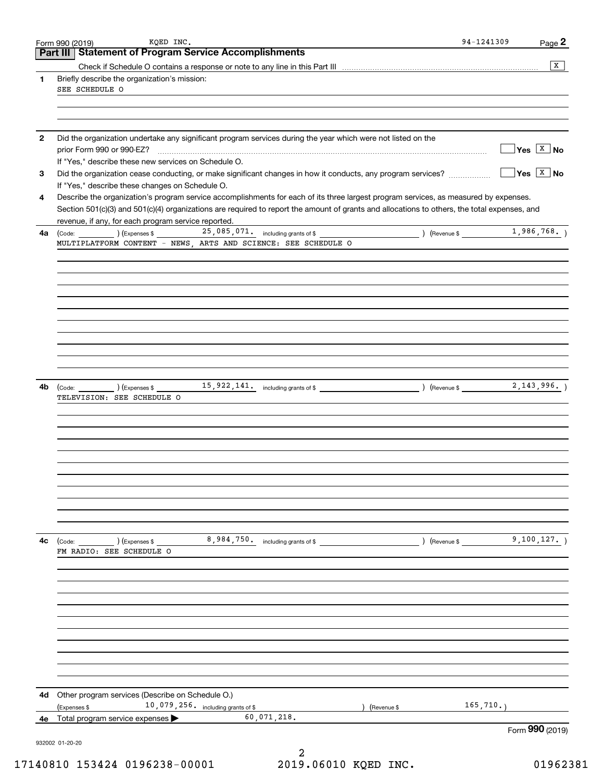|              | KQED INC.<br>Form 990 (2019)<br>Part III   Statement of Program Service Accomplishments                       |                                                                                                                                              | 94-1241309<br>Page 2          |
|--------------|---------------------------------------------------------------------------------------------------------------|----------------------------------------------------------------------------------------------------------------------------------------------|-------------------------------|
|              |                                                                                                               |                                                                                                                                              | X                             |
|              |                                                                                                               |                                                                                                                                              |                               |
| 1            | Briefly describe the organization's mission:<br>SEE SCHEDULE O                                                |                                                                                                                                              |                               |
|              |                                                                                                               |                                                                                                                                              |                               |
|              |                                                                                                               |                                                                                                                                              |                               |
|              |                                                                                                               |                                                                                                                                              |                               |
|              |                                                                                                               |                                                                                                                                              |                               |
| $\mathbf{2}$ |                                                                                                               | Did the organization undertake any significant program services during the year which were not listed on the                                 |                               |
|              | prior Form 990 or 990-EZ?                                                                                     |                                                                                                                                              | $\sqrt{Y}$ es $\sqrt{X}$ No   |
|              | If "Yes," describe these new services on Schedule O.                                                          |                                                                                                                                              |                               |
| 3            |                                                                                                               | Did the organization cease conducting, or make significant changes in how it conducts, any program services?                                 | $\sqrt{Y}$ es $\sqrt{X}$ No   |
|              | If "Yes," describe these changes on Schedule O.                                                               |                                                                                                                                              |                               |
| 4            |                                                                                                               | Describe the organization's program service accomplishments for each of its three largest program services, as measured by expenses.         |                               |
|              |                                                                                                               | Section 501(c)(3) and 501(c)(4) organizations are required to report the amount of grants and allocations to others, the total expenses, and |                               |
|              | revenue, if any, for each program service reported.                                                           |                                                                                                                                              |                               |
| 4a           |                                                                                                               | $\frac{1}{25,085,071.}$ including grants of \$                                                                                               | 1,986,768.<br>) (Revenue \$   |
|              |                                                                                                               | MULTIPLATFORM CONTENT - NEWS, ARTS AND SCIENCE: SEE SCHEDULE O                                                                               |                               |
|              |                                                                                                               |                                                                                                                                              |                               |
|              |                                                                                                               |                                                                                                                                              |                               |
|              |                                                                                                               |                                                                                                                                              |                               |
|              |                                                                                                               |                                                                                                                                              |                               |
|              |                                                                                                               |                                                                                                                                              |                               |
|              |                                                                                                               |                                                                                                                                              |                               |
|              |                                                                                                               |                                                                                                                                              |                               |
|              |                                                                                                               |                                                                                                                                              |                               |
|              |                                                                                                               |                                                                                                                                              |                               |
|              |                                                                                                               |                                                                                                                                              |                               |
|              |                                                                                                               |                                                                                                                                              |                               |
|              |                                                                                                               |                                                                                                                                              |                               |
| 4b           | ) (Expenses \$<br>(Code:                                                                                      | 15,922,141.<br>including grants of \$                                                                                                        | 2, 143, 996.<br>) (Revenue \$ |
|              | TELEVISION: SEE SCHEDULE O                                                                                    |                                                                                                                                              |                               |
|              |                                                                                                               |                                                                                                                                              |                               |
|              |                                                                                                               |                                                                                                                                              |                               |
|              |                                                                                                               |                                                                                                                                              |                               |
|              |                                                                                                               |                                                                                                                                              |                               |
|              |                                                                                                               |                                                                                                                                              |                               |
|              |                                                                                                               |                                                                                                                                              |                               |
|              |                                                                                                               |                                                                                                                                              |                               |
|              |                                                                                                               |                                                                                                                                              |                               |
|              |                                                                                                               |                                                                                                                                              |                               |
|              |                                                                                                               |                                                                                                                                              |                               |
|              |                                                                                                               |                                                                                                                                              |                               |
|              |                                                                                                               |                                                                                                                                              |                               |
|              |                                                                                                               |                                                                                                                                              |                               |
| 4c           |                                                                                                               |                                                                                                                                              |                               |
|              | (Code:<br>) (Expenses \$<br>FM RADIO: SEE SCHEDULE O                                                          |                                                                                                                                              | 9,100,127.<br>) (Revenue \$   |
|              |                                                                                                               |                                                                                                                                              |                               |
|              |                                                                                                               |                                                                                                                                              |                               |
|              |                                                                                                               |                                                                                                                                              |                               |
|              |                                                                                                               |                                                                                                                                              |                               |
|              |                                                                                                               |                                                                                                                                              |                               |
|              |                                                                                                               |                                                                                                                                              |                               |
|              |                                                                                                               |                                                                                                                                              |                               |
|              |                                                                                                               |                                                                                                                                              |                               |
|              |                                                                                                               |                                                                                                                                              |                               |
|              |                                                                                                               |                                                                                                                                              |                               |
|              |                                                                                                               |                                                                                                                                              |                               |
|              |                                                                                                               |                                                                                                                                              |                               |
|              |                                                                                                               |                                                                                                                                              |                               |
| 4d           | Other program services (Describe on Schedule O.)                                                              |                                                                                                                                              |                               |
|              | 10,079,256. including grants of \$<br>(Expenses \$<br>4e Total program service expenses $\blacktriangleright$ | (Revenue \$<br>60,071,218.                                                                                                                   | 165, 710.                     |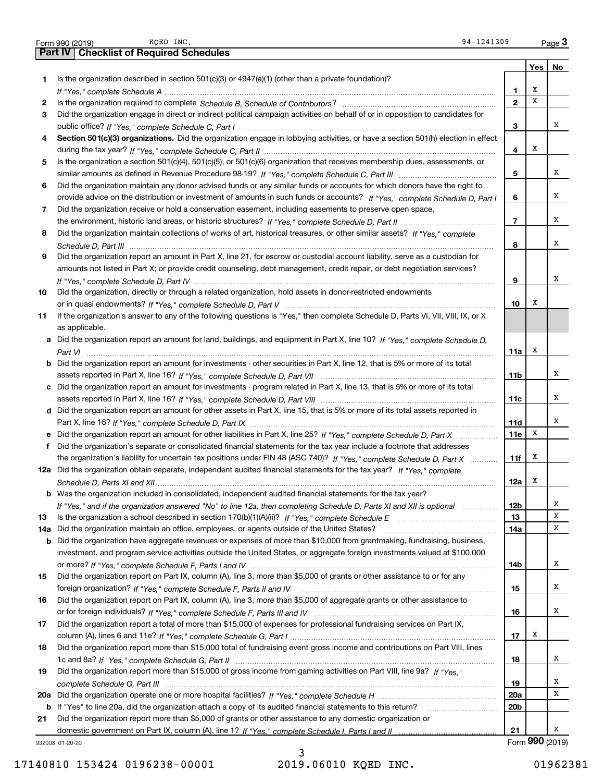|     | 94-1241309<br>KQED INC.<br>Form 990 (2019)                                                                                            |                 |             | $Page$ <sup>3</sup> |
|-----|---------------------------------------------------------------------------------------------------------------------------------------|-----------------|-------------|---------------------|
|     | <b>Part IV   Checklist of Required Schedules</b>                                                                                      |                 |             |                     |
|     |                                                                                                                                       |                 | Yes         | No                  |
| 1.  | Is the organization described in section $501(c)(3)$ or $4947(a)(1)$ (other than a private foundation)?                               |                 |             |                     |
|     |                                                                                                                                       | 1               | х           |                     |
| 2   |                                                                                                                                       | $\overline{2}$  | $\mathbf x$ |                     |
| З   | Did the organization engage in direct or indirect political campaign activities on behalf of or in opposition to candidates for       |                 |             |                     |
|     |                                                                                                                                       | 3               |             | x                   |
| 4   | Section 501(c)(3) organizations. Did the organization engage in lobbying activities, or have a section 501(h) election in effect      |                 |             |                     |
|     |                                                                                                                                       | 4               | x           |                     |
| 5   | Is the organization a section 501(c)(4), 501(c)(5), or 501(c)(6) organization that receives membership dues, assessments, or          |                 |             |                     |
|     |                                                                                                                                       | 5               |             | x                   |
| 6   | Did the organization maintain any donor advised funds or any similar funds or accounts for which donors have the right to             |                 |             |                     |
|     | provide advice on the distribution or investment of amounts in such funds or accounts? If "Yes," complete Schedule D, Part I          | 6               |             | х                   |
| 7   | Did the organization receive or hold a conservation easement, including easements to preserve open space,                             |                 |             |                     |
|     |                                                                                                                                       | $\overline{7}$  |             | х                   |
| 8   | Did the organization maintain collections of works of art, historical treasures, or other similar assets? If "Yes," complete          |                 |             |                     |
|     |                                                                                                                                       | 8               |             | х                   |
| 9   | Did the organization report an amount in Part X, line 21, for escrow or custodial account liability, serve as a custodian for         |                 |             |                     |
|     | amounts not listed in Part X; or provide credit counseling, debt management, credit repair, or debt negotiation services?             |                 |             |                     |
|     |                                                                                                                                       | 9               |             | х                   |
| 10  | Did the organization, directly or through a related organization, hold assets in donor-restricted endowments                          |                 |             |                     |
|     |                                                                                                                                       | 10              | X           |                     |
| 11  | If the organization's answer to any of the following questions is "Yes," then complete Schedule D, Parts VI, VII, VIII, IX, or X      |                 |             |                     |
|     | as applicable.                                                                                                                        |                 |             |                     |
|     | a Did the organization report an amount for land, buildings, and equipment in Part X, line 10? If "Yes," complete Schedule D,         |                 | X           |                     |
|     |                                                                                                                                       | 11a             |             |                     |
|     | <b>b</b> Did the organization report an amount for investments - other securities in Part X, line 12, that is 5% or more of its total |                 |             | х                   |
|     |                                                                                                                                       | 11b             |             |                     |
|     | c Did the organization report an amount for investments - program related in Part X, line 13, that is 5% or more of its total         | 11c             |             | х                   |
|     | d Did the organization report an amount for other assets in Part X, line 15, that is 5% or more of its total assets reported in       |                 |             |                     |
|     |                                                                                                                                       | <b>11d</b>      |             | х                   |
|     |                                                                                                                                       | 11e             | X           |                     |
| f   | Did the organization's separate or consolidated financial statements for the tax year include a footnote that addresses               |                 |             |                     |
|     | the organization's liability for uncertain tax positions under FIN 48 (ASC 740)? If "Yes," complete Schedule D, Part X                | 11f             | х           |                     |
|     | 12a Did the organization obtain separate, independent audited financial statements for the tax year? If "Yes," complete               |                 |             |                     |
|     |                                                                                                                                       | 12a             | х           |                     |
|     | <b>b</b> Was the organization included in consolidated, independent audited financial statements for the tax year?                    |                 |             |                     |
|     | If "Yes," and if the organization answered "No" to line 12a, then completing Schedule D, Parts XI and XII is optional                 | 12b             |             | x                   |
| 13  |                                                                                                                                       | 13              |             | x                   |
| 14a | Did the organization maintain an office, employees, or agents outside of the United States?                                           | 14a             |             | X                   |
|     | <b>b</b> Did the organization have aggregate revenues or expenses of more than \$10,000 from grantmaking, fundraising, business,      |                 |             |                     |
|     | investment, and program service activities outside the United States, or aggregate foreign investments valued at \$100,000            |                 |             |                     |
|     |                                                                                                                                       | 14b             |             | х                   |
| 15  | Did the organization report on Part IX, column (A), line 3, more than \$5,000 of grants or other assistance to or for any             |                 |             |                     |
|     |                                                                                                                                       | 15              |             | x                   |
| 16  | Did the organization report on Part IX, column (A), line 3, more than \$5,000 of aggregate grants or other assistance to              |                 |             |                     |
|     |                                                                                                                                       | 16              |             | x                   |
| 17  | Did the organization report a total of more than \$15,000 of expenses for professional fundraising services on Part IX,               |                 |             |                     |
|     |                                                                                                                                       | 17              | х           |                     |
| 18  | Did the organization report more than \$15,000 total of fundraising event gross income and contributions on Part VIII, lines          |                 |             |                     |
|     |                                                                                                                                       | 18              |             | x                   |
| 19  | Did the organization report more than \$15,000 of gross income from gaming activities on Part VIII, line 9a? If "Yes."                |                 |             |                     |
|     |                                                                                                                                       | 19              |             | x                   |
|     |                                                                                                                                       | 20a             |             | x                   |
| b   | If "Yes" to line 20a, did the organization attach a copy of its audited financial statements to this return?                          | 20 <sub>b</sub> |             |                     |
| 21  | Did the organization report more than \$5,000 of grants or other assistance to any domestic organization or                           |                 |             |                     |
|     |                                                                                                                                       | 21              |             | х                   |
|     | 932003 01-20-20                                                                                                                       |                 |             | Form 990 (2019)     |

932003 01-20-20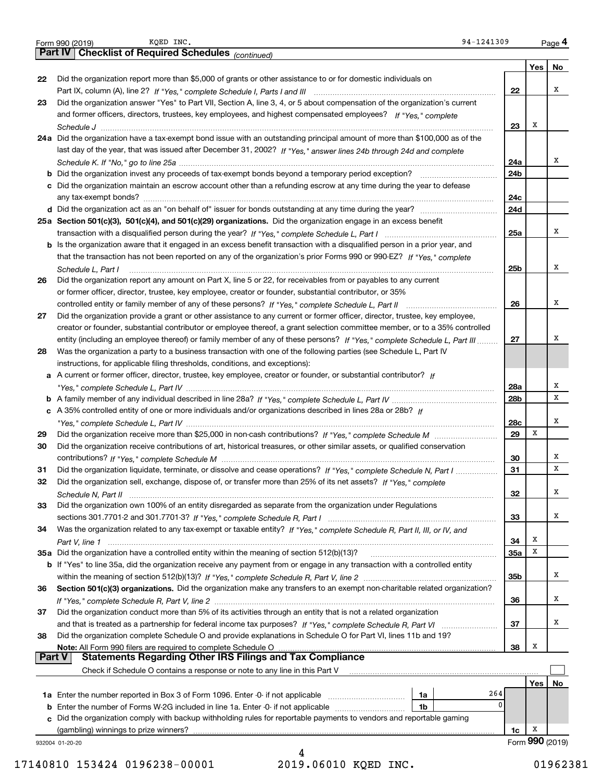|               | KQED INC.<br>94-1241309<br>Form 990 (2019)                                                                                   |                 |     | Page 4          |
|---------------|------------------------------------------------------------------------------------------------------------------------------|-----------------|-----|-----------------|
|               | Part IV   Checklist of Required Schedules (continued)                                                                        |                 |     |                 |
|               |                                                                                                                              |                 | Yes | No              |
| 22            | Did the organization report more than \$5,000 of grants or other assistance to or for domestic individuals on                |                 |     |                 |
|               |                                                                                                                              | 22              |     | х               |
| 23            | Did the organization answer "Yes" to Part VII, Section A, line 3, 4, or 5 about compensation of the organization's current   |                 |     |                 |
|               | and former officers, directors, trustees, key employees, and highest compensated employees? If "Yes," complete               |                 |     |                 |
|               |                                                                                                                              | 23              | X   |                 |
|               | 24a Did the organization have a tax-exempt bond issue with an outstanding principal amount of more than \$100,000 as of the  |                 |     |                 |
|               | last day of the year, that was issued after December 31, 2002? If "Yes," answer lines 24b through 24d and complete           |                 |     |                 |
|               |                                                                                                                              | 24a             |     | х               |
|               | <b>b</b> Did the organization invest any proceeds of tax-exempt bonds beyond a temporary period exception?                   | 24b             |     |                 |
|               | c Did the organization maintain an escrow account other than a refunding escrow at any time during the year to defease       |                 |     |                 |
|               |                                                                                                                              | 24c             |     |                 |
|               |                                                                                                                              | 24d             |     |                 |
|               | 25a Section 501(c)(3), 501(c)(4), and 501(c)(29) organizations. Did the organization engage in an excess benefit             |                 |     |                 |
|               |                                                                                                                              | 25a             |     | x               |
|               | b Is the organization aware that it engaged in an excess benefit transaction with a disqualified person in a prior year, and |                 |     |                 |
|               | that the transaction has not been reported on any of the organization's prior Forms 990 or 990-EZ? If "Yes," complete        |                 |     |                 |
|               | Schedule L, Part I                                                                                                           | 25 <sub>b</sub> |     | х               |
| 26            | Did the organization report any amount on Part X, line 5 or 22, for receivables from or payables to any current              |                 |     |                 |
|               | or former officer, director, trustee, key employee, creator or founder, substantial contributor, or 35%                      |                 |     | х               |
|               |                                                                                                                              | 26              |     |                 |
| 27            | Did the organization provide a grant or other assistance to any current or former officer, director, trustee, key employee,  |                 |     |                 |
|               | creator or founder, substantial contributor or employee thereof, a grant selection committee member, or to a 35% controlled  |                 |     | х               |
|               | entity (including an employee thereof) or family member of any of these persons? If "Yes," complete Schedule L, Part III     | 27              |     |                 |
| 28            | Was the organization a party to a business transaction with one of the following parties (see Schedule L, Part IV            |                 |     |                 |
|               | instructions, for applicable filing thresholds, conditions, and exceptions):                                                 |                 |     |                 |
|               | a A current or former officer, director, trustee, key employee, creator or founder, or substantial contributor? If           |                 |     | х               |
|               |                                                                                                                              | 28a             |     | х               |
|               |                                                                                                                              | 28b             |     |                 |
|               | c A 35% controlled entity of one or more individuals and/or organizations described in lines 28a or 28b? If                  |                 |     | х               |
|               |                                                                                                                              | 28c<br>29       | X   |                 |
| 29<br>30      | Did the organization receive contributions of art, historical treasures, or other similar assets, or qualified conservation  |                 |     |                 |
|               |                                                                                                                              | 30              |     | x               |
| 31            | Did the organization liquidate, terminate, or dissolve and cease operations? If "Yes," complete Schedule N, Part I           | 31              |     | х               |
| 32            | Did the organization sell, exchange, dispose of, or transfer more than 25% of its net assets? If "Yes," complete             |                 |     |                 |
|               |                                                                                                                              | 32              |     | Х               |
| 33            | Did the organization own 100% of an entity disregarded as separate from the organization under Regulations                   |                 |     |                 |
|               |                                                                                                                              | 33              |     | х               |
| 34            | Was the organization related to any tax-exempt or taxable entity? If "Yes," complete Schedule R, Part II, III, or IV, and    |                 |     |                 |
|               |                                                                                                                              | 34              | х   |                 |
|               | 35a Did the organization have a controlled entity within the meaning of section 512(b)(13)?                                  | <b>35a</b>      | X   |                 |
|               | b If "Yes" to line 35a, did the organization receive any payment from or engage in any transaction with a controlled entity  |                 |     |                 |
|               |                                                                                                                              | 35 <sub>b</sub> |     | х               |
| 36            | Section 501(c)(3) organizations. Did the organization make any transfers to an exempt non-charitable related organization?   |                 |     |                 |
|               |                                                                                                                              | 36              |     | х               |
| 37            | Did the organization conduct more than 5% of its activities through an entity that is not a related organization             |                 |     |                 |
|               |                                                                                                                              | 37              |     | x               |
| 38            | Did the organization complete Schedule O and provide explanations in Schedule O for Part VI, lines 11b and 19?               |                 |     |                 |
|               | Note: All Form 990 filers are required to complete Schedule O                                                                | 38              | х   |                 |
| <b>Part V</b> | <b>Statements Regarding Other IRS Filings and Tax Compliance</b>                                                             |                 |     |                 |
|               | Check if Schedule O contains a response or note to any line in this Part V                                                   |                 |     |                 |
|               |                                                                                                                              |                 | Yes | No              |
|               | 264<br>1a                                                                                                                    |                 |     |                 |
|               | $\mathbf 0$<br><b>b</b> Enter the number of Forms W-2G included in line 1a. Enter -0- if not applicable<br>1b                |                 |     |                 |
|               | c Did the organization comply with backup withholding rules for reportable payments to vendors and reportable gaming         |                 |     |                 |
|               | (gambling) winnings to prize winners?                                                                                        | 1c              | х   |                 |
|               | 932004 01-20-20                                                                                                              |                 |     | Form 990 (2019) |
|               |                                                                                                                              |                 |     |                 |

4 17140810 153424 0196238-00001 2019.06010 KQED INC. 01962381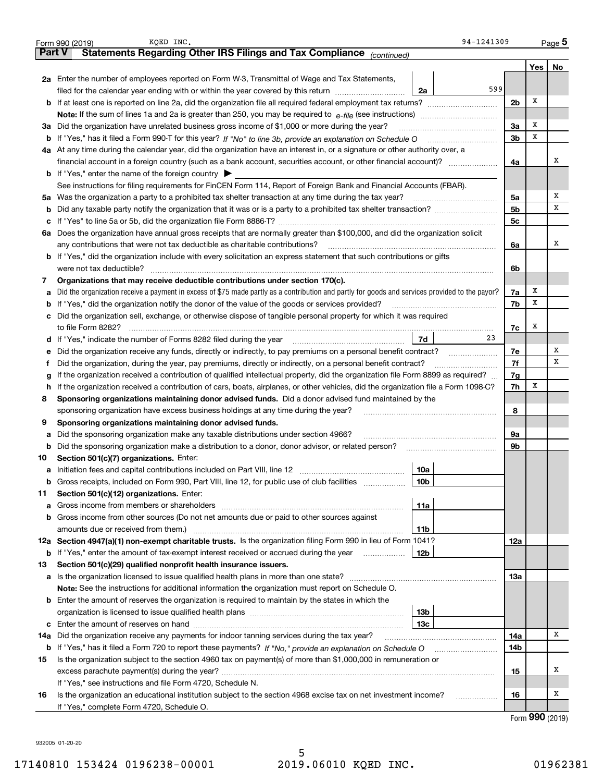|               | KQED INC.<br>Form 990 (2019)                                                                                                                    | 94-1241309      |     |     | Page 5        |  |  |  |  |  |  |  |
|---------------|-------------------------------------------------------------------------------------------------------------------------------------------------|-----------------|-----|-----|---------------|--|--|--|--|--|--|--|
| <b>Part V</b> | Statements Regarding Other IRS Filings and Tax Compliance (continued)                                                                           |                 |     |     |               |  |  |  |  |  |  |  |
|               |                                                                                                                                                 |                 |     | Yes | No            |  |  |  |  |  |  |  |
|               | 2a Enter the number of employees reported on Form W-3, Transmittal of Wage and Tax Statements,                                                  |                 |     |     |               |  |  |  |  |  |  |  |
|               | filed for the calendar year ending with or within the year covered by this return                                                               | 599<br>2a       |     |     |               |  |  |  |  |  |  |  |
|               |                                                                                                                                                 |                 | 2b  | х   |               |  |  |  |  |  |  |  |
|               |                                                                                                                                                 |                 |     |     |               |  |  |  |  |  |  |  |
|               | 3a Did the organization have unrelated business gross income of \$1,000 or more during the year?                                                |                 |     |     |               |  |  |  |  |  |  |  |
| b             |                                                                                                                                                 |                 |     |     |               |  |  |  |  |  |  |  |
|               | 4a At any time during the calendar year, did the organization have an interest in, or a signature or other authority over, a                    |                 |     |     |               |  |  |  |  |  |  |  |
|               | financial account in a foreign country (such as a bank account, securities account, or other financial account)?                                |                 | 4a  |     | х             |  |  |  |  |  |  |  |
|               | <b>b</b> If "Yes," enter the name of the foreign country $\triangleright$                                                                       |                 |     |     |               |  |  |  |  |  |  |  |
|               | See instructions for filing requirements for FinCEN Form 114, Report of Foreign Bank and Financial Accounts (FBAR).                             |                 |     |     |               |  |  |  |  |  |  |  |
| 5a            | Was the organization a party to a prohibited tax shelter transaction at any time during the tax year?                                           |                 | 5a  |     | х             |  |  |  |  |  |  |  |
| b             |                                                                                                                                                 |                 | 5b  |     | х             |  |  |  |  |  |  |  |
| c             |                                                                                                                                                 |                 | 5c  |     |               |  |  |  |  |  |  |  |
|               | 6a Does the organization have annual gross receipts that are normally greater than \$100,000, and did the organization solicit                  |                 |     |     |               |  |  |  |  |  |  |  |
|               | any contributions that were not tax deductible as charitable contributions?                                                                     |                 | 6a  |     | х             |  |  |  |  |  |  |  |
|               | <b>b</b> If "Yes," did the organization include with every solicitation an express statement that such contributions or gifts                   |                 |     |     |               |  |  |  |  |  |  |  |
|               | were not tax deductible?                                                                                                                        |                 | 6b  |     |               |  |  |  |  |  |  |  |
| 7             | Organizations that may receive deductible contributions under section 170(c).                                                                   |                 |     |     |               |  |  |  |  |  |  |  |
| a             | Did the organization receive a payment in excess of \$75 made partly as a contribution and partly for goods and services provided to the payor? |                 | 7a  | x   |               |  |  |  |  |  |  |  |
|               | <b>b</b> If "Yes," did the organization notify the donor of the value of the goods or services provided?                                        |                 | 7b  | х   |               |  |  |  |  |  |  |  |
|               | c Did the organization sell, exchange, or otherwise dispose of tangible personal property for which it was required                             |                 |     |     |               |  |  |  |  |  |  |  |
|               | to file Form 8282?                                                                                                                              |                 | 7c  | x   |               |  |  |  |  |  |  |  |
|               |                                                                                                                                                 | 23<br>7d        |     |     |               |  |  |  |  |  |  |  |
| е             | Did the organization receive any funds, directly or indirectly, to pay premiums on a personal benefit contract?                                 |                 | 7e  |     | Х             |  |  |  |  |  |  |  |
| f             | Did the organization, during the year, pay premiums, directly or indirectly, on a personal benefit contract?                                    |                 | 7f  |     | х             |  |  |  |  |  |  |  |
| g             | If the organization received a contribution of qualified intellectual property, did the organization file Form 8899 as required?                |                 | 7g  |     |               |  |  |  |  |  |  |  |
| h.            | If the organization received a contribution of cars, boats, airplanes, or other vehicles, did the organization file a Form 1098-C?              |                 | 7h  | х   |               |  |  |  |  |  |  |  |
| 8             | Sponsoring organizations maintaining donor advised funds. Did a donor advised fund maintained by the                                            |                 |     |     |               |  |  |  |  |  |  |  |
|               | sponsoring organization have excess business holdings at any time during the year?                                                              |                 | 8   |     |               |  |  |  |  |  |  |  |
| 9             | Sponsoring organizations maintaining donor advised funds.                                                                                       |                 |     |     |               |  |  |  |  |  |  |  |
| a             | Did the sponsoring organization make any taxable distributions under section 4966?                                                              |                 | 9a  |     |               |  |  |  |  |  |  |  |
| b             | Did the sponsoring organization make a distribution to a donor, donor advisor, or related person?                                               |                 | 9b  |     |               |  |  |  |  |  |  |  |
| 10            | Section 501(c)(7) organizations. Enter:                                                                                                         |                 |     |     |               |  |  |  |  |  |  |  |
| а             |                                                                                                                                                 | 10a             |     |     |               |  |  |  |  |  |  |  |
|               | Gross receipts, included on Form 990, Part VIII, line 12, for public use of club facilities                                                     | 10 <sub>b</sub> |     |     |               |  |  |  |  |  |  |  |
| 11            | Section 501(c)(12) organizations. Enter:                                                                                                        |                 |     |     |               |  |  |  |  |  |  |  |
| a             | Gross income from members or shareholders                                                                                                       | 11a             |     |     |               |  |  |  |  |  |  |  |
| b             | Gross income from other sources (Do not net amounts due or paid to other sources against                                                        |                 |     |     |               |  |  |  |  |  |  |  |
|               | amounts due or received from them.)                                                                                                             | 11b             |     |     |               |  |  |  |  |  |  |  |
|               | 12a Section 4947(a)(1) non-exempt charitable trusts. Is the organization filing Form 990 in lieu of Form 1041?                                  |                 | 12a |     |               |  |  |  |  |  |  |  |
|               | <b>b</b> If "Yes," enter the amount of tax-exempt interest received or accrued during the year                                                  | 12b             |     |     |               |  |  |  |  |  |  |  |
| 13            | Section 501(c)(29) qualified nonprofit health insurance issuers.                                                                                |                 |     |     |               |  |  |  |  |  |  |  |
| a             | Is the organization licensed to issue qualified health plans in more than one state?                                                            |                 | 13а |     |               |  |  |  |  |  |  |  |
|               | Note: See the instructions for additional information the organization must report on Schedule O.                                               |                 |     |     |               |  |  |  |  |  |  |  |
|               | <b>b</b> Enter the amount of reserves the organization is required to maintain by the states in which the                                       |                 |     |     |               |  |  |  |  |  |  |  |
|               |                                                                                                                                                 | 13b             |     |     |               |  |  |  |  |  |  |  |
|               |                                                                                                                                                 | 13c             |     |     |               |  |  |  |  |  |  |  |
| 14a           | Did the organization receive any payments for indoor tanning services during the tax year?                                                      |                 | 14a |     | x             |  |  |  |  |  |  |  |
|               | <b>b</b> If "Yes," has it filed a Form 720 to report these payments? If "No," provide an explanation on Schedule O                              |                 | 14b |     |               |  |  |  |  |  |  |  |
| 15            | Is the organization subject to the section 4960 tax on payment(s) of more than \$1,000,000 in remuneration or                                   |                 |     |     |               |  |  |  |  |  |  |  |
|               |                                                                                                                                                 |                 | 15  |     | x             |  |  |  |  |  |  |  |
|               | If "Yes," see instructions and file Form 4720, Schedule N.                                                                                      |                 |     |     |               |  |  |  |  |  |  |  |
| 16            | Is the organization an educational institution subject to the section 4968 excise tax on net investment income?                                 |                 | 16  |     | х             |  |  |  |  |  |  |  |
|               | If "Yes," complete Form 4720, Schedule O.                                                                                                       |                 |     |     | $\mathbf{QQ}$ |  |  |  |  |  |  |  |
|               |                                                                                                                                                 |                 |     |     |               |  |  |  |  |  |  |  |

Form (2019) **990**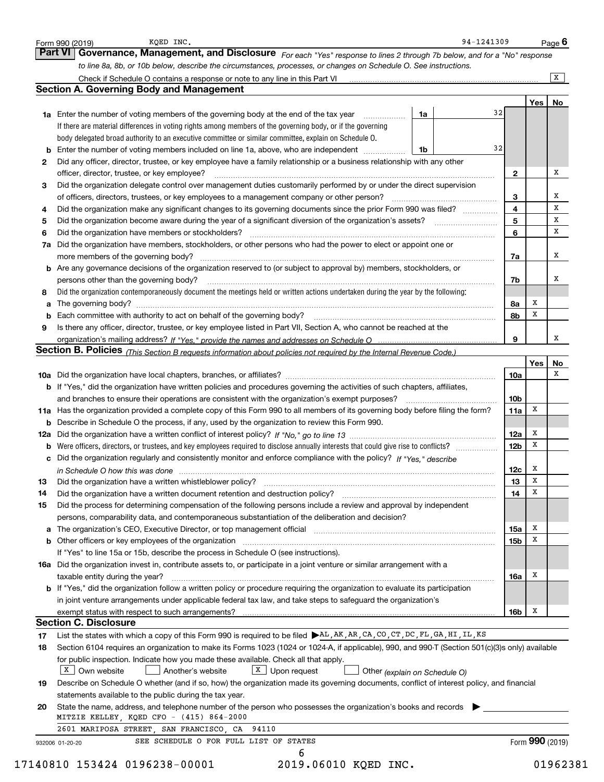|              | Governance, Management, and Disclosure For each "Yes" response to lines 2 through 7b below, and for a "No" response<br>to line 8a, 8b, or 10b below, describe the circumstances, processes, or changes on Schedule O. See instructions. |                 |                 |                |
|--------------|-----------------------------------------------------------------------------------------------------------------------------------------------------------------------------------------------------------------------------------------|-----------------|-----------------|----------------|
|              |                                                                                                                                                                                                                                         |                 |                 | $\overline{X}$ |
|              | <b>Section A. Governing Body and Management</b>                                                                                                                                                                                         |                 |                 |                |
|              |                                                                                                                                                                                                                                         |                 | Yes             | No             |
|              | 32<br><b>1a</b> Enter the number of voting members of the governing body at the end of the tax year <i>manumum</i><br>1a                                                                                                                |                 |                 |                |
|              | If there are material differences in voting rights among members of the governing body, or if the governing                                                                                                                             |                 |                 |                |
|              | body delegated broad authority to an executive committee or similar committee, explain on Schedule O.                                                                                                                                   |                 |                 |                |
|              | 32<br>1b                                                                                                                                                                                                                                |                 |                 |                |
| $\mathbf{2}$ | Did any officer, director, trustee, or key employee have a family relationship or a business relationship with any other                                                                                                                |                 |                 |                |
|              | officer, director, trustee, or key employee?                                                                                                                                                                                            | $\mathbf{2}$    |                 | x              |
| 3            | Did the organization delegate control over management duties customarily performed by or under the direct supervision                                                                                                                   |                 |                 |                |
|              |                                                                                                                                                                                                                                         | 3               |                 | х              |
|              |                                                                                                                                                                                                                                         |                 |                 | х              |
| 4            | Did the organization make any significant changes to its governing documents since the prior Form 990 was filed?                                                                                                                        | 4               |                 | х              |
| 5            |                                                                                                                                                                                                                                         | 5               |                 | x              |
| 6            | Did the organization have members or stockholders?                                                                                                                                                                                      | 6               |                 |                |
|              | 7a Did the organization have members, stockholders, or other persons who had the power to elect or appoint one or                                                                                                                       |                 |                 |                |
|              | more members of the governing body?                                                                                                                                                                                                     | 7a              |                 | x              |
|              | <b>b</b> Are any governance decisions of the organization reserved to (or subject to approval by) members, stockholders, or                                                                                                             |                 |                 |                |
|              | persons other than the governing body?                                                                                                                                                                                                  | 7b              |                 | х              |
| 8            | Did the organization contemporaneously document the meetings held or written actions undertaken during the year by the following:                                                                                                       |                 |                 |                |
| а            |                                                                                                                                                                                                                                         | 8а              | x               |                |
| b            |                                                                                                                                                                                                                                         | 8b              | x               |                |
| 9            | Is there any officer, director, trustee, or key employee listed in Part VII, Section A, who cannot be reached at the                                                                                                                    |                 |                 |                |
|              |                                                                                                                                                                                                                                         | 9               |                 | х              |
|              | Section B. Policies <i>(This Section B requests information about policies not required by the Internal Revenue Code.)</i>                                                                                                              |                 |                 |                |
|              |                                                                                                                                                                                                                                         |                 | Yes             | No             |
|              |                                                                                                                                                                                                                                         | 10a             |                 | х              |
|              | b If "Yes," did the organization have written policies and procedures governing the activities of such chapters, affiliates,                                                                                                            |                 |                 |                |
|              | and branches to ensure their operations are consistent with the organization's exempt purposes?                                                                                                                                         | 10 <sub>b</sub> |                 |                |
|              | 11a Has the organization provided a complete copy of this Form 990 to all members of its governing body before filing the form?                                                                                                         | 11a             | х               |                |
|              | <b>b</b> Describe in Schedule O the process, if any, used by the organization to review this Form 990.                                                                                                                                  |                 |                 |                |
|              |                                                                                                                                                                                                                                         | 12a             | х               |                |
|              |                                                                                                                                                                                                                                         | 12 <sub>b</sub> | x               |                |
|              | c Did the organization regularly and consistently monitor and enforce compliance with the policy? If "Yes," describe                                                                                                                    |                 |                 |                |
|              | in Schedule O how this was done manufactured and continuum and contact the O how this was done manufactured and the state of the Schedule O how this was done                                                                           | 12c             | x               |                |
| 13           | Did the organization have a written whistleblower policy?                                                                                                                                                                               | 13              | Х               |                |
| 14           | Did the organization have a written document retention and destruction policy?                                                                                                                                                          | 14              | x               |                |
| 15           | Did the process for determining compensation of the following persons include a review and approval by independent                                                                                                                      |                 |                 |                |
|              | persons, comparability data, and contemporaneous substantiation of the deliberation and decision?                                                                                                                                       |                 |                 |                |
|              |                                                                                                                                                                                                                                         | 15a             | х               |                |
|              |                                                                                                                                                                                                                                         | 15b             | Х               |                |
|              | If "Yes" to line 15a or 15b, describe the process in Schedule O (see instructions).                                                                                                                                                     |                 |                 |                |
|              | 16a Did the organization invest in, contribute assets to, or participate in a joint venture or similar arrangement with a                                                                                                               |                 |                 |                |
|              | taxable entity during the year?                                                                                                                                                                                                         | 16a             | х               |                |
|              | <b>b</b> If "Yes," did the organization follow a written policy or procedure requiring the organization to evaluate its participation                                                                                                   |                 |                 |                |
|              | in joint venture arrangements under applicable federal tax law, and take steps to safeguard the organization's                                                                                                                          |                 |                 |                |
|              |                                                                                                                                                                                                                                         | 16b             | x               |                |
|              | <b>Section C. Disclosure</b>                                                                                                                                                                                                            |                 |                 |                |
| 17           | List the states with which a copy of this Form 990 is required to be filed AL, AK, AR, CA, CO, CT, DC, FL, GA, HI, IL, KS                                                                                                               |                 |                 |                |
|              | Section 6104 requires an organization to make its Forms 1023 (1024 or 1024-A, if applicable), 990, and 990-T (Section 501(c)(3)s only) available                                                                                        |                 |                 |                |
|              | for public inspection. Indicate how you made these available. Check all that apply.                                                                                                                                                     |                 |                 |                |
| 18           | X Upon request                                                                                                                                                                                                                          |                 |                 |                |
|              | $X$ Own website<br>Another's website<br>Other (explain on Schedule O)                                                                                                                                                                   |                 |                 |                |
|              |                                                                                                                                                                                                                                         |                 |                 |                |
| 19           | Describe on Schedule O whether (and if so, how) the organization made its governing documents, conflict of interest policy, and financial                                                                                               |                 |                 |                |
|              | statements available to the public during the tax year.                                                                                                                                                                                 |                 |                 |                |
| 20           | State the name, address, and telephone number of the person who possesses the organization's books and records                                                                                                                          |                 |                 |                |
|              | MITZIE KELLEY, KQED CFO - (415) 864-2000                                                                                                                                                                                                |                 |                 |                |
|              | 2601 MARIPOSA STREET, SAN FRANCISCO, CA 94110<br>SEE SCHEDULE O FOR FULL LIST OF STATES                                                                                                                                                 |                 | Form 990 (2019) |                |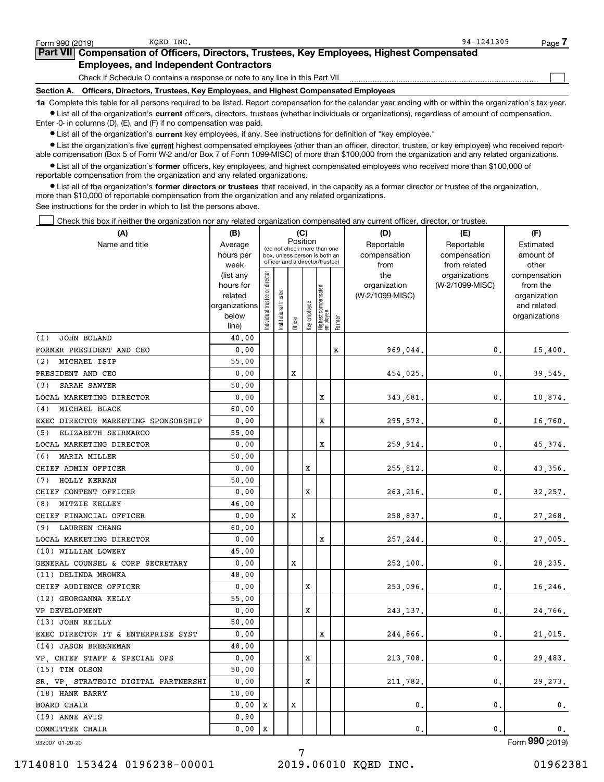#### (do not check more than one box, unless person is both an officer and a director/trustee) **(B) (C) (D) (E) (F)** PositionName and title **Average** hours per week Reportablecompensationfrom Reportablecompensation

|                                                                | hours per<br>week                                                    |                               |                      |         |              | box, unless person is both an<br>officer and a director/trustee) |        | compensation<br>from                   | compensation<br>from related     | amount of<br>other                                                       |
|----------------------------------------------------------------|----------------------------------------------------------------------|-------------------------------|----------------------|---------|--------------|------------------------------------------------------------------|--------|----------------------------------------|----------------------------------|--------------------------------------------------------------------------|
|                                                                | (list any<br>hours for<br>related<br>organizations<br>below<br>line) | ndividual trustee or director | nstitutional trustee | Officer | Key employee | Highest compensated<br>employee                                  | Former | the<br>organization<br>(W-2/1099-MISC) | organizations<br>(W-2/1099-MISC) | compensation<br>from the<br>organization<br>and related<br>organizations |
| (1) JOHN BOLAND                                                | 40.00                                                                |                               |                      |         |              |                                                                  |        |                                        |                                  |                                                                          |
| FORMER PRESIDENT AND CEO                                       | 0.00                                                                 |                               |                      |         |              |                                                                  | X      | 969,044.                               | 0.                               | 15,400.                                                                  |
| (2) MICHAEL ISIP                                               | 55.00                                                                |                               |                      |         |              |                                                                  |        |                                        |                                  |                                                                          |
| PRESIDENT AND CEO                                              | 0.00                                                                 |                               |                      | X       |              |                                                                  |        | 454,025.                               | 0.                               | 39,545.                                                                  |
| (3) SARAH SAWYER                                               | 50.00                                                                |                               |                      |         |              |                                                                  |        |                                        |                                  |                                                                          |
| LOCAL MARKETING DIRECTOR                                       | 0.00                                                                 |                               |                      |         |              | x                                                                |        | 343,681.                               | 0.                               | 10,874.                                                                  |
| (4) MICHAEL BLACK                                              | 60.00                                                                |                               |                      |         |              | x                                                                |        |                                        | 0.                               |                                                                          |
| EXEC DIRECTOR MARKETING SPONSORSHIP<br>(5) ELIZABETH SEIRMARCO | 0.00<br>55.00                                                        |                               |                      |         |              |                                                                  |        | 295, 573.                              |                                  | 16,760.                                                                  |
| LOCAL MARKETING DIRECTOR                                       | 0.00                                                                 |                               |                      |         |              | x                                                                |        |                                        | 0.                               |                                                                          |
| (6) MARIA MILLER                                               | 50.00                                                                |                               |                      |         |              |                                                                  |        | 259,914.                               |                                  | 45, 374.                                                                 |
| CHIEF ADMIN OFFICER                                            | 0.00                                                                 |                               |                      |         | х            |                                                                  |        | 255,812.                               | 0.                               | 43,356.                                                                  |
| (7) HOLLY KERNAN                                               | 50.00                                                                |                               |                      |         |              |                                                                  |        |                                        |                                  |                                                                          |
| CHIEF CONTENT OFFICER                                          | 0.00                                                                 |                               |                      |         | x            |                                                                  |        | 263,216.                               | 0.                               | 32, 257.                                                                 |
| (8) MITZIE KELLEY                                              | 46.00                                                                |                               |                      |         |              |                                                                  |        |                                        |                                  |                                                                          |
| CHIEF FINANCIAL OFFICER                                        | 0.00                                                                 |                               |                      | X       |              |                                                                  |        | 258,837.                               | 0.                               | 27,268.                                                                  |
| (9) LAUREEN CHANG                                              | 60.00                                                                |                               |                      |         |              |                                                                  |        |                                        |                                  |                                                                          |
| LOCAL MARKETING DIRECTOR                                       | 0.00                                                                 |                               |                      |         |              | X                                                                |        | 257,244.                               | 0.                               | 27,005.                                                                  |
| (10) WILLIAM LOWERY                                            | 45.00                                                                |                               |                      |         |              |                                                                  |        |                                        |                                  |                                                                          |
| GENERAL COUNSEL & CORP SECRETARY                               | 0.00                                                                 |                               |                      | x       |              |                                                                  |        | 252,100.                               | 0.                               | 28, 235.                                                                 |
| (11) DELINDA MROWKA                                            | 48,00                                                                |                               |                      |         |              |                                                                  |        |                                        |                                  |                                                                          |
| CHIEF AUDIENCE OFFICER                                         | 0.00                                                                 |                               |                      |         | x            |                                                                  |        | 253,096.                               | 0.                               | 16,246.                                                                  |
| (12) GEORGANNA KELLY                                           | 55,00                                                                |                               |                      |         |              |                                                                  |        |                                        |                                  |                                                                          |
| VP DEVELOPMENT                                                 | 0.00                                                                 |                               |                      |         | X            |                                                                  |        | 243,137.                               | 0.                               | 24,766.                                                                  |
| (13) JOHN REILLY                                               | 50.00                                                                |                               |                      |         |              |                                                                  |        |                                        |                                  |                                                                          |
| EXEC DIRECTOR IT & ENTERPRISE SYST                             | 0.00                                                                 |                               |                      |         |              | X                                                                |        | 244,866.                               | 0.                               | 21,015.                                                                  |
| (14) JASON BRENNEMAN                                           | 48,00                                                                |                               |                      |         |              |                                                                  |        |                                        |                                  |                                                                          |
| VP, CHIEF STAFF & SPECIAL OPS                                  | 0.00                                                                 |                               |                      |         | X            |                                                                  |        | 213,708.                               | 0.                               | 29,483.                                                                  |
| (15) TIM OLSON                                                 | 50.00                                                                |                               |                      |         |              |                                                                  |        |                                        |                                  |                                                                          |
| SR. VP, STRATEGIC DIGITAL PARTNERSHI                           | 0.00                                                                 |                               |                      |         | x            |                                                                  |        | 211,782.                               | 0.                               | 29, 273.                                                                 |
| (18) HANK BARRY                                                | 10.00                                                                |                               |                      |         |              |                                                                  |        |                                        |                                  |                                                                          |
| BOARD CHAIR                                                    | 0.00                                                                 | X                             |                      | x       |              |                                                                  |        | 0.                                     | 0.                               | 0.                                                                       |
| (19) ANNE AVIS                                                 | 0.90                                                                 |                               |                      |         |              |                                                                  |        |                                        |                                  |                                                                          |
| COMMITTEE CHAIR                                                | 0.00                                                                 | X                             |                      |         |              |                                                                  |        | 0.                                     | $\mathbf{0}$ .                   | 0.                                                                       |
| 932007 01-20-20                                                |                                                                      |                               |                      | 7       |              |                                                                  |        |                                        |                                  | Form 990 (2019)                                                          |

 $\bullet$  List all of the organization's  $\,$ current key employees, if any. See instructions for definition of "key employee." Enter -0- in columns (D), (E), and (F) if no compensation was paid.

**•** List the organization's five current highest compensated employees (other than an officer, director, trustee, or key employee) who received reportable compensation (Box 5 of Form W-2 and/or Box 7 of Form 1099-MISC) of more than \$100,000 from the organization and any related organizations.

**•** List all of the organization's former officers, key employees, and highest compensated employees who received more than \$100,000 of reportable compensation from the organization and any related organizations.

**former directors or trustees**  ¥ List all of the organization's that received, in the capacity as a former director or trustee of the organization, more than \$10,000 of reportable compensation from the organization and any related organizations.

See instructions for the order in which to list the persons above.

**(A)**

Check this box if neither the organization nor any related organization compensated any current officer, director, or trustee.  $\mathcal{L}^{\text{max}}$ 

**Section A. Officers, Directors, Trustees, Key Employees, and Highest Compensated Employees 1a**  Complete this table for all persons required to be listed. Report compensation for the calendar year ending with or within the organization's tax year. **•** List all of the organization's current officers, directors, trustees (whether individuals or organizations), regardless of amount of compensation.

Form 990 (2019) RQED INC. And The Second Second Second Second Second Second Second Second Second Second Second Second Second Second Second Second Second Second Second Second Second Second Second Second Second Second Second **7Part VII Compensation of Officers, Directors, Trustees, Key Employees, Highest Compensated** KQED INC.

#### **Employees, and Independent Contractors**

Check if Schedule O contains a response or note to any line in this Part VII

 $\mathcal{L}^{\text{max}}$ 

Estimated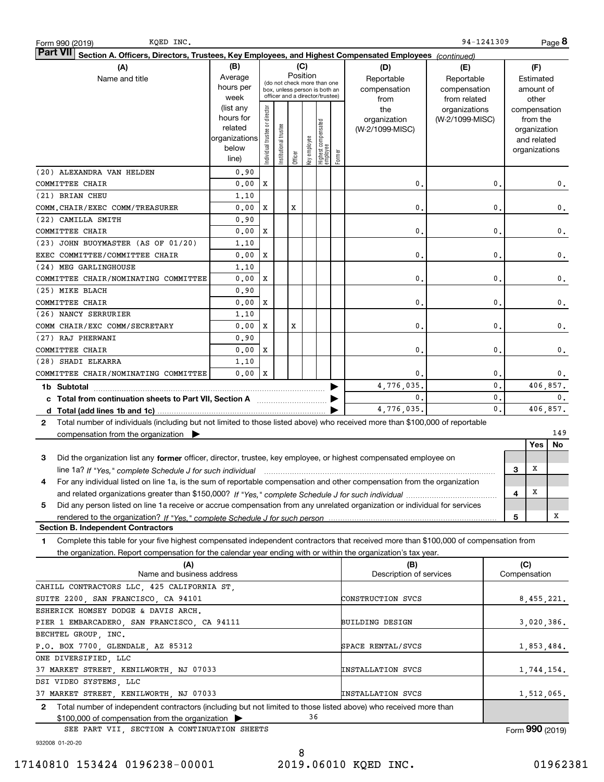| KQED INC.<br>Form 990 (2019)                                                                                                                    |                                            |                                         |               |         |              |                                 |        |                          | 94-1241309      |                |          |               | Page 8          |
|-------------------------------------------------------------------------------------------------------------------------------------------------|--------------------------------------------|-----------------------------------------|---------------|---------|--------------|---------------------------------|--------|--------------------------|-----------------|----------------|----------|---------------|-----------------|
| ∣Part VII<br>Section A. Officers, Directors, Trustees, Key Employees, and Highest Compensated Employees (continued)                             |                                            |                                         |               |         |              |                                 |        |                          |                 |                |          |               |                 |
| (A)                                                                                                                                             | (B)                                        | (C)                                     |               |         |              |                                 |        | (D)<br>(E)               |                 |                | (F)      |               |                 |
| Name and title                                                                                                                                  | Average                                    | Position<br>(do not check more than one |               |         |              | Reportable<br>Reportable        |        |                          |                 | Estimated      |          |               |                 |
|                                                                                                                                                 | hours per<br>box, unless person is both an |                                         |               |         |              |                                 |        | compensation             | compensation    |                |          | amount of     |                 |
|                                                                                                                                                 | week                                       |                                         |               |         |              | officer and a director/trustee) |        | from                     | from related    |                |          | other         |                 |
|                                                                                                                                                 | (list any                                  | director                                |               |         |              |                                 |        | the                      | organizations   |                |          | compensation  |                 |
|                                                                                                                                                 | hours for                                  |                                         |               |         |              |                                 |        | organization             | (W-2/1099-MISC) |                |          | from the      |                 |
|                                                                                                                                                 | related                                    |                                         | trustee       |         |              |                                 |        | (W-2/1099-MISC)          |                 |                |          | organization  |                 |
|                                                                                                                                                 | organizations<br>below                     |                                         |               |         |              |                                 |        |                          |                 |                |          | and related   |                 |
|                                                                                                                                                 | line)                                      | Individual trustee or                   | Institutional | Officer | key employee | Highest compensated<br>employee | Former |                          |                 |                |          | organizations |                 |
|                                                                                                                                                 |                                            |                                         |               |         |              |                                 |        |                          |                 |                |          |               |                 |
| (20) ALEXANDRA VAN HELDEN                                                                                                                       | 0.90                                       |                                         |               |         |              |                                 |        | 0                        |                 | 0.             |          |               |                 |
| COMMITTEE CHAIR<br>(21) BRIAN CHEU                                                                                                              | 0.00<br>1,10                               | х                                       |               |         |              |                                 |        |                          |                 |                |          |               | 0.              |
| COMM.CHAIR/EXEC COMM/TREASURER                                                                                                                  | 0.00                                       | Х                                       |               | X       |              |                                 |        | 0                        |                 | $\mathbf 0$    |          |               |                 |
| (22) CAMILLA SMITH                                                                                                                              | 0.90                                       |                                         |               |         |              |                                 |        |                          |                 |                |          |               | 0.              |
| COMMITTEE CHAIR                                                                                                                                 |                                            |                                         |               |         |              |                                 |        | 0                        |                 | $\mathbf 0$    |          |               |                 |
|                                                                                                                                                 | 0.00                                       | Х                                       |               |         |              |                                 |        |                          |                 |                |          |               | 0.              |
| (23) JOHN BUOYMASTER (AS OF 01/20)                                                                                                              | 1,10                                       |                                         |               |         |              |                                 |        |                          |                 |                |          |               |                 |
| EXEC COMMITTEE/COMMITTEE CHAIR                                                                                                                  | 0.00                                       | Х                                       |               |         |              |                                 |        | 0                        |                 | $\mathbf 0$    |          |               | 0.              |
| (24) MEG GARLINGHOUSE                                                                                                                           | 1,10                                       |                                         |               |         |              |                                 |        |                          |                 |                |          |               |                 |
| COMMITTEE CHAIR/NOMINATING COMMITTEE                                                                                                            | 0.00                                       | х                                       |               |         |              |                                 |        | 0                        |                 | $\mathbf 0$    |          |               | 0.              |
| (25) MIKE BLACH                                                                                                                                 | 0.90                                       |                                         |               |         |              |                                 |        |                          |                 |                |          |               |                 |
| COMMITTEE CHAIR                                                                                                                                 | 0.00                                       | Х                                       |               |         |              |                                 |        | 0                        |                 | $\mathbf 0$    |          |               | 0.              |
| (26) NANCY SERRURIER                                                                                                                            | 1,10                                       |                                         |               |         |              |                                 |        |                          |                 |                |          |               |                 |
| COMM CHAIR/EXC COMM/SECRETARY                                                                                                                   | 0.00                                       | Х                                       |               | X       |              |                                 |        | 0                        |                 | 0.             |          |               | 0.              |
| (27) RAJ PHERWANI                                                                                                                               | 0.90                                       |                                         |               |         |              |                                 |        |                          |                 |                |          |               |                 |
| COMMITTEE CHAIR                                                                                                                                 | 0.00                                       | Х                                       |               |         |              |                                 |        | 0                        |                 | 0.             |          |               | 0.              |
| (28) SHADI ELKARRA                                                                                                                              | 1,10                                       |                                         |               |         |              |                                 |        |                          |                 |                |          |               |                 |
| COMMITTEE CHAIR/NOMINATING COMMITTEE                                                                                                            | 0.00                                       | X                                       |               |         |              |                                 |        | $\mathbf 0$ .            |                 | 0.             |          |               | 0.              |
| 1b Subtotal                                                                                                                                     |                                            |                                         |               |         |              |                                 |        | 4,776,035.               |                 | 0.             |          | 406,857.      |                 |
| 0<br>c Total from continuation sheets to Part VII, Section A manufactor continuum                                                               |                                            |                                         |               |         |              |                                 | 0.     | 0.                       |                 |                |          |               |                 |
|                                                                                                                                                 |                                            |                                         |               |         |              |                                 |        | 4,776,035,               |                 | $\mathbf{0}$ . | 406,857. |               |                 |
| Total number of individuals (including but not limited to those listed above) who received more than \$100,000 of reportable<br>2               |                                            |                                         |               |         |              |                                 |        |                          |                 |                |          |               |                 |
| compensation from the organization                                                                                                              |                                            |                                         |               |         |              |                                 |        |                          |                 |                |          |               | 149             |
|                                                                                                                                                 |                                            |                                         |               |         |              |                                 |        |                          |                 |                |          | Yes           | No              |
| Did the organization list any former officer, director, trustee, key employee, or highest compensated employee on<br>з                          |                                            |                                         |               |         |              |                                 |        |                          |                 |                |          |               |                 |
| line 1a? If "Yes," complete Schedule J for such individual manufactured contained and the 1a? If "Yes," complete Schedule J for such individual |                                            |                                         |               |         |              |                                 |        |                          |                 |                | 3        | X             |                 |
| For any individual listed on line 1a, is the sum of reportable compensation and other compensation from the organization<br>4                   |                                            |                                         |               |         |              |                                 |        |                          |                 |                |          |               |                 |
|                                                                                                                                                 |                                            |                                         |               |         |              |                                 |        |                          |                 |                | 4        | x             |                 |
| 5<br>Did any person listed on line 1a receive or accrue compensation from any unrelated organization or individual for services                 |                                            |                                         |               |         |              |                                 |        |                          |                 |                |          |               |                 |
|                                                                                                                                                 |                                            |                                         |               |         |              |                                 |        |                          |                 |                | 5        |               | х               |
| <b>Section B. Independent Contractors</b>                                                                                                       |                                            |                                         |               |         |              |                                 |        |                          |                 |                |          |               |                 |
| Complete this table for your five highest compensated independent contractors that received more than \$100,000 of compensation from<br>1       |                                            |                                         |               |         |              |                                 |        |                          |                 |                |          |               |                 |
| the organization. Report compensation for the calendar year ending with or within the organization's tax year.                                  |                                            |                                         |               |         |              |                                 |        |                          |                 |                |          |               |                 |
| (A)                                                                                                                                             |                                            |                                         |               |         |              |                                 |        | (B)                      |                 |                | (C)      |               |                 |
| Name and business address                                                                                                                       |                                            |                                         |               |         |              |                                 |        | Description of services  |                 |                |          | Compensation  |                 |
| CAHILL CONTRACTORS LLC, 425 CALIFORNIA ST,                                                                                                      |                                            |                                         |               |         |              |                                 |        |                          |                 |                |          |               |                 |
| SUITE 2200, SAN FRANCISCO, CA 94101                                                                                                             |                                            |                                         |               |         |              |                                 |        | CONSTRUCTION SVCS        |                 |                |          | 8,455,221.    |                 |
| ESHERICK HOMSEY DODGE & DAVIS ARCH.                                                                                                             |                                            |                                         |               |         |              |                                 |        |                          |                 |                |          |               |                 |
| PIER 1 EMBARCADERO, SAN FRANCISCO, CA 94111                                                                                                     |                                            |                                         |               |         |              |                                 |        | BUILDING DESIGN          |                 |                |          | 3,020,386.    |                 |
| BECHTEL GROUP, INC.                                                                                                                             |                                            |                                         |               |         |              |                                 |        |                          |                 |                |          |               |                 |
| P.O. BOX 7700, GLENDALE, AZ 85312                                                                                                               |                                            |                                         |               |         |              |                                 |        | SPACE RENTAL/SVCS        |                 |                |          | 1,853,484.    |                 |
| ONE DIVERSIFIED, LLC                                                                                                                            |                                            |                                         |               |         |              |                                 |        |                          |                 |                |          |               |                 |
| 37 MARKET STREET, KENILWORTH, NJ 07033                                                                                                          |                                            |                                         |               |         |              |                                 |        | <b>INSTALLATION SVCS</b> |                 |                |          |               |                 |
| DSI VIDEO SYSTEMS, LLC                                                                                                                          |                                            |                                         |               |         |              |                                 |        |                          |                 |                |          | 1,744,154.    |                 |
| 37 MARKET STREET, KENILWORTH, NJ 07033                                                                                                          |                                            |                                         |               |         |              |                                 |        | <b>INSTALLATION SVCS</b> |                 |                |          | 1,512,065.    |                 |
|                                                                                                                                                 |                                            |                                         |               |         |              |                                 |        |                          |                 |                |          |               |                 |
| Total number of independent contractors (including but not limited to those listed above) who received more than<br>$\mathbf{2}$                |                                            |                                         |               |         | 36           |                                 |        |                          |                 |                |          |               |                 |
| \$100,000 of compensation from the organization<br>SEE PART VII, SECTION A CONTINUATION SHEETS                                                  |                                            |                                         |               |         |              |                                 |        |                          |                 |                |          |               | Form 990 (2019) |
|                                                                                                                                                 |                                            |                                         |               |         |              |                                 |        |                          |                 |                |          |               |                 |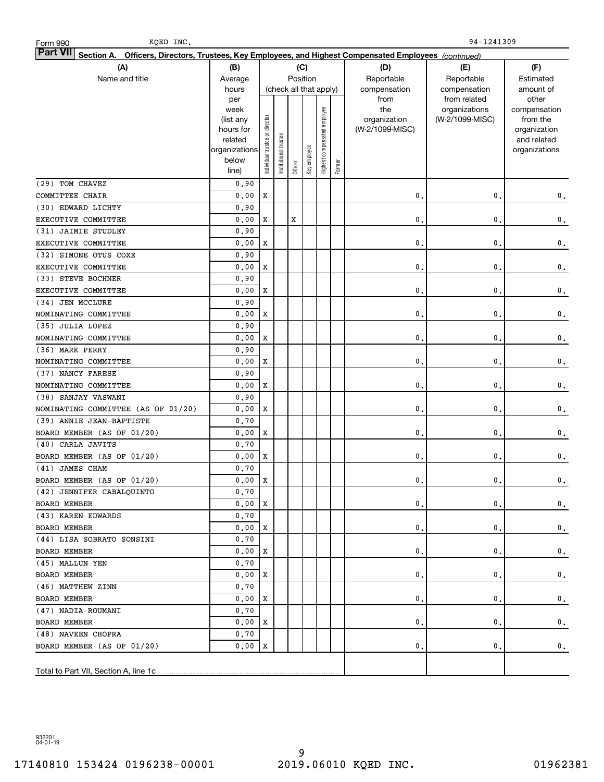| KQED INC.<br>Form 990                                                                                                  | 94-1241309           |                                    |                       |              |              |                              |            |                 |                 |                             |  |
|------------------------------------------------------------------------------------------------------------------------|----------------------|------------------------------------|-----------------------|--------------|--------------|------------------------------|------------|-----------------|-----------------|-----------------------------|--|
| Part VII <br>Officers, Directors, Trustees, Key Employees, and Highest Compensated Employees (continued)<br>Section A. |                      |                                    |                       |              |              |                              |            |                 |                 |                             |  |
| (A)                                                                                                                    | (B)                  | (C)<br>(D)<br>(F)<br>(E)           |                       |              |              |                              |            |                 |                 |                             |  |
| Name and title                                                                                                         | Average              | Position<br>(check all that apply) |                       |              |              | Reportable                   | Reportable | Estimated       |                 |                             |  |
|                                                                                                                        | hours                |                                    |                       | compensation | compensation | amount of                    |            |                 |                 |                             |  |
|                                                                                                                        | per                  |                                    |                       |              |              |                              |            | from            | from related    | other                       |  |
|                                                                                                                        | week                 |                                    |                       |              |              |                              |            | the             | organizations   | compensation                |  |
|                                                                                                                        | (list any            |                                    |                       |              |              |                              |            | organization    | (W-2/1099-MISC) | from the                    |  |
|                                                                                                                        | hours for<br>related |                                    |                       |              |              |                              |            | (W-2/1099-MISC) |                 | organization<br>and related |  |
|                                                                                                                        | organizations        |                                    |                       |              |              |                              |            |                 |                 | organizations               |  |
|                                                                                                                        | below                | Individual trustee or director     | Institutional trustee |              | Key employee | Highest compensated employee |            |                 |                 |                             |  |
|                                                                                                                        | line)                |                                    |                       | Officer      |              |                              | Former     |                 |                 |                             |  |
| (29) TOM CHAVEZ                                                                                                        | 0.90                 |                                    |                       |              |              |                              |            |                 |                 |                             |  |
| COMMITTEE CHAIR                                                                                                        | 0.00                 | х                                  |                       |              |              |                              |            | $\mathbf{0}$    | 0.              | $\mathbf 0$ .               |  |
| (30) EDWARD LICHTY                                                                                                     | 0.90                 |                                    |                       |              |              |                              |            |                 |                 |                             |  |
| EXECUTIVE COMMITTEE                                                                                                    | 0.00                 | X                                  |                       | x            |              |                              |            | $\mathbf{0}$    | $\mathbf{0}$    | $\mathbf 0$ .               |  |
| (31) JAIMIE STUDLEY                                                                                                    | 0.90                 |                                    |                       |              |              |                              |            |                 |                 |                             |  |
| EXECUTIVE COMMITTEE                                                                                                    | 0.00                 | X                                  |                       |              |              |                              |            | $\mathbf{0}$    | $\mathbf{0}$    | $\mathbf 0$ .               |  |
| (32) SIMONE OTUS COXE                                                                                                  | 0.90                 |                                    |                       |              |              |                              |            |                 |                 |                             |  |
| EXECUTIVE COMMITTEE                                                                                                    | 0.00                 | X                                  |                       |              |              |                              |            | $\mathbf{0}$    | $\mathbf{0}$    | $\mathbf 0$ .               |  |
| (33) STEVE BOCHNER                                                                                                     | 0.90                 |                                    |                       |              |              |                              |            |                 |                 |                             |  |
| EXECUTIVE COMMITTEE                                                                                                    | 0.00                 | X                                  |                       |              |              |                              |            | $\mathbf{0}$    | $\mathbf{0}$    | $\mathbf 0$ .               |  |
| (34) JEN MCCLURE                                                                                                       | 0.90                 |                                    |                       |              |              |                              |            |                 |                 |                             |  |
| NOMINATING COMMITTEE                                                                                                   | 0.00                 | х                                  |                       |              |              |                              |            | $\mathbf{0}$    | $\mathbf{0}$    | $\mathbf 0$ .               |  |
| (35) JULIA LOPEZ                                                                                                       | 0.90                 |                                    |                       |              |              |                              |            |                 |                 |                             |  |
| NOMINATING COMMITTEE                                                                                                   | 0.00                 | х                                  |                       |              |              |                              |            | $\mathbf{0}$    | 0.              | $\mathbf 0$ .               |  |
| (36) MARK PERRY                                                                                                        | 0.90                 |                                    |                       |              |              |                              |            |                 |                 |                             |  |
| NOMINATING COMMITTEE                                                                                                   | 0.00                 | X                                  |                       |              |              |                              |            | $\mathbf{0}$    | 0.              | $\mathbf 0$ .               |  |
| (37) NANCY FARESE                                                                                                      | 0.90                 |                                    |                       |              |              |                              |            |                 |                 |                             |  |
| NOMINATING COMMITTEE                                                                                                   | 0.00                 | X                                  |                       |              |              |                              |            | $\mathbf{0}$    | $\mathbf{0}$ .  | $\mathbf 0$ .               |  |
| (38) SANJAY VASWANI                                                                                                    | 0.90                 |                                    |                       |              |              |                              |            |                 |                 |                             |  |
| NOMINATING COMMITTEE (AS OF 01/20)                                                                                     | 0.00                 | х                                  |                       |              |              |                              |            | $\mathbf{0}$    | $\mathbf{0}$ .  | $\mathbf 0$ .               |  |
| (39) ANNIE JEAN-BAPTISTE                                                                                               | 0.70                 |                                    |                       |              |              |                              |            |                 |                 |                             |  |
| BOARD MEMBER (AS OF 01/20)                                                                                             | 0.00                 | х                                  |                       |              |              |                              |            | $\mathbf{0}$    | 0.              | $\mathbf 0$ .               |  |
| (40) CARLA JAVITS                                                                                                      | 0.70                 |                                    |                       |              |              |                              |            |                 |                 |                             |  |
| BOARD MEMBER (AS OF 01/20)                                                                                             | 0.00                 | х                                  |                       |              |              |                              |            | $\mathbf 0$     | 0.              | $\mathbf 0$ .               |  |
| (41) JAMES CHAM                                                                                                        | 0.70                 |                                    |                       |              |              |                              |            |                 |                 |                             |  |
| BOARD MEMBER (AS OF 01/20)                                                                                             | 0.00X                |                                    |                       |              |              |                              |            | υ.              | υ.              | $\mathsf{U}$ .              |  |
| (42) JENNIFER CABALQUINTO                                                                                              | 0.70                 |                                    |                       |              |              |                              |            |                 |                 |                             |  |
| BOARD MEMBER                                                                                                           | 0.00                 | Х                                  |                       |              |              |                              |            | 0.              | 0.              | 0.                          |  |
| (43) KAREN EDWARDS                                                                                                     | 0.70                 |                                    |                       |              |              |                              |            |                 |                 |                             |  |
| <b>BOARD MEMBER</b>                                                                                                    | 0.00                 | Х                                  |                       |              |              |                              |            | 0.              | 0.              | 0.                          |  |
| (44) LISA SOBRATO SONSINI                                                                                              | 0.70                 |                                    |                       |              |              |                              |            |                 |                 |                             |  |
| <b>BOARD MEMBER</b>                                                                                                    | 0.00                 | х                                  |                       |              |              |                              |            | 0,              | 0.              | 0.                          |  |
| (45) MALLUN YEN                                                                                                        | 0.70                 |                                    |                       |              |              |                              |            |                 |                 |                             |  |
| <b>BOARD MEMBER</b>                                                                                                    | 0.00                 | х                                  |                       |              |              |                              |            | 0,              | 0.              | 0.                          |  |
| (46) MATTHEW ZINN                                                                                                      | 0.70                 |                                    |                       |              |              |                              |            |                 |                 |                             |  |
| <b>BOARD MEMBER</b>                                                                                                    | 0.00                 | Х                                  |                       |              |              |                              |            | 0,              | 0.              | 0.                          |  |
| (47) NADIA ROUMANI                                                                                                     | 0.70                 |                                    |                       |              |              |                              |            |                 |                 |                             |  |
| <b>BOARD MEMBER</b>                                                                                                    | 0.00                 | Х                                  |                       |              |              |                              |            | 0,              | 0.              | 0.                          |  |
| (48) NAVEEN CHOPRA                                                                                                     | 0.70                 |                                    |                       |              |              |                              |            |                 |                 |                             |  |
| BOARD MEMBER (AS OF 01/20)                                                                                             | 0.00                 | х                                  |                       |              |              |                              |            | 0,              | 0.              | $\mathbf{0}$ .              |  |
|                                                                                                                        |                      |                                    |                       |              |              |                              |            |                 |                 |                             |  |
| Total to Part VII, Section A, line 1c                                                                                  |                      |                                    |                       |              |              |                              |            |                 |                 |                             |  |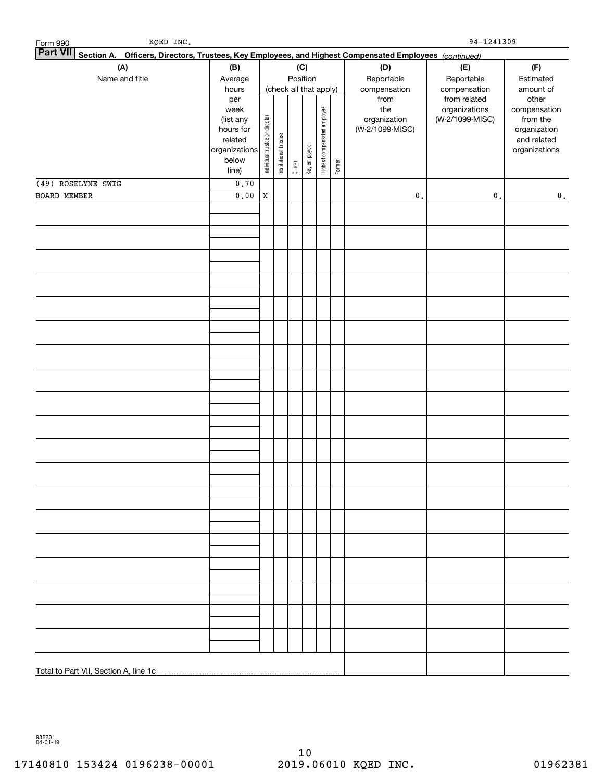| KQED INC.<br>Form 990                                                                                  |                          |                                |                       |         |              |                              | 94-1241309 |                 |                 |                              |  |  |
|--------------------------------------------------------------------------------------------------------|--------------------------|--------------------------------|-----------------------|---------|--------------|------------------------------|------------|-----------------|-----------------|------------------------------|--|--|
| Section A. Officers, Directors, Trustees, Key Employees, and Highest Compensated Employees (continued) |                          |                                |                       |         |              |                              |            |                 |                 |                              |  |  |
| (A)                                                                                                    | (B)                      |                                |                       |         | (C)          |                              |            | (D)             | (E)             | (F)                          |  |  |
| Name and title                                                                                         | Average                  |                                |                       |         | Position     |                              |            | Reportable      | Reportable      | Estimated                    |  |  |
|                                                                                                        | hours                    |                                |                       |         |              | (check all that apply)       |            | compensation    | compensation    | amount of                    |  |  |
|                                                                                                        | per                      |                                |                       |         |              |                              |            | from            | from related    | other                        |  |  |
|                                                                                                        | week                     |                                |                       |         |              |                              |            | the             | organizations   | compensation                 |  |  |
|                                                                                                        | (list any                |                                |                       |         |              |                              |            | organization    | (W-2/1099-MISC) | from the                     |  |  |
|                                                                                                        | hours for                |                                |                       |         |              |                              |            | (W-2/1099-MISC) |                 | organization                 |  |  |
|                                                                                                        | related<br>organizations |                                |                       |         |              |                              |            |                 |                 | and related<br>organizations |  |  |
|                                                                                                        | below                    |                                |                       |         |              |                              |            |                 |                 |                              |  |  |
|                                                                                                        | line)                    | Individual trustee or director | Institutional trustee | Officer | Key employee | Highest compensated employee | Former     |                 |                 |                              |  |  |
| (49) ROSELYNE SWIG                                                                                     | $0\,$ , $7\,0\,$         |                                |                       |         |              |                              |            |                 |                 |                              |  |  |
| BOARD MEMBER                                                                                           | 0.00                     | $\mathbf x$                    |                       |         |              |                              |            | $\mathbf 0$ .   | $\mathfrak o$ . | $\mathbf 0$ .                |  |  |
|                                                                                                        |                          |                                |                       |         |              |                              |            |                 |                 |                              |  |  |
|                                                                                                        |                          |                                |                       |         |              |                              |            |                 |                 |                              |  |  |
|                                                                                                        |                          |                                |                       |         |              |                              |            |                 |                 |                              |  |  |
|                                                                                                        |                          |                                |                       |         |              |                              |            |                 |                 |                              |  |  |
|                                                                                                        |                          |                                |                       |         |              |                              |            |                 |                 |                              |  |  |
|                                                                                                        |                          |                                |                       |         |              |                              |            |                 |                 |                              |  |  |
|                                                                                                        |                          |                                |                       |         |              |                              |            |                 |                 |                              |  |  |
|                                                                                                        |                          |                                |                       |         |              |                              |            |                 |                 |                              |  |  |
|                                                                                                        |                          |                                |                       |         |              |                              |            |                 |                 |                              |  |  |
|                                                                                                        |                          |                                |                       |         |              |                              |            |                 |                 |                              |  |  |
|                                                                                                        |                          |                                |                       |         |              |                              |            |                 |                 |                              |  |  |
|                                                                                                        |                          |                                |                       |         |              |                              |            |                 |                 |                              |  |  |
|                                                                                                        |                          |                                |                       |         |              |                              |            |                 |                 |                              |  |  |
|                                                                                                        |                          |                                |                       |         |              |                              |            |                 |                 |                              |  |  |
|                                                                                                        |                          |                                |                       |         |              |                              |            |                 |                 |                              |  |  |
|                                                                                                        |                          |                                |                       |         |              |                              |            |                 |                 |                              |  |  |
|                                                                                                        |                          |                                |                       |         |              |                              |            |                 |                 |                              |  |  |
|                                                                                                        |                          |                                |                       |         |              |                              |            |                 |                 |                              |  |  |
|                                                                                                        |                          |                                |                       |         |              |                              |            |                 |                 |                              |  |  |
|                                                                                                        |                          |                                |                       |         |              |                              |            |                 |                 |                              |  |  |
|                                                                                                        |                          |                                |                       |         |              |                              |            |                 |                 |                              |  |  |
|                                                                                                        |                          |                                |                       |         |              |                              |            |                 |                 |                              |  |  |
|                                                                                                        |                          |                                |                       |         |              |                              |            |                 |                 |                              |  |  |
|                                                                                                        |                          |                                |                       |         |              |                              |            |                 |                 |                              |  |  |
|                                                                                                        |                          |                                |                       |         |              |                              |            |                 |                 |                              |  |  |
|                                                                                                        |                          |                                |                       |         |              |                              |            |                 |                 |                              |  |  |
|                                                                                                        |                          |                                |                       |         |              |                              |            |                 |                 |                              |  |  |
|                                                                                                        |                          |                                |                       |         |              |                              |            |                 |                 |                              |  |  |
|                                                                                                        |                          |                                |                       |         |              |                              |            |                 |                 |                              |  |  |
|                                                                                                        |                          |                                |                       |         |              |                              |            |                 |                 |                              |  |  |
|                                                                                                        |                          |                                |                       |         |              |                              |            |                 |                 |                              |  |  |
|                                                                                                        |                          |                                |                       |         |              |                              |            |                 |                 |                              |  |  |
|                                                                                                        |                          |                                |                       |         |              |                              |            |                 |                 |                              |  |  |
|                                                                                                        |                          |                                |                       |         |              |                              |            |                 |                 |                              |  |  |
|                                                                                                        |                          |                                |                       |         |              |                              |            |                 |                 |                              |  |  |
|                                                                                                        |                          |                                |                       |         |              |                              |            |                 |                 |                              |  |  |
|                                                                                                        |                          |                                |                       |         |              |                              |            |                 |                 |                              |  |  |
|                                                                                                        |                          |                                |                       |         |              |                              |            |                 |                 |                              |  |  |
| Total to Part VII, Section A, line 1c                                                                  |                          |                                |                       |         |              |                              |            |                 |                 |                              |  |  |

932201 04-01-19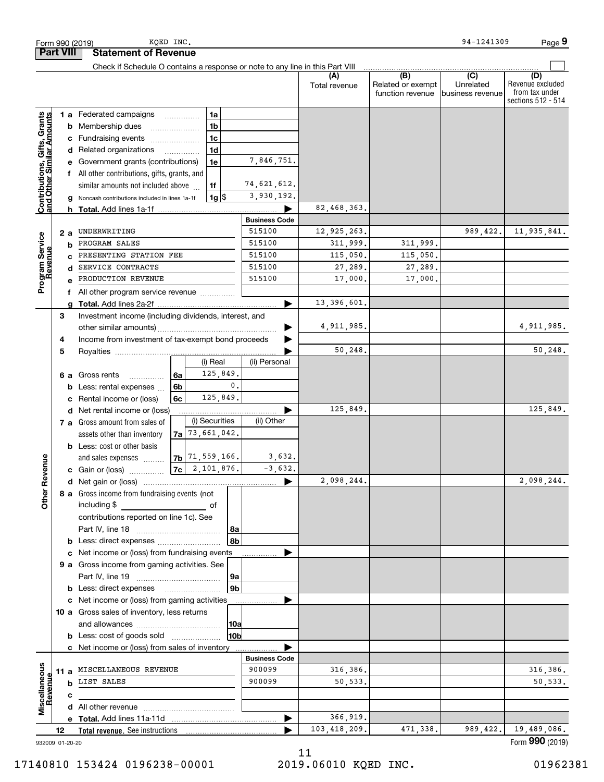|                                                           |                  | Form 990 (2019)                                                               | KQED INC. |                      |                      |                      |                                              | 94-1241309                                      | Page 9                                                          |
|-----------------------------------------------------------|------------------|-------------------------------------------------------------------------------|-----------|----------------------|----------------------|----------------------|----------------------------------------------|-------------------------------------------------|-----------------------------------------------------------------|
|                                                           | <b>Part VIII</b> | <b>Statement of Revenue</b>                                                   |           |                      |                      |                      |                                              |                                                 |                                                                 |
|                                                           |                  | Check if Schedule O contains a response or note to any line in this Part VIII |           |                      |                      |                      |                                              |                                                 |                                                                 |
|                                                           |                  |                                                                               |           |                      |                      | (A)<br>Total revenue | (B)<br>Related or exempt<br>function revenue | $\overline{C}$<br>Unrelated<br>business revenue | (D)<br>Revenue excluded<br>from tax under<br>sections 512 - 514 |
|                                                           |                  | 1 a Federated campaigns                                                       |           | 1a                   |                      |                      |                                              |                                                 |                                                                 |
|                                                           |                  | <b>b</b> Membership dues                                                      |           | 1 <sub>b</sub>       |                      |                      |                                              |                                                 |                                                                 |
|                                                           |                  | c Fundraising events                                                          |           | 1c                   |                      |                      |                                              |                                                 |                                                                 |
|                                                           |                  | d Related organizations                                                       |           | 1 <sub>d</sub>       |                      |                      |                                              |                                                 |                                                                 |
|                                                           | е                | Government grants (contributions)<br>1e                                       |           | 7,846,751.           |                      |                      |                                              |                                                 |                                                                 |
|                                                           |                  | f All other contributions, gifts, grants, and                                 |           |                      |                      |                      |                                              |                                                 |                                                                 |
| Contributions, Gifts, Grants<br>and Other Similar Amounts |                  | similar amounts not included above                                            |           | 1f                   | 74,621,612.          |                      |                                              |                                                 |                                                                 |
|                                                           | g                | Noncash contributions included in lines 1a-1f                                 |           | $1g$ \$              | 3,930,192.           |                      |                                              |                                                 |                                                                 |
|                                                           |                  | <b>h</b> Total. Add lines 1a-1f                                               |           |                      |                      | 82,468,363.          |                                              |                                                 |                                                                 |
|                                                           |                  |                                                                               |           |                      | <b>Business Code</b> |                      |                                              |                                                 |                                                                 |
|                                                           | 2 a              | UNDERWRITING                                                                  |           |                      | 515100               | 12,925,263.          |                                              | 989,422.                                        | 11,935,841.                                                     |
|                                                           | b                | PROGRAM SALES                                                                 |           |                      | 515100               | 311.999.             | 311,999.                                     |                                                 |                                                                 |
| Program Service<br>Revenue                                | C                | PRESENTING STATION FEE                                                        |           |                      | 515100               | 115,050.             | 115,050.                                     |                                                 |                                                                 |
|                                                           | d                | SERVICE CONTRACTS                                                             |           |                      | 515100               | 27,289.              | 27,289.                                      |                                                 |                                                                 |
|                                                           | e                | PRODUCTION REVENUE                                                            |           |                      | 515100               | 17,000.              | 17,000.                                      |                                                 |                                                                 |
|                                                           |                  | f All other program service revenue                                           |           |                      |                      |                      |                                              |                                                 |                                                                 |
|                                                           | g                |                                                                               |           |                      |                      | 13,396,601.          |                                              |                                                 |                                                                 |
|                                                           | 3                | Investment income (including dividends, interest, and                         |           |                      |                      |                      |                                              |                                                 |                                                                 |
|                                                           |                  |                                                                               |           |                      |                      | 4,911,985.           |                                              |                                                 | 4,911,985.                                                      |
|                                                           | 4                | Income from investment of tax-exempt bond proceeds                            |           |                      |                      |                      |                                              |                                                 |                                                                 |
|                                                           | 5                |                                                                               |           |                      |                      | 50, 248.             |                                              |                                                 | 50, 248.                                                        |
|                                                           |                  |                                                                               |           | (i) Real             | (ii) Personal        |                      |                                              |                                                 |                                                                 |
|                                                           |                  | 6 a Gross rents<br>.                                                          | 6a        | 125,849.             |                      |                      |                                              |                                                 |                                                                 |
|                                                           | b                | Less: rental expenses                                                         | 6b        | $\mathbf{0}$ .       |                      |                      |                                              |                                                 |                                                                 |
|                                                           | c                | Rental income or (loss)                                                       | 6c        | 125,849.             |                      |                      |                                              |                                                 |                                                                 |
|                                                           |                  | d Net rental income or (loss)                                                 |           |                      |                      | 125,849.             |                                              |                                                 | 125,849.                                                        |
|                                                           |                  | 7 a Gross amount from sales of                                                |           | (i) Securities       | (ii) Other           |                      |                                              |                                                 |                                                                 |
|                                                           |                  | assets other than inventory                                                   |           | $7a$ 73, 661, 042.   |                      |                      |                                              |                                                 |                                                                 |
|                                                           |                  | <b>b</b> Less: cost or other basis                                            |           |                      |                      |                      |                                              |                                                 |                                                                 |
|                                                           |                  | and sales expenses                                                            |           | $ 7b $ 71, 559, 166. | 3,632.               |                      |                                              |                                                 |                                                                 |
| evenue                                                    |                  | c Gain or (loss)                                                              | 7c        | 2,101,876.           | $-3,632.$            |                      |                                              |                                                 |                                                                 |
| œ                                                         |                  |                                                                               |           |                      |                      | 2,098,244.           |                                              |                                                 | 2,098,244.                                                      |
|                                                           |                  | 8 a Gross income from fundraising events (not                                 |           |                      |                      |                      |                                              |                                                 |                                                                 |
| Other                                                     |                  | including \$<br>$\overline{\phantom{a}}$ of                                   |           |                      |                      |                      |                                              |                                                 |                                                                 |
|                                                           |                  | contributions reported on line 1c). See                                       |           |                      |                      |                      |                                              |                                                 |                                                                 |
|                                                           |                  |                                                                               |           | 8a                   |                      |                      |                                              |                                                 |                                                                 |
|                                                           |                  | <b>b</b> Less: direct expenses <i>manually contained</i>                      |           | 8b                   |                      |                      |                                              |                                                 |                                                                 |
|                                                           |                  | c Net income or (loss) from fundraising events                                |           |                      |                      |                      |                                              |                                                 |                                                                 |
|                                                           |                  | 9 a Gross income from gaming activities. See                                  |           |                      |                      |                      |                                              |                                                 |                                                                 |
|                                                           |                  |                                                                               |           | 9a                   |                      |                      |                                              |                                                 |                                                                 |
|                                                           |                  | <b>b</b> Less: direct expenses <b>manually</b>                                |           | 9 <sub>b</sub>       |                      |                      |                                              |                                                 |                                                                 |
|                                                           |                  | c Net income or (loss) from gaming activities                                 |           |                      |                      |                      |                                              |                                                 |                                                                 |
|                                                           |                  | 10 a Gross sales of inventory, less returns                                   |           |                      |                      |                      |                                              |                                                 |                                                                 |
|                                                           |                  |                                                                               |           | 10a                  |                      |                      |                                              |                                                 |                                                                 |
|                                                           |                  | <b>b</b> Less: cost of goods sold                                             |           | 10b                  |                      |                      |                                              |                                                 |                                                                 |
|                                                           |                  | c Net income or (loss) from sales of inventory                                |           |                      |                      |                      |                                              |                                                 |                                                                 |
|                                                           |                  |                                                                               |           |                      | <b>Business Code</b> |                      |                                              |                                                 |                                                                 |
| Miscellaneous<br>Revenue                                  |                  | 11 a MISCELLANEOUS REVENUE                                                    |           |                      | 900099               | 316,386.             |                                              |                                                 | 316,386.                                                        |
|                                                           |                  | b LIST SALES                                                                  |           |                      | 900099               | 50,533.              |                                              |                                                 | 50, 533.                                                        |
|                                                           | с                |                                                                               |           |                      |                      |                      |                                              |                                                 |                                                                 |
|                                                           |                  |                                                                               |           |                      |                      |                      |                                              |                                                 |                                                                 |
|                                                           |                  |                                                                               |           |                      |                      | 366,919.             |                                              |                                                 |                                                                 |
|                                                           | 12               |                                                                               |           |                      |                      | 103, 418, 209.       | 471,338.                                     | 989,422.                                        | 19,489,086.                                                     |
|                                                           | 932009 01-20-20  |                                                                               |           |                      |                      |                      |                                              |                                                 | Form 990 (2019)                                                 |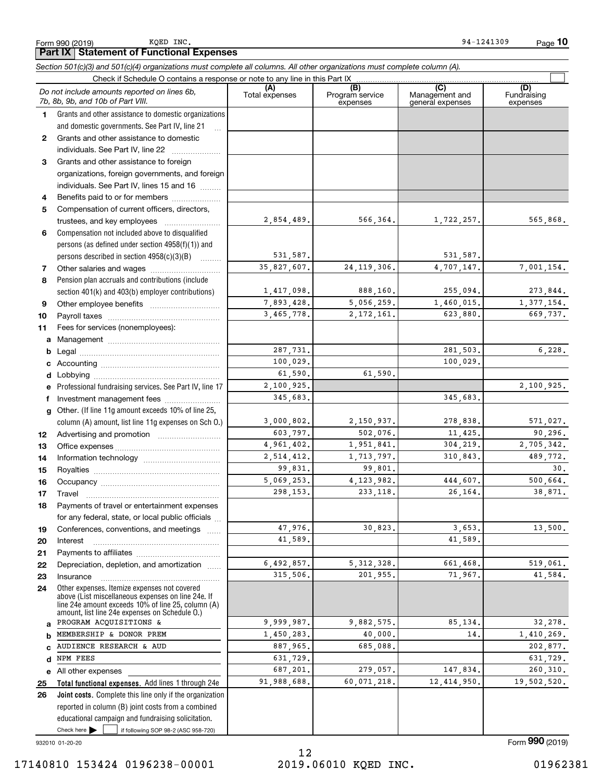|              | Section 501(c)(3) and 501(c)(4) organizations must complete all columns. All other organizations must complete column (A).                                                                                 |                       |                                    |                                    |                                |  |
|--------------|------------------------------------------------------------------------------------------------------------------------------------------------------------------------------------------------------------|-----------------------|------------------------------------|------------------------------------|--------------------------------|--|
|              | Check if Schedule O contains a response or note to any line in this Part IX                                                                                                                                |                       |                                    | (C)                                |                                |  |
|              | Do not include amounts reported on lines 6b,<br>7b, 8b, 9b, and 10b of Part VIII.                                                                                                                          | (A)<br>Total expenses | (B)<br>Program service<br>expenses | Management and<br>general expenses | (D)<br>Fundraising<br>expenses |  |
| $\mathbf 1$  | Grants and other assistance to domestic organizations                                                                                                                                                      |                       |                                    |                                    |                                |  |
|              | and domestic governments. See Part IV, line 21                                                                                                                                                             |                       |                                    |                                    |                                |  |
| $\mathbf{2}$ | Grants and other assistance to domestic                                                                                                                                                                    |                       |                                    |                                    |                                |  |
|              | individuals. See Part IV, line 22                                                                                                                                                                          |                       |                                    |                                    |                                |  |
| 3            | Grants and other assistance to foreign                                                                                                                                                                     |                       |                                    |                                    |                                |  |
|              | organizations, foreign governments, and foreign                                                                                                                                                            |                       |                                    |                                    |                                |  |
|              | individuals. See Part IV, lines 15 and 16                                                                                                                                                                  |                       |                                    |                                    |                                |  |
| 4            | Benefits paid to or for members                                                                                                                                                                            |                       |                                    |                                    |                                |  |
| 5            | Compensation of current officers, directors,                                                                                                                                                               |                       |                                    |                                    |                                |  |
|              | trustees, and key employees                                                                                                                                                                                | 2,854,489.            | 566, 364.                          | 1,722,257.                         | 565,868.                       |  |
| 6            | Compensation not included above to disqualified                                                                                                                                                            |                       |                                    |                                    |                                |  |
|              | persons (as defined under section 4958(f)(1)) and                                                                                                                                                          |                       |                                    |                                    |                                |  |
|              | persons described in section 4958(c)(3)(B)                                                                                                                                                                 | 531,587.              |                                    | 531,587.                           |                                |  |
| 7            |                                                                                                                                                                                                            | 35,827,607.           | 24, 119, 306.                      | 4,707,147.                         | 7,001,154.                     |  |
| 8            | Pension plan accruals and contributions (include                                                                                                                                                           |                       |                                    |                                    |                                |  |
|              | section 401(k) and 403(b) employer contributions)                                                                                                                                                          | 1,417,098.            | 888,160.                           | 255,094.                           | 273,844.                       |  |
| 9            |                                                                                                                                                                                                            | 7,893,428.            | 5,056,259.                         | 1,460,015.                         | $\overline{1,}377,154.$        |  |
| 10           |                                                                                                                                                                                                            | 3,465,778.            | 2, 172, 161.                       | 623,880.                           | 669,737.                       |  |
| 11           | Fees for services (nonemployees):                                                                                                                                                                          |                       |                                    |                                    |                                |  |
| a            |                                                                                                                                                                                                            |                       |                                    |                                    |                                |  |
| b            |                                                                                                                                                                                                            | 287,731.              |                                    | 281,503.                           | 6,228.                         |  |
|              |                                                                                                                                                                                                            | 100,029.              |                                    | 100,029.                           |                                |  |
| d            |                                                                                                                                                                                                            | 61,590.               | 61,590.                            |                                    |                                |  |
|              | Professional fundraising services. See Part IV, line 17                                                                                                                                                    | 2,100,925.            |                                    |                                    | 2,100,925.                     |  |
|              | Investment management fees                                                                                                                                                                                 | 345,683.              |                                    | 345,683.                           |                                |  |
| g            | Other. (If line 11g amount exceeds 10% of line 25,                                                                                                                                                         |                       |                                    |                                    |                                |  |
|              | column (A) amount, list line 11g expenses on Sch O.)                                                                                                                                                       | 3,000,802.            | 2,150,937.                         | 278,838.                           | 571,027.                       |  |
| 12           |                                                                                                                                                                                                            | 603,797.              | 502,076.                           | 11,425.                            | 90, 296.                       |  |
| 13           |                                                                                                                                                                                                            | 4,961,402.            | 1,951,841.                         | 304, 219.                          | 2,705,342.                     |  |
| 14           |                                                                                                                                                                                                            | 2,514,412.            | 1,713,797.                         | 310,843.                           | 489,772.                       |  |
| 15           |                                                                                                                                                                                                            | 99,831.               | 99,801.                            |                                    | 30.                            |  |
| 16           |                                                                                                                                                                                                            | 5,069,253.            | 4, 123, 982.                       | 444,607.                           | 500,664.                       |  |
| 17           |                                                                                                                                                                                                            | 298,153.              | 233, 118.                          | 26, 164.                           | 38,871.                        |  |
| 18           | Payments of travel or entertainment expenses                                                                                                                                                               |                       |                                    |                                    |                                |  |
|              | for any federal, state, or local public officials                                                                                                                                                          |                       |                                    |                                    |                                |  |
| 19           | Conferences, conventions, and meetings                                                                                                                                                                     | 47,976.               | 30,823.                            | 3,653.                             | 13,500.                        |  |
| 20           | Interest                                                                                                                                                                                                   | 41,589.               |                                    | 41,589.                            |                                |  |
| 21           |                                                                                                                                                                                                            |                       |                                    |                                    |                                |  |
| 22           | Depreciation, depletion, and amortization                                                                                                                                                                  | 6,492,857.            | 5, 312, 328.                       | 661,468.                           | 519,061.                       |  |
| 23           | Insurance                                                                                                                                                                                                  | 315,506.              | 201,955.                           | 71,967.                            | 41,584.                        |  |
| 24           | Other expenses. Itemize expenses not covered<br>above (List miscellaneous expenses on line 24e. If<br>line 24e amount exceeds 10% of line 25, column (A)<br>amount, list line 24e expenses on Schedule O.) |                       |                                    |                                    |                                |  |
| a            | PROGRAM ACQUISITIONS &                                                                                                                                                                                     | 9,999,987.            | 9,882,575.                         | 85, 134.                           | 32,278.                        |  |
| b            | MEMBERSHIP & DONOR PREM                                                                                                                                                                                    | 1,450,283.            | 40,000.                            | 14.                                | 1,410,269.                     |  |
|              | AUDIENCE RESEARCH & AUD                                                                                                                                                                                    | 887,965.              | 685,088.                           |                                    | 202,877.                       |  |
| d            | NPM FEES                                                                                                                                                                                                   | 631,729.              |                                    |                                    | 631,729.                       |  |
|              | e All other expenses                                                                                                                                                                                       | 687,201.              | 279,057.                           | 147,834.                           | 260, 310.                      |  |
| 25           | Total functional expenses. Add lines 1 through 24e                                                                                                                                                         | 91,988,688.           | 60,071,218.                        | 12,414,950.                        | 19,502,520.                    |  |
| 26           | Joint costs. Complete this line only if the organization                                                                                                                                                   |                       |                                    |                                    |                                |  |
|              | reported in column (B) joint costs from a combined                                                                                                                                                         |                       |                                    |                                    |                                |  |
|              | educational campaign and fundraising solicitation.                                                                                                                                                         |                       |                                    |                                    |                                |  |
|              | Check here $\blacktriangleright$<br>if following SOP 98-2 (ASC 958-720)                                                                                                                                    |                       |                                    |                                    |                                |  |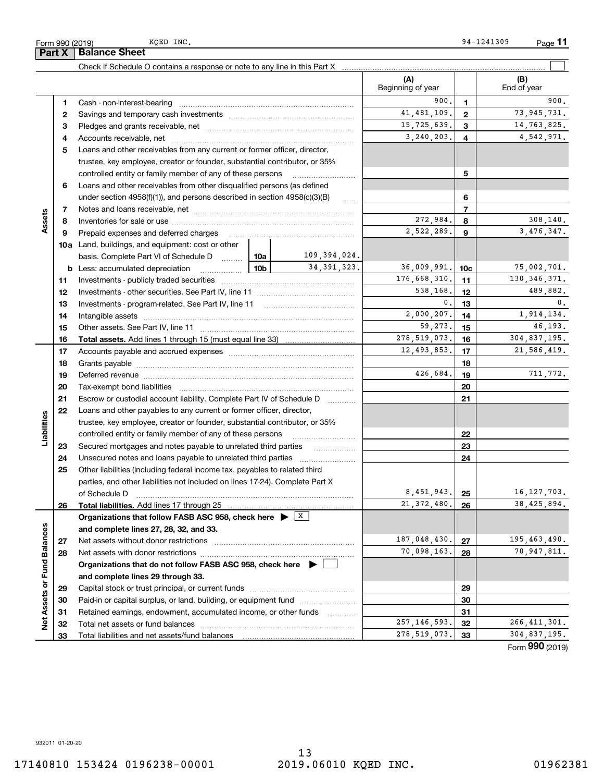**Part X Balance Sheet**

|                             |          |                                                                                                                                                                                                                                |                 |                     | (A)<br>Beginning of year |                 | (B)<br>End of year |
|-----------------------------|----------|--------------------------------------------------------------------------------------------------------------------------------------------------------------------------------------------------------------------------------|-----------------|---------------------|--------------------------|-----------------|--------------------|
|                             | 1        |                                                                                                                                                                                                                                |                 |                     | 900.                     | $\mathbf{1}$    | 900.               |
|                             | 2        |                                                                                                                                                                                                                                |                 |                     | 41, 481, 109.            | $\mathbf{2}$    | 73, 945, 731.      |
|                             | 3        |                                                                                                                                                                                                                                |                 |                     | 15,725,639.              | 3               | 14,763,825.        |
|                             | 4        |                                                                                                                                                                                                                                |                 | 3, 240, 203.        | 4                        | 4,542,971.      |                    |
|                             | 5        | Loans and other receivables from any current or former officer, director,                                                                                                                                                      |                 |                     |                          |                 |                    |
|                             |          | trustee, key employee, creator or founder, substantial contributor, or 35%                                                                                                                                                     |                 |                     |                          |                 |                    |
|                             |          | controlled entity or family member of any of these persons                                                                                                                                                                     |                 |                     |                          | 5               |                    |
|                             | 6        | Loans and other receivables from other disqualified persons (as defined                                                                                                                                                        |                 |                     |                          |                 |                    |
|                             |          | under section $4958(f)(1)$ , and persons described in section $4958(c)(3)(B)$                                                                                                                                                  |                 | $\sim$              |                          | 6               |                    |
|                             | 7        |                                                                                                                                                                                                                                |                 |                     | $\overline{7}$           |                 |                    |
| Assets                      | 8        |                                                                                                                                                                                                                                |                 |                     | 272,984.                 | 8               | 308, 140.          |
|                             | 9        | Prepaid expenses and deferred charges                                                                                                                                                                                          |                 |                     | 2,522,289.               | 9               | 3,476,347.         |
|                             |          | <b>10a</b> Land, buildings, and equipment: cost or other                                                                                                                                                                       |                 |                     |                          |                 |                    |
|                             |          | basis. Complete Part VI of Schedule D  10a                                                                                                                                                                                     |                 | 109,394,024.        |                          |                 |                    |
|                             |          | <b>b</b> Less: accumulated depreciation                                                                                                                                                                                        | 10 <sub>b</sub> | 34, 391, 323.       | 36,009,991.              | 10 <sub>c</sub> | 75,002,701.        |
|                             | 11       |                                                                                                                                                                                                                                |                 | 176,668,310.        | 11                       | 130, 346, 371.  |                    |
|                             | 12       |                                                                                                                                                                                                                                |                 | 538,168.            | 12                       | 489,882.        |                    |
|                             | 13       |                                                                                                                                                                                                                                | 0.              | 13                  | 0.                       |                 |                    |
|                             | 14       |                                                                                                                                                                                                                                | 2,000,207.      | 14                  | 1,914,134.               |                 |                    |
|                             | 15       |                                                                                                                                                                                                                                |                 | 59,273.             | 15                       | 46,193.         |                    |
|                             | 16       |                                                                                                                                                                                                                                |                 |                     | 278, 519, 073.           | 16              | 304,837,195.       |
|                             | 17       |                                                                                                                                                                                                                                |                 |                     | 12,493,853.              | 17              | 21,586,419.        |
|                             | 18       |                                                                                                                                                                                                                                |                 |                     | 18                       |                 |                    |
|                             | 19       | Deferred revenue manual contracts and contracts are all the contracts and contracts are contracted and contracts are contracted and contract are contracted and contract are contracted and contract are contracted and contra |                 |                     | 426,684.                 | 19              | 711,772.           |
|                             | 20       |                                                                                                                                                                                                                                |                 |                     | 20                       |                 |                    |
|                             | 21       | Escrow or custodial account liability. Complete Part IV of Schedule D                                                                                                                                                          |                 | 1.1.1.1.1.1.1.1.1.1 |                          | 21              |                    |
|                             | 22       | Loans and other payables to any current or former officer, director,                                                                                                                                                           |                 |                     |                          |                 |                    |
| Liabilities                 |          | trustee, key employee, creator or founder, substantial contributor, or 35%                                                                                                                                                     |                 |                     |                          |                 |                    |
|                             |          | controlled entity or family member of any of these persons                                                                                                                                                                     |                 |                     |                          | 22              |                    |
|                             | 23       | Secured mortgages and notes payable to unrelated third parties                                                                                                                                                                 |                 |                     |                          | 23              |                    |
|                             | 24       |                                                                                                                                                                                                                                |                 |                     |                          | 24              |                    |
|                             | 25       | Other liabilities (including federal income tax, payables to related third                                                                                                                                                     |                 |                     |                          |                 |                    |
|                             |          | parties, and other liabilities not included on lines 17-24). Complete Part X                                                                                                                                                   |                 |                     |                          |                 |                    |
|                             |          | of Schedule D                                                                                                                                                                                                                  |                 |                     | 8,451,943.               | 25              | 16, 127, 703.      |
|                             | 26       | Total liabilities. Add lines 17 through 25                                                                                                                                                                                     |                 |                     | 21, 372, 480.            | 26              | 38, 425, 894.      |
|                             |          | Organizations that follow FASB ASC 958, check here $\blacktriangleright$ $\lfloor x \rfloor$                                                                                                                                   |                 |                     |                          |                 |                    |
|                             |          | and complete lines 27, 28, 32, and 33.                                                                                                                                                                                         |                 |                     | 187,048,430.             | 27              | 195,463,490.       |
|                             | 27       |                                                                                                                                                                                                                                |                 |                     | 70,098,163.              |                 | 70,947,811.        |
|                             | 28       |                                                                                                                                                                                                                                |                 |                     |                          | 28              |                    |
|                             |          | Organizations that do not follow FASB ASC 958, check here ▶ │<br>and complete lines 29 through 33.                                                                                                                             |                 |                     |                          |                 |                    |
|                             |          |                                                                                                                                                                                                                                |                 |                     |                          | 29              |                    |
| Net Assets or Fund Balances | 29<br>30 | Paid-in or capital surplus, or land, building, or equipment fund                                                                                                                                                               |                 |                     |                          | 30              |                    |
|                             | 31       | Retained earnings, endowment, accumulated income, or other funds                                                                                                                                                               |                 |                     |                          | 31              |                    |
|                             | 32       |                                                                                                                                                                                                                                |                 |                     | 257, 146, 593.           | 32              | 266, 411, 301.     |
|                             | 33       |                                                                                                                                                                                                                                |                 |                     | 278, 519, 073.           | 33              | 304,837,195.       |
|                             |          |                                                                                                                                                                                                                                |                 |                     |                          |                 | റററ                |

Form (2019) **990**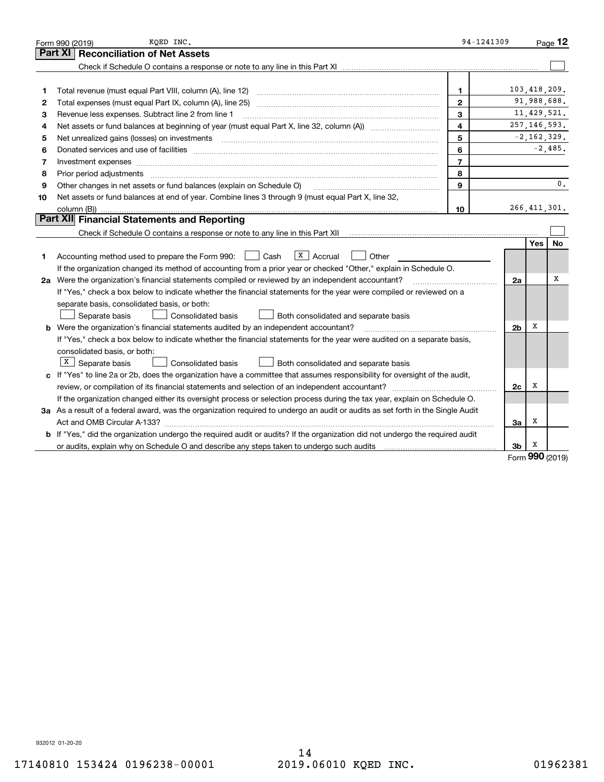|    | KOED INC.<br>Form 990 (2019)                                                                                                                                                                                                   | 94-1241309              |                |                 | Page 12        |
|----|--------------------------------------------------------------------------------------------------------------------------------------------------------------------------------------------------------------------------------|-------------------------|----------------|-----------------|----------------|
|    | <b>Reconciliation of Net Assets</b><br>Part XI                                                                                                                                                                                 |                         |                |                 |                |
|    |                                                                                                                                                                                                                                |                         |                |                 |                |
|    |                                                                                                                                                                                                                                |                         |                |                 |                |
| 1  |                                                                                                                                                                                                                                | $\mathbf{1}$            |                | 103,418,209.    |                |
| 2  | Total expenses (must equal Part IX, column (A), line 25) [11] manufactured expenses (must equal Part IX, column (A), line 25)                                                                                                  | $\mathbf{2}$            |                | 91,988,688.     |                |
| 3  | Revenue less expenses. Subtract line 2 from line 1                                                                                                                                                                             | 3                       |                | 11, 429, 521.   |                |
| 4  |                                                                                                                                                                                                                                | $\overline{\mathbf{4}}$ |                | 257, 146, 593.  |                |
| 5  | Net unrealized gains (losses) on investments [11] matter continuum matter is a set of the set of the set of the                                                                                                                | 5                       |                | $-2, 162, 329.$ |                |
| 6  | Donated services and use of facilities [111] Donated and the service of facilities [11] Donated services and use of facilities [11] Donated and the service of the service of the service of the service of the service of the | 6                       |                |                 | $-2,485.$      |
| 7  | Investment expenses www.communication.com/www.communication.com/www.communication.com/www.com                                                                                                                                  | $\overline{7}$          |                |                 |                |
| 8  | Prior period adjustments www.communication.communication.communication.com/                                                                                                                                                    | 8                       |                |                 |                |
| 9  | Other changes in net assets or fund balances (explain on Schedule O)                                                                                                                                                           | $\mathbf{9}$            |                |                 | $\mathbf{0}$ . |
| 10 | Net assets or fund balances at end of year. Combine lines 3 through 9 (must equal Part X, line 32,                                                                                                                             |                         |                |                 |                |
|    |                                                                                                                                                                                                                                | 10                      |                | 266, 411, 301.  |                |
|    | Part XII Financial Statements and Reporting                                                                                                                                                                                    |                         |                |                 |                |
|    |                                                                                                                                                                                                                                |                         |                |                 |                |
|    |                                                                                                                                                                                                                                |                         |                | Yes.            | <b>No</b>      |
| 1  | $X \vert$ Accrual<br>Accounting method used to prepare the Form 990: <u>[</u> Cash<br>Other                                                                                                                                    |                         |                |                 |                |
|    | If the organization changed its method of accounting from a prior year or checked "Other," explain in Schedule O.                                                                                                              |                         |                |                 |                |
|    | 2a Were the organization's financial statements compiled or reviewed by an independent accountant?                                                                                                                             |                         | 2a             |                 | X              |
|    | If "Yes," check a box below to indicate whether the financial statements for the year were compiled or reviewed on a                                                                                                           |                         |                |                 |                |
|    | separate basis, consolidated basis, or both:                                                                                                                                                                                   |                         |                |                 |                |
|    | Separate basis<br>Consolidated basis<br>Both consolidated and separate basis                                                                                                                                                   |                         |                |                 |                |
|    | <b>b</b> Were the organization's financial statements audited by an independent accountant?                                                                                                                                    |                         | 2 <sub>b</sub> | х               |                |
|    | If "Yes," check a box below to indicate whether the financial statements for the year were audited on a separate basis,                                                                                                        |                         |                |                 |                |
|    | consolidated basis, or both:                                                                                                                                                                                                   |                         |                |                 |                |
|    | $\vert$ X $\vert$ Separate basis<br>Consolidated basis<br>Both consolidated and separate basis                                                                                                                                 |                         |                |                 |                |
|    | c If "Yes" to line 2a or 2b, does the organization have a committee that assumes responsibility for oversight of the audit,                                                                                                    |                         |                |                 |                |
|    | review, or compilation of its financial statements and selection of an independent accountant?                                                                                                                                 |                         | 2c             | х               |                |
|    | If the organization changed either its oversight process or selection process during the tax year, explain on Schedule O.                                                                                                      |                         |                |                 |                |
|    | 3a As a result of a federal award, was the organization required to undergo an audit or audits as set forth in the Single Audit                                                                                                |                         |                |                 |                |
|    |                                                                                                                                                                                                                                |                         | За             | х               |                |
|    | b If "Yes," did the organization undergo the required audit or audits? If the organization did not undergo the required audit                                                                                                  |                         |                |                 |                |
|    |                                                                                                                                                                                                                                |                         | 3b             | х               |                |

Form (2019) **990**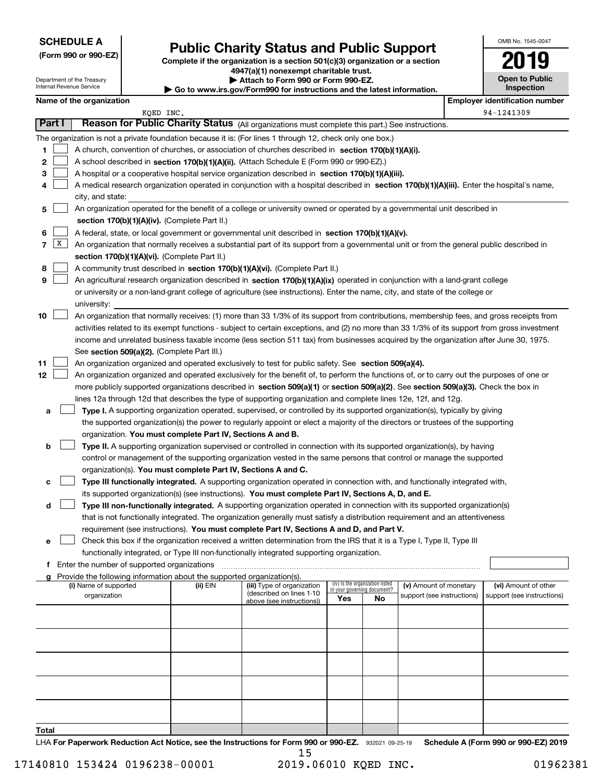| <b>SCHEDULE A</b> |
|-------------------|
|-------------------|

Department of the Treasury

**(Form 990 or 990-EZ)**

# **Public Charity Status and Public Support**

**Complete if the organization is a section 501(c)(3) organization or a section 4947(a)(1) nonexempt charitable trust. | Attach to Form 990 or Form 990-EZ.** 

| OMB No 1545-0047                    |
|-------------------------------------|
| 2019                                |
| <b>Open to Public</b><br>Inspection |

|       |        | Internal Revenue Service |                                             |                                                                        | Go to www.irs.gov/Form990 for instructions and the latest information.                                                                        |                             |                                 |                            |            | <b>Inspection</b>                     |
|-------|--------|--------------------------|---------------------------------------------|------------------------------------------------------------------------|-----------------------------------------------------------------------------------------------------------------------------------------------|-----------------------------|---------------------------------|----------------------------|------------|---------------------------------------|
|       |        | Name of the organization |                                             |                                                                        |                                                                                                                                               |                             |                                 |                            |            | <b>Employer identification number</b> |
|       |        |                          | KQED INC.                                   |                                                                        |                                                                                                                                               |                             |                                 |                            | 94-1241309 |                                       |
|       | Part I |                          |                                             |                                                                        | Reason for Public Charity Status (All organizations must complete this part.) See instructions.                                               |                             |                                 |                            |            |                                       |
|       |        |                          |                                             |                                                                        | The organization is not a private foundation because it is: (For lines 1 through 12, check only one box.)                                     |                             |                                 |                            |            |                                       |
| 1     |        |                          |                                             |                                                                        | A church, convention of churches, or association of churches described in section 170(b)(1)(A)(i).                                            |                             |                                 |                            |            |                                       |
| 2     |        |                          |                                             |                                                                        | A school described in section 170(b)(1)(A)(ii). (Attach Schedule E (Form 990 or 990-EZ).)                                                     |                             |                                 |                            |            |                                       |
| З     |        |                          |                                             |                                                                        | A hospital or a cooperative hospital service organization described in section 170(b)(1)(A)(iii).                                             |                             |                                 |                            |            |                                       |
| 4     |        |                          |                                             |                                                                        | A medical research organization operated in conjunction with a hospital described in section 170(b)(1)(A)(iii). Enter the hospital's name,    |                             |                                 |                            |            |                                       |
|       |        | city, and state:         |                                             |                                                                        |                                                                                                                                               |                             |                                 |                            |            |                                       |
| 5     |        |                          |                                             |                                                                        | An organization operated for the benefit of a college or university owned or operated by a governmental unit described in                     |                             |                                 |                            |            |                                       |
|       |        |                          |                                             | section 170(b)(1)(A)(iv). (Complete Part II.)                          |                                                                                                                                               |                             |                                 |                            |            |                                       |
| 6     |        |                          |                                             |                                                                        | A federal, state, or local government or governmental unit described in section 170(b)(1)(A)(v).                                              |                             |                                 |                            |            |                                       |
| 7     | X      |                          |                                             |                                                                        | An organization that normally receives a substantial part of its support from a governmental unit or from the general public described in     |                             |                                 |                            |            |                                       |
|       |        |                          |                                             | section 170(b)(1)(A)(vi). (Complete Part II.)                          |                                                                                                                                               |                             |                                 |                            |            |                                       |
| 8     |        |                          |                                             |                                                                        | A community trust described in section 170(b)(1)(A)(vi). (Complete Part II.)                                                                  |                             |                                 |                            |            |                                       |
| 9     |        |                          |                                             |                                                                        | An agricultural research organization described in section 170(b)(1)(A)(ix) operated in conjunction with a land-grant college                 |                             |                                 |                            |            |                                       |
|       |        |                          |                                             |                                                                        | or university or a non-land-grant college of agriculture (see instructions). Enter the name, city, and state of the college or                |                             |                                 |                            |            |                                       |
|       |        | university:              |                                             |                                                                        |                                                                                                                                               |                             |                                 |                            |            |                                       |
| 10    |        |                          |                                             |                                                                        | An organization that normally receives: (1) more than 33 1/3% of its support from contributions, membership fees, and gross receipts from     |                             |                                 |                            |            |                                       |
|       |        |                          |                                             |                                                                        | activities related to its exempt functions - subject to certain exceptions, and (2) no more than 33 1/3% of its support from gross investment |                             |                                 |                            |            |                                       |
|       |        |                          |                                             |                                                                        | income and unrelated business taxable income (less section 511 tax) from businesses acquired by the organization after June 30, 1975.         |                             |                                 |                            |            |                                       |
|       |        |                          |                                             | See section 509(a)(2). (Complete Part III.)                            |                                                                                                                                               |                             |                                 |                            |            |                                       |
| 11    |        |                          |                                             |                                                                        | An organization organized and operated exclusively to test for public safety. See section 509(a)(4).                                          |                             |                                 |                            |            |                                       |
| 12    |        |                          |                                             |                                                                        | An organization organized and operated exclusively for the benefit of, to perform the functions of, or to carry out the purposes of one or    |                             |                                 |                            |            |                                       |
|       |        |                          |                                             |                                                                        | more publicly supported organizations described in section 509(a)(1) or section 509(a)(2). See section 509(a)(3). Check the box in            |                             |                                 |                            |            |                                       |
|       |        |                          |                                             |                                                                        | lines 12a through 12d that describes the type of supporting organization and complete lines 12e, 12f, and 12g.                                |                             |                                 |                            |            |                                       |
| а     |        |                          |                                             |                                                                        | Type I. A supporting organization operated, supervised, or controlled by its supported organization(s), typically by giving                   |                             |                                 |                            |            |                                       |
|       |        |                          |                                             |                                                                        | the supported organization(s) the power to regularly appoint or elect a majority of the directors or trustees of the supporting               |                             |                                 |                            |            |                                       |
|       |        |                          |                                             | organization. You must complete Part IV, Sections A and B.             |                                                                                                                                               |                             |                                 |                            |            |                                       |
| b     |        |                          |                                             |                                                                        | Type II. A supporting organization supervised or controlled in connection with its supported organization(s), by having                       |                             |                                 |                            |            |                                       |
|       |        |                          |                                             |                                                                        | control or management of the supporting organization vested in the same persons that control or manage the supported                          |                             |                                 |                            |            |                                       |
|       |        |                          |                                             |                                                                        | organization(s). You must complete Part IV, Sections A and C.                                                                                 |                             |                                 |                            |            |                                       |
| с     |        |                          |                                             |                                                                        | Type III functionally integrated. A supporting organization operated in connection with, and functionally integrated with,                    |                             |                                 |                            |            |                                       |
|       |        |                          |                                             |                                                                        | its supported organization(s) (see instructions). You must complete Part IV, Sections A, D, and E.                                            |                             |                                 |                            |            |                                       |
| d     |        |                          |                                             |                                                                        | Type III non-functionally integrated. A supporting organization operated in connection with its supported organization(s)                     |                             |                                 |                            |            |                                       |
|       |        |                          |                                             |                                                                        | that is not functionally integrated. The organization generally must satisfy a distribution requirement and an attentiveness                  |                             |                                 |                            |            |                                       |
|       |        |                          |                                             |                                                                        | requirement (see instructions). You must complete Part IV, Sections A and D, and Part V.                                                      |                             |                                 |                            |            |                                       |
| е     |        |                          |                                             |                                                                        | Check this box if the organization received a written determination from the IRS that it is a Type I, Type II, Type III                       |                             |                                 |                            |            |                                       |
|       |        |                          |                                             |                                                                        | functionally integrated, or Type III non-functionally integrated supporting organization.                                                     |                             |                                 |                            |            |                                       |
| f     |        |                          | Enter the number of supported organizations |                                                                        |                                                                                                                                               |                             |                                 |                            |            |                                       |
|       |        |                          |                                             | Provide the following information about the supported organization(s). |                                                                                                                                               |                             |                                 |                            |            |                                       |
|       |        | (i) Name of supported    |                                             | (ii) EIN                                                               | (iii) Type of organization<br>(described on lines 1-10                                                                                        | in your governing document? | (iv) Is the organization listed | (v) Amount of monetary     |            | (vi) Amount of other                  |
|       |        | organization             |                                             |                                                                        | above (see instructions))                                                                                                                     | Yes                         | No                              | support (see instructions) |            | support (see instructions)            |
|       |        |                          |                                             |                                                                        |                                                                                                                                               |                             |                                 |                            |            |                                       |
|       |        |                          |                                             |                                                                        |                                                                                                                                               |                             |                                 |                            |            |                                       |
|       |        |                          |                                             |                                                                        |                                                                                                                                               |                             |                                 |                            |            |                                       |
|       |        |                          |                                             |                                                                        |                                                                                                                                               |                             |                                 |                            |            |                                       |
|       |        |                          |                                             |                                                                        |                                                                                                                                               |                             |                                 |                            |            |                                       |
|       |        |                          |                                             |                                                                        |                                                                                                                                               |                             |                                 |                            |            |                                       |
|       |        |                          |                                             |                                                                        |                                                                                                                                               |                             |                                 |                            |            |                                       |
|       |        |                          |                                             |                                                                        |                                                                                                                                               |                             |                                 |                            |            |                                       |
|       |        |                          |                                             |                                                                        |                                                                                                                                               |                             |                                 |                            |            |                                       |
|       |        |                          |                                             |                                                                        |                                                                                                                                               |                             |                                 |                            |            |                                       |
| Total |        |                          |                                             |                                                                        |                                                                                                                                               |                             |                                 |                            |            |                                       |

LHA For Paperwork Reduction Act Notice, see the Instructions for Form 990 or 990-EZ. 932021 09-25-19 Schedule A (Form 990 or 990-EZ) 2019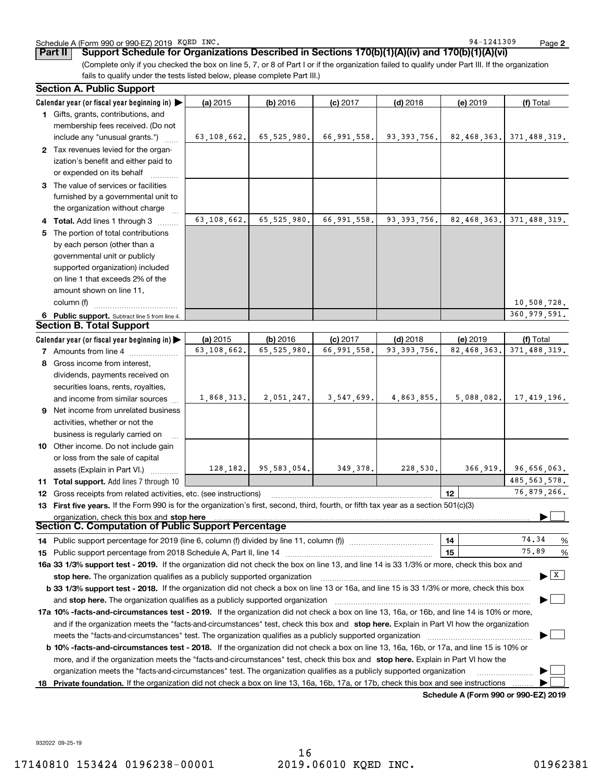## Schedule A (Form 990 or 990-EZ) 2019 KQED INC.

**Part II Support Schedule for Organizations Described in Sections 170(b)(1)(A)(iv) and 170(b)(1)(A)(vi)**

(Complete only if you checked the box on line 5, 7, or 8 of Part I or if the organization failed to qualify under Part III. If the organization fails to qualify under the tests listed below, please complete Part III.)

| <b>Section A. Public Support</b>                                                                                                               |             |                           |             |               |             |                                       |
|------------------------------------------------------------------------------------------------------------------------------------------------|-------------|---------------------------|-------------|---------------|-------------|---------------------------------------|
| Calendar year (or fiscal year beginning in) $\blacktriangleright$                                                                              | (a) 2015    | $(b)$ 2016                | $(c)$ 2017  | $(d)$ 2018    | (e) 2019    | (f) Total                             |
| 1 Gifts, grants, contributions, and                                                                                                            |             |                           |             |               |             |                                       |
| membership fees received. (Do not                                                                                                              |             |                           |             |               |             |                                       |
| include any "unusual grants.")                                                                                                                 | 63,108,662. | 65,525,980.               | 66,991,558. | 93, 393, 756. | 82,468,363. | 371,488,319.                          |
| 2 Tax revenues levied for the organ-                                                                                                           |             |                           |             |               |             |                                       |
| ization's benefit and either paid to                                                                                                           |             |                           |             |               |             |                                       |
| or expended on its behalf                                                                                                                      |             |                           |             |               |             |                                       |
| 3 The value of services or facilities                                                                                                          |             |                           |             |               |             |                                       |
| furnished by a governmental unit to                                                                                                            |             |                           |             |               |             |                                       |
| the organization without charge                                                                                                                |             |                           |             |               |             |                                       |
| 4 Total. Add lines 1 through 3                                                                                                                 | 63,108,662. | 65, 525, 980.             | 66,991,558. | 93, 393, 756. | 82,468,363. | 371,488,319.                          |
| 5 The portion of total contributions                                                                                                           |             |                           |             |               |             |                                       |
| by each person (other than a                                                                                                                   |             |                           |             |               |             |                                       |
| governmental unit or publicly                                                                                                                  |             |                           |             |               |             |                                       |
| supported organization) included                                                                                                               |             |                           |             |               |             |                                       |
| on line 1 that exceeds 2% of the                                                                                                               |             |                           |             |               |             |                                       |
| amount shown on line 11,                                                                                                                       |             |                           |             |               |             |                                       |
| column (f)                                                                                                                                     |             |                           |             |               |             | 10,508,728.                           |
| 6 Public support. Subtract line 5 from line 4.                                                                                                 |             |                           |             |               |             | 360,979,591.                          |
| <b>Section B. Total Support</b>                                                                                                                |             |                           |             |               |             |                                       |
| Calendar year (or fiscal year beginning in) $\blacktriangleright$                                                                              | (a) 2015    | (b) 2016                  | $(c)$ 2017  | $(d)$ 2018    | (e) 2019    | (f) Total                             |
| <b>7</b> Amounts from line 4                                                                                                                   | 63,108,662. | 65,525,980.               | 66,991,558. | 93, 393, 756, | 82,468,363. | 371,488,319.                          |
| 8 Gross income from interest,                                                                                                                  |             |                           |             |               |             |                                       |
| dividends, payments received on                                                                                                                |             |                           |             |               |             |                                       |
| securities loans, rents, royalties,                                                                                                            |             |                           |             |               |             |                                       |
| and income from similar sources                                                                                                                | 1,868,313.  | 2,051,247.                | 3,547,699.  | 4,863,855.    | 5,088,082.  | 17, 419, 196.                         |
| 9 Net income from unrelated business                                                                                                           |             |                           |             |               |             |                                       |
| activities, whether or not the                                                                                                                 |             |                           |             |               |             |                                       |
|                                                                                                                                                |             |                           |             |               |             |                                       |
| business is regularly carried on                                                                                                               |             |                           |             |               |             |                                       |
| 10 Other income. Do not include gain                                                                                                           |             |                           |             |               |             |                                       |
| or loss from the sale of capital                                                                                                               |             | $128, 182.$ 95, 583, 054. | 349,378.    | 228,530.      |             | $366, 919$ . 96,656,063.              |
| assets (Explain in Part VI.)                                                                                                                   |             |                           |             |               |             | 485, 563, 578.                        |
| 11 Total support. Add lines 7 through 10                                                                                                       |             |                           |             |               |             | 76,879,266.                           |
| 12 Gross receipts from related activities, etc. (see instructions)                                                                             |             |                           |             |               | 12          |                                       |
| 13 First five years. If the Form 990 is for the organization's first, second, third, fourth, or fifth tax year as a section 501(c)(3)          |             |                           |             |               |             |                                       |
| organization, check this box and stop here<br>Section C. Computation of Public Support Percentage                                              |             |                           |             |               |             |                                       |
|                                                                                                                                                |             |                           |             |               |             | 74.34                                 |
| 14 Public support percentage for 2019 (line 6, column (f) divided by line 11, column (f) <i>mummumumum</i>                                     |             |                           |             |               | 14<br>15    | %<br>75.89<br>%                       |
| 16a 33 1/3% support test - 2019. If the organization did not check the box on line 13, and line 14 is 33 1/3% or more, check this box and      |             |                           |             |               |             |                                       |
|                                                                                                                                                |             |                           |             |               |             | $\blacktriangleright$ $\mid$ X $\mid$ |
| stop here. The organization qualifies as a publicly supported organization                                                                     |             |                           |             |               |             |                                       |
| b 33 1/3% support test - 2018. If the organization did not check a box on line 13 or 16a, and line 15 is 33 1/3% or more, check this box       |             |                           |             |               |             |                                       |
| and stop here. The organization qualifies as a publicly supported organization                                                                 |             |                           |             |               |             |                                       |
| 17a 10% -facts-and-circumstances test - 2019. If the organization did not check a box on line 13, 16a, or 16b, and line 14 is 10% or more,     |             |                           |             |               |             |                                       |
| and if the organization meets the "facts-and-circumstances" test, check this box and stop here. Explain in Part VI how the organization        |             |                           |             |               |             |                                       |
| meets the "facts-and-circumstances" test. The organization qualifies as a publicly supported organization                                      |             |                           |             |               |             |                                       |
| <b>b 10% -facts-and-circumstances test - 2018.</b> If the organization did not check a box on line 13, 16a, 16b, or 17a, and line 15 is 10% or |             |                           |             |               |             |                                       |
| more, and if the organization meets the "facts-and-circumstances" test, check this box and stop here. Explain in Part VI how the               |             |                           |             |               |             |                                       |
| organization meets the "facts-and-circumstances" test. The organization qualifies as a publicly supported organization                         |             |                           |             |               |             |                                       |
| 18 Private foundation. If the organization did not check a box on line 13, 16a, 16b, 17a, or 17b, check this box and see instructions          |             |                           |             |               |             |                                       |

**Schedule A (Form 990 or 990-EZ) 2019**

932022 09-25-19

**2**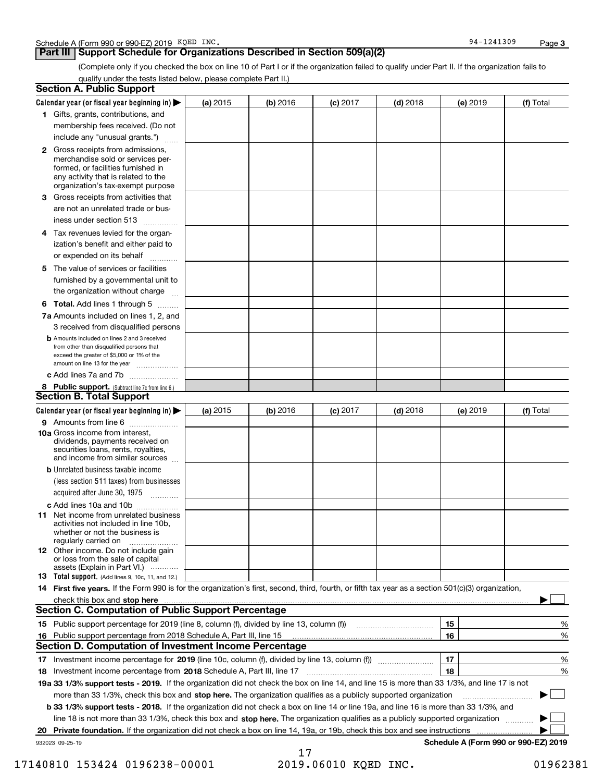#### **Part III Support Schedule for Organizations Described in Section 509(a)(2)**

(Complete only if you checked the box on line 10 of Part I or if the organization failed to qualify under Part II. If the organization fails to qualify under the tests listed below, please complete Part II.)

|    | <b>Section A. Public Support</b>                                                                                                                                                                |          |          |            |            |                 |                                      |
|----|-------------------------------------------------------------------------------------------------------------------------------------------------------------------------------------------------|----------|----------|------------|------------|-----------------|--------------------------------------|
|    | Calendar year (or fiscal year beginning in) $\blacktriangleright$                                                                                                                               | (a) 2015 | (b) 2016 | $(c)$ 2017 | $(d)$ 2018 | <b>(e)</b> 2019 | (f) Total                            |
|    | 1 Gifts, grants, contributions, and                                                                                                                                                             |          |          |            |            |                 |                                      |
|    | membership fees received. (Do not                                                                                                                                                               |          |          |            |            |                 |                                      |
|    | include any "unusual grants.")                                                                                                                                                                  |          |          |            |            |                 |                                      |
|    | <b>2</b> Gross receipts from admissions,<br>merchandise sold or services per-<br>formed, or facilities furnished in<br>any activity that is related to the<br>organization's tax-exempt purpose |          |          |            |            |                 |                                      |
|    | 3 Gross receipts from activities that<br>are not an unrelated trade or bus-                                                                                                                     |          |          |            |            |                 |                                      |
|    | iness under section 513                                                                                                                                                                         |          |          |            |            |                 |                                      |
|    | 4 Tax revenues levied for the organ-<br>ization's benefit and either paid to<br>or expended on its behalf                                                                                       |          |          |            |            |                 |                                      |
|    | 5 The value of services or facilities<br>furnished by a governmental unit to<br>the organization without charge                                                                                 |          |          |            |            |                 |                                      |
|    | <b>6 Total.</b> Add lines 1 through 5                                                                                                                                                           |          |          |            |            |                 |                                      |
|    | 7a Amounts included on lines 1, 2, and                                                                                                                                                          |          |          |            |            |                 |                                      |
|    | 3 received from disqualified persons                                                                                                                                                            |          |          |            |            |                 |                                      |
|    | <b>b</b> Amounts included on lines 2 and 3 received<br>from other than disqualified persons that<br>exceed the greater of \$5,000 or 1% of the<br>amount on line 13 for the year                |          |          |            |            |                 |                                      |
|    | c Add lines 7a and 7b                                                                                                                                                                           |          |          |            |            |                 |                                      |
|    | 8 Public support. (Subtract line 7c from line 6.)                                                                                                                                               |          |          |            |            |                 |                                      |
|    | <b>Section B. Total Support</b>                                                                                                                                                                 |          |          |            |            |                 |                                      |
|    | Calendar year (or fiscal year beginning in) $\blacktriangleright$                                                                                                                               | (a) 2015 | (b) 2016 | $(c)$ 2017 | $(d)$ 2018 | (e) 2019        | (f) Total                            |
|    | 9 Amounts from line 6                                                                                                                                                                           |          |          |            |            |                 |                                      |
|    | <b>10a</b> Gross income from interest,<br>dividends, payments received on<br>securities loans, rents, royalties,<br>and income from similar sources                                             |          |          |            |            |                 |                                      |
|    | <b>b</b> Unrelated business taxable income                                                                                                                                                      |          |          |            |            |                 |                                      |
|    | (less section 511 taxes) from businesses                                                                                                                                                        |          |          |            |            |                 |                                      |
|    | acquired after June 30, 1975                                                                                                                                                                    |          |          |            |            |                 |                                      |
|    | c Add lines 10a and 10b                                                                                                                                                                         |          |          |            |            |                 |                                      |
|    | 11 Net income from unrelated business<br>activities not included in line 10b,<br>whether or not the business is<br>regularly carried on                                                         |          |          |            |            |                 |                                      |
|    | <b>12</b> Other income. Do not include gain<br>or loss from the sale of capital<br>assets (Explain in Part VI.)                                                                                 |          |          |            |            |                 |                                      |
|    | <b>13</b> Total support. (Add lines 9, 10c, 11, and 12.)                                                                                                                                        |          |          |            |            |                 |                                      |
|    | 14 First five years. If the Form 990 is for the organization's first, second, third, fourth, or fifth tax year as a section 501(c)(3) organization,                                             |          |          |            |            |                 |                                      |
|    | check this box and stop here measurements are constructed as the state of the state of the state of the state o                                                                                 |          |          |            |            |                 |                                      |
|    | <b>Section C. Computation of Public Support Percentage</b>                                                                                                                                      |          |          |            |            |                 |                                      |
|    | 15 Public support percentage for 2019 (line 8, column (f), divided by line 13, column (f))                                                                                                      |          |          |            |            | 15              | %                                    |
|    | 16 Public support percentage from 2018 Schedule A, Part III, line 15                                                                                                                            |          |          |            |            | 16              | %                                    |
|    | <b>Section D. Computation of Investment Income Percentage</b>                                                                                                                                   |          |          |            |            |                 |                                      |
|    | 17 Investment income percentage for 2019 (line 10c, column (f), divided by line 13, column (f))                                                                                                 |          |          |            |            | 17              | %                                    |
|    | 18 Investment income percentage from 2018 Schedule A, Part III, line 17                                                                                                                         |          |          |            |            | 18              | %                                    |
|    | 19a 33 1/3% support tests - 2019. If the organization did not check the box on line 14, and line 15 is more than 33 1/3%, and line 17 is not                                                    |          |          |            |            |                 |                                      |
|    | more than 33 1/3%, check this box and stop here. The organization qualifies as a publicly supported organization                                                                                |          |          |            |            |                 | $\blacksquare$                       |
|    | b 33 1/3% support tests - 2018. If the organization did not check a box on line 14 or line 19a, and line 16 is more than 33 1/3%, and                                                           |          |          |            |            |                 |                                      |
|    | line 18 is not more than 33 1/3%, check this box and stop here. The organization qualifies as a publicly supported organization                                                                 |          |          |            |            |                 |                                      |
| 20 | Private foundation. If the organization did not check a box on line 14, 19a, or 19b, check this box and see instructions                                                                        |          |          |            |            |                 |                                      |
|    | 932023 09-25-19                                                                                                                                                                                 |          | 15       |            |            |                 | Schedule A (Form 990 or 990-EZ) 2019 |

17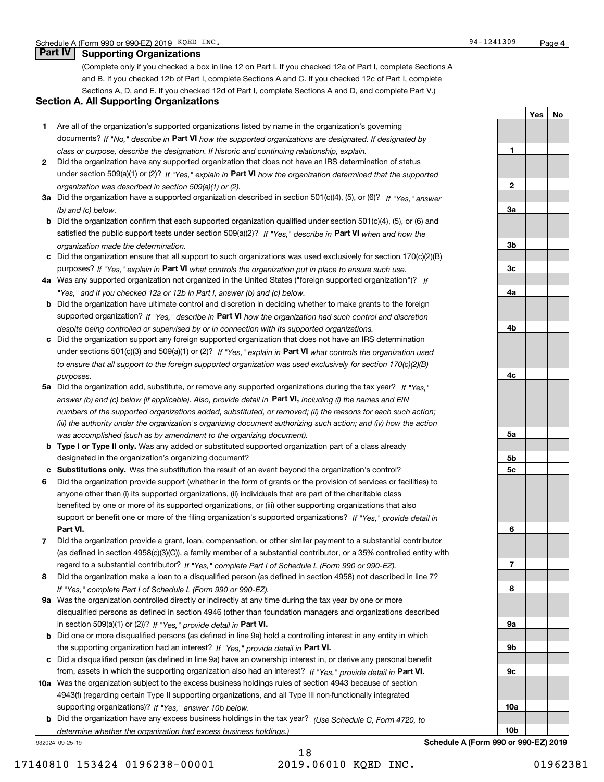**1**

**2**

**3a**

**3b**

**3c**

**4a**

**4b**

**4c**

**5a**

**5b5c**

**6**

**7**

**8**

**9a**

**9b**

**9c**

**10a**

**10b**

**Schedule A (Form 990 or 990-EZ) 2019**

**YesNo**

## **Part IV Supporting Organizations**

(Complete only if you checked a box in line 12 on Part I. If you checked 12a of Part I, complete Sections A and B. If you checked 12b of Part I, complete Sections A and C. If you checked 12c of Part I, complete Sections A, D, and E. If you checked 12d of Part I, complete Sections A and D, and complete Part V.)

#### **Section A. All Supporting Organizations**

- **1** Are all of the organization's supported organizations listed by name in the organization's governing documents? If "No," describe in **Part VI** how the supported organizations are designated. If designated by *class or purpose, describe the designation. If historic and continuing relationship, explain.*
- **2** Did the organization have any supported organization that does not have an IRS determination of status under section 509(a)(1) or (2)? If "Yes," explain in Part VI how the organization determined that the supported *organization was described in section 509(a)(1) or (2).*
- **3a** Did the organization have a supported organization described in section 501(c)(4), (5), or (6)? If "Yes," answer *(b) and (c) below.*
- **b** Did the organization confirm that each supported organization qualified under section 501(c)(4), (5), or (6) and satisfied the public support tests under section 509(a)(2)? If "Yes," describe in **Part VI** when and how the *organization made the determination.*
- **c**Did the organization ensure that all support to such organizations was used exclusively for section 170(c)(2)(B) purposes? If "Yes," explain in **Part VI** what controls the organization put in place to ensure such use.
- **4a***If* Was any supported organization not organized in the United States ("foreign supported organization")? *"Yes," and if you checked 12a or 12b in Part I, answer (b) and (c) below.*
- **b** Did the organization have ultimate control and discretion in deciding whether to make grants to the foreign supported organization? If "Yes," describe in **Part VI** how the organization had such control and discretion *despite being controlled or supervised by or in connection with its supported organizations.*
- **c** Did the organization support any foreign supported organization that does not have an IRS determination under sections 501(c)(3) and 509(a)(1) or (2)? If "Yes," explain in **Part VI** what controls the organization used *to ensure that all support to the foreign supported organization was used exclusively for section 170(c)(2)(B) purposes.*
- **5a** Did the organization add, substitute, or remove any supported organizations during the tax year? If "Yes," answer (b) and (c) below (if applicable). Also, provide detail in **Part VI,** including (i) the names and EIN *numbers of the supported organizations added, substituted, or removed; (ii) the reasons for each such action; (iii) the authority under the organization's organizing document authorizing such action; and (iv) how the action was accomplished (such as by amendment to the organizing document).*
- **b** Type I or Type II only. Was any added or substituted supported organization part of a class already designated in the organization's organizing document?
- **cSubstitutions only.**  Was the substitution the result of an event beyond the organization's control?
- **6** Did the organization provide support (whether in the form of grants or the provision of services or facilities) to **Part VI.** *If "Yes," provide detail in* support or benefit one or more of the filing organization's supported organizations? anyone other than (i) its supported organizations, (ii) individuals that are part of the charitable class benefited by one or more of its supported organizations, or (iii) other supporting organizations that also
- **7**Did the organization provide a grant, loan, compensation, or other similar payment to a substantial contributor *If "Yes," complete Part I of Schedule L (Form 990 or 990-EZ).* regard to a substantial contributor? (as defined in section 4958(c)(3)(C)), a family member of a substantial contributor, or a 35% controlled entity with
- **8** Did the organization make a loan to a disqualified person (as defined in section 4958) not described in line 7? *If "Yes," complete Part I of Schedule L (Form 990 or 990-EZ).*
- **9a** Was the organization controlled directly or indirectly at any time during the tax year by one or more in section 509(a)(1) or (2))? If "Yes," *provide detail in* <code>Part VI.</code> disqualified persons as defined in section 4946 (other than foundation managers and organizations described
- **b** Did one or more disqualified persons (as defined in line 9a) hold a controlling interest in any entity in which the supporting organization had an interest? If "Yes," provide detail in P**art VI**.
- **c**Did a disqualified person (as defined in line 9a) have an ownership interest in, or derive any personal benefit from, assets in which the supporting organization also had an interest? If "Yes," provide detail in P**art VI.**
- **10a** Was the organization subject to the excess business holdings rules of section 4943 because of section supporting organizations)? If "Yes," answer 10b below. 4943(f) (regarding certain Type II supporting organizations, and all Type III non-functionally integrated
- **b** Did the organization have any excess business holdings in the tax year? (Use Schedule C, Form 4720, to *determine whether the organization had excess business holdings.)*

932024 09-25-19

18 17140810 153424 0196238-00001 2019.06010 KQED INC. 01962381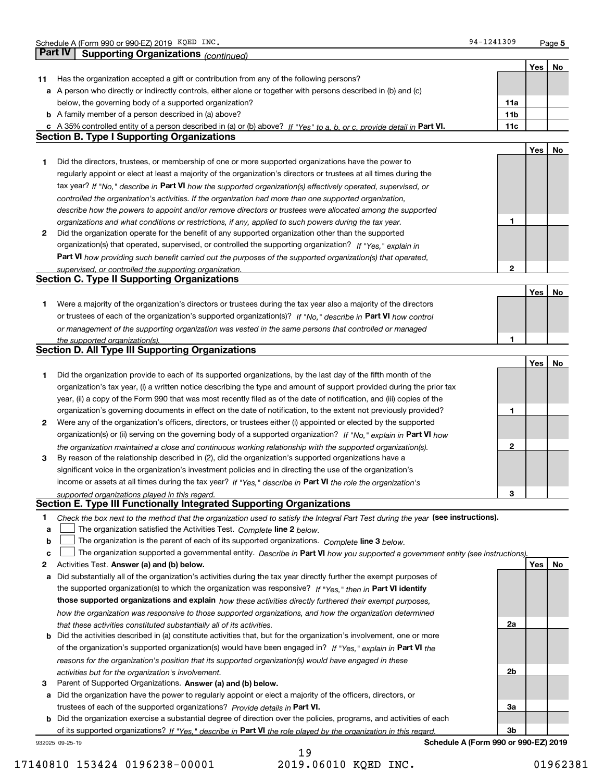|    | Part IV<br>Supporting Organizations (continued)                                                                                   |     |    |
|----|-----------------------------------------------------------------------------------------------------------------------------------|-----|----|
|    |                                                                                                                                   | Yes | No |
| 11 | Has the organization accepted a gift or contribution from any of the following persons?                                           |     |    |
|    | a A person who directly or indirectly controls, either alone or together with persons described in (b) and (c)                    |     |    |
|    | below, the governing body of a supported organization?<br>11a                                                                     |     |    |
|    | <b>b</b> A family member of a person described in (a) above?<br>11 <sub>b</sub>                                                   |     |    |
|    | 11c<br>c A 35% controlled entity of a person described in (a) or (b) above? If "Yes" to a, b, or c, provide detail in Part VI.    |     |    |
|    | <b>Section B. Type I Supporting Organizations</b>                                                                                 |     |    |
|    |                                                                                                                                   | Yes | No |
|    |                                                                                                                                   |     |    |
| 1  | Did the directors, trustees, or membership of one or more supported organizations have the power to                               |     |    |
|    | regularly appoint or elect at least a majority of the organization's directors or trustees at all times during the                |     |    |
|    | tax year? If "No," describe in Part VI how the supported organization(s) effectively operated, supervised, or                     |     |    |
|    | controlled the organization's activities. If the organization had more than one supported organization,                           |     |    |
|    | describe how the powers to appoint and/or remove directors or trustees were allocated among the supported                         |     |    |
|    | 1<br>organizations and what conditions or restrictions, if any, applied to such powers during the tax year.                       |     |    |
| 2  | Did the organization operate for the benefit of any supported organization other than the supported                               |     |    |
|    | organization(s) that operated, supervised, or controlled the supporting organization? If "Yes," explain in                        |     |    |
|    | Part VI how providing such benefit carried out the purposes of the supported organization(s) that operated,                       |     |    |
|    | $\mathbf{2}$<br>supervised, or controlled the supporting organization.                                                            |     |    |
|    | <b>Section C. Type II Supporting Organizations</b>                                                                                |     |    |
|    |                                                                                                                                   | Yes | No |
| 1. | Were a majority of the organization's directors or trustees during the tax year also a majority of the directors                  |     |    |
|    | or trustees of each of the organization's supported organization(s)? If "No." describe in Part VI how control                     |     |    |
|    | or management of the supporting organization was vested in the same persons that controlled or managed                            |     |    |
|    | 1<br>the supported organization(s).                                                                                               |     |    |
|    | <b>Section D. All Type III Supporting Organizations</b>                                                                           |     |    |
|    |                                                                                                                                   | Yes | No |
| 1  | Did the organization provide to each of its supported organizations, by the last day of the fifth month of the                    |     |    |
|    | organization's tax year, (i) a written notice describing the type and amount of support provided during the prior tax             |     |    |
|    | year, (ii) a copy of the Form 990 that was most recently filed as of the date of notification, and (iii) copies of the            |     |    |
|    | organization's governing documents in effect on the date of notification, to the extent not previously provided?<br>1             |     |    |
| 2  | Were any of the organization's officers, directors, or trustees either (i) appointed or elected by the supported                  |     |    |
|    | organization(s) or (ii) serving on the governing body of a supported organization? If "No," explain in Part VI how                |     |    |
|    | $\mathbf{2}$<br>the organization maintained a close and continuous working relationship with the supported organization(s).       |     |    |
| 3  | By reason of the relationship described in (2), did the organization's supported organizations have a                             |     |    |
|    | significant voice in the organization's investment policies and in directing the use of the organization's                        |     |    |
|    |                                                                                                                                   |     |    |
|    | income or assets at all times during the tax year? If "Yes," describe in Part VI the role the organization's                      |     |    |
|    | supported organizations played in this regard.<br>3<br>Section E. Type III Functionally Integrated Supporting Organizations       |     |    |
|    |                                                                                                                                   |     |    |
| 1  | Check the box next to the method that the organization used to satisfy the Integral Part Test during the year (see instructions). |     |    |
| а  | The organization satisfied the Activities Test. Complete line 2 below.                                                            |     |    |
| b  | The organization is the parent of each of its supported organizations. Complete line 3 below.                                     |     |    |
| c  | The organization supported a governmental entity. Describe in Part VI how you supported a government entity (see instructions).   |     |    |
| 2  | Activities Test. Answer (a) and (b) below.                                                                                        | Yes | No |
| а  | Did substantially all of the organization's activities during the tax year directly further the exempt purposes of                |     |    |
|    | the supported organization(s) to which the organization was responsive? If "Yes," then in Part VI identify                        |     |    |
|    | those supported organizations and explain how these activities directly furthered their exempt purposes,                          |     |    |
|    | how the organization was responsive to those supported organizations, and how the organization determined                         |     |    |
|    | 2a<br>that these activities constituted substantially all of its activities.                                                      |     |    |
|    | <b>b</b> Did the activities described in (a) constitute activities that, but for the organization's involvement, one or more      |     |    |
|    | of the organization's supported organization(s) would have been engaged in? If "Yes," explain in Part VI the                      |     |    |
|    | reasons for the organization's position that its supported organization(s) would have engaged in these                            |     |    |
|    | 2b<br>activities but for the organization's involvement.                                                                          |     |    |
| 3  | Parent of Supported Organizations. Answer (a) and (b) below.                                                                      |     |    |
| а  | Did the organization have the power to regularly appoint or elect a majority of the officers, directors, or                       |     |    |
|    | trustees of each of the supported organizations? Provide details in Part VI.<br>За                                                |     |    |
|    | <b>b</b> Did the organization exercise a substantial degree of direction over the policies, programs, and activities of each      |     |    |
|    | of its supported organizations? If "Yes," describe in Part VI the role played by the organization in this regard.<br>3b           |     |    |
|    | Schedule A (Form 990 or 990-EZ) 2019<br>932025 09-25-19                                                                           |     |    |
|    |                                                                                                                                   |     |    |

17140810 153424 0196238-00001 2019.06010 KQED INC. 01962381

<sup>19</sup>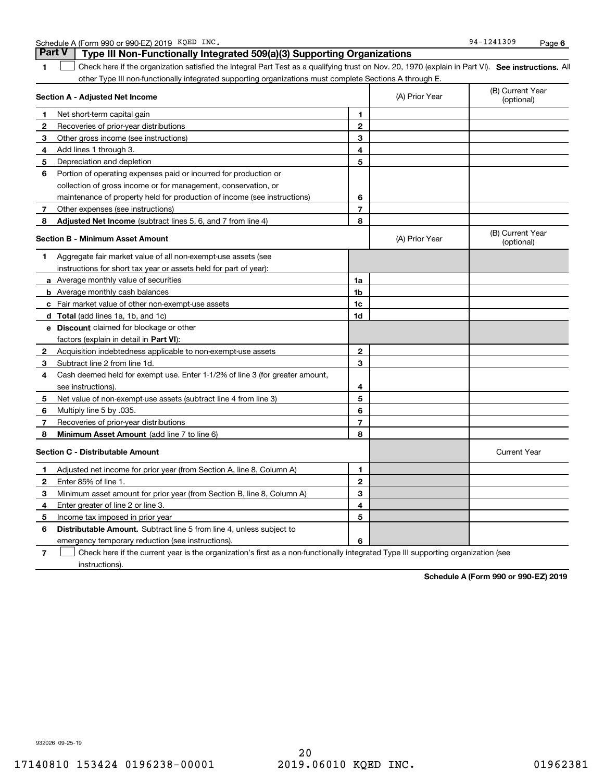| 1            | Check here if the organization satisfied the Integral Part Test as a qualifying trust on Nov. 20, 1970 (explain in Part VI). See instructions. Al |                |                |                                |
|--------------|---------------------------------------------------------------------------------------------------------------------------------------------------|----------------|----------------|--------------------------------|
|              | other Type III non-functionally integrated supporting organizations must complete Sections A through E.                                           |                |                |                                |
|              | Section A - Adjusted Net Income                                                                                                                   |                | (A) Prior Year | (B) Current Year<br>(optional) |
| 1            | Net short-term capital gain                                                                                                                       | 1              |                |                                |
| 2            | Recoveries of prior-year distributions                                                                                                            | $\overline{2}$ |                |                                |
| 3            | Other gross income (see instructions)                                                                                                             | 3              |                |                                |
| 4            | Add lines 1 through 3.                                                                                                                            | 4              |                |                                |
| 5            | Depreciation and depletion                                                                                                                        | 5              |                |                                |
| 6            | Portion of operating expenses paid or incurred for production or                                                                                  |                |                |                                |
|              | collection of gross income or for management, conservation, or                                                                                    |                |                |                                |
|              | maintenance of property held for production of income (see instructions)                                                                          | 6              |                |                                |
| $\mathbf{7}$ | Other expenses (see instructions)                                                                                                                 | $\overline{7}$ |                |                                |
| 8            | <b>Adjusted Net Income</b> (subtract lines 5, 6, and 7 from line 4)                                                                               | 8              |                |                                |
|              | <b>Section B - Minimum Asset Amount</b>                                                                                                           |                | (A) Prior Year | (B) Current Year<br>(optional) |
| 1            | Aggregate fair market value of all non-exempt-use assets (see                                                                                     |                |                |                                |
|              | instructions for short tax year or assets held for part of year):                                                                                 |                |                |                                |
|              | <b>a</b> Average monthly value of securities                                                                                                      | 1a             |                |                                |
|              | <b>b</b> Average monthly cash balances                                                                                                            | 1b             |                |                                |
|              | c Fair market value of other non-exempt-use assets                                                                                                | 1c             |                |                                |
|              | <b>d</b> Total (add lines 1a, 1b, and 1c)                                                                                                         | 1d             |                |                                |
|              | e Discount claimed for blockage or other                                                                                                          |                |                |                                |
|              | factors (explain in detail in Part VI):                                                                                                           |                |                |                                |
| $\mathbf{2}$ | Acquisition indebtedness applicable to non-exempt-use assets                                                                                      | $\mathbf{2}$   |                |                                |
| 3            | Subtract line 2 from line 1d.                                                                                                                     | 3              |                |                                |
| 4            | Cash deemed held for exempt use. Enter 1-1/2% of line 3 (for greater amount,                                                                      |                |                |                                |
|              | see instructions)                                                                                                                                 | 4              |                |                                |
| 5            | Net value of non-exempt-use assets (subtract line 4 from line 3)                                                                                  | 5              |                |                                |
| 6            | Multiply line 5 by .035.                                                                                                                          | 6              |                |                                |
| 7            | Recoveries of prior-year distributions                                                                                                            | 7              |                |                                |
| 8            | Minimum Asset Amount (add line 7 to line 6)                                                                                                       | 8              |                |                                |
|              | <b>Section C - Distributable Amount</b>                                                                                                           |                |                | <b>Current Year</b>            |
| 1            | Adjusted net income for prior year (from Section A, line 8, Column A)                                                                             | 1              |                |                                |
| $\mathbf{2}$ | Enter 85% of line 1.                                                                                                                              | $\mathbf{2}$   |                |                                |
| 3            | Minimum asset amount for prior year (from Section B, line 8, Column A)                                                                            | 3              |                |                                |
| 4            | Enter greater of line 2 or line 3.                                                                                                                | 4              |                |                                |
| 5            | Income tax imposed in prior year                                                                                                                  | 5              |                |                                |
| 6            | <b>Distributable Amount.</b> Subtract line 5 from line 4, unless subject to                                                                       |                |                |                                |
|              | emergency temporary reduction (see instructions).                                                                                                 | 6              |                |                                |
|              |                                                                                                                                                   |                |                |                                |

#### **7**Check here if the current year is the organization's first as a non-functionally integrated Type III supporting organization (see instructions).

**Schedule A (Form 990 or 990-EZ) 2019**

932026 09-25-19

17140810 153424 0196238-00001 2019.06010 KQED INC. 01962381

# Schedule A (Form 990 or 990-EZ) 2019  $KQED$  INC.<br>**Part V** Type III Non-Functionally Inter

**Part V Type III Non-Functionally Integrated 509(a)(3) Supporting Organizations**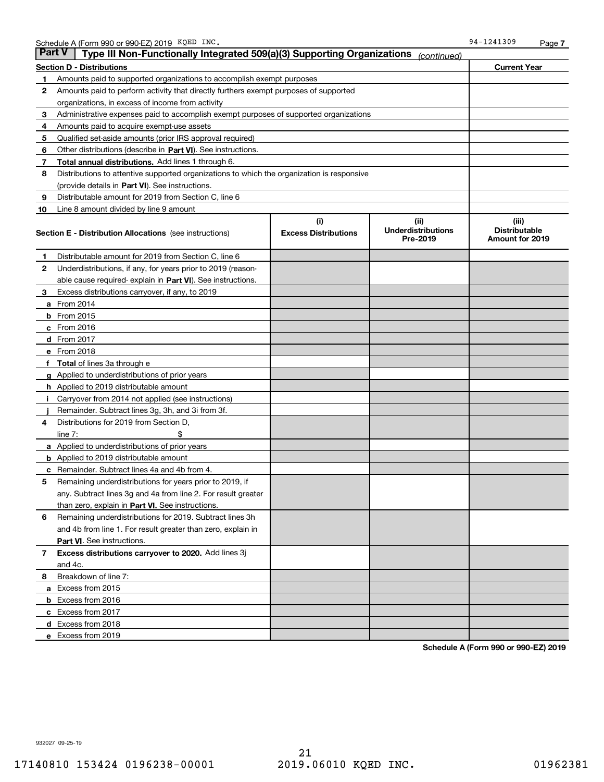| Part V | Type III Non-Functionally Integrated 509(a)(3) Supporting Organizations                    |                             | (continued)                           |                                                |  |  |
|--------|--------------------------------------------------------------------------------------------|-----------------------------|---------------------------------------|------------------------------------------------|--|--|
|        | <b>Current Year</b><br>Section D - Distributions                                           |                             |                                       |                                                |  |  |
| 1      | Amounts paid to supported organizations to accomplish exempt purposes                      |                             |                                       |                                                |  |  |
| 2      | Amounts paid to perform activity that directly furthers exempt purposes of supported       |                             |                                       |                                                |  |  |
|        | organizations, in excess of income from activity                                           |                             |                                       |                                                |  |  |
| З      | Administrative expenses paid to accomplish exempt purposes of supported organizations      |                             |                                       |                                                |  |  |
| 4      | Amounts paid to acquire exempt-use assets                                                  |                             |                                       |                                                |  |  |
| 5      | Qualified set-aside amounts (prior IRS approval required)                                  |                             |                                       |                                                |  |  |
| 6      | Other distributions (describe in Part VI). See instructions.                               |                             |                                       |                                                |  |  |
| 7      | Total annual distributions. Add lines 1 through 6.                                         |                             |                                       |                                                |  |  |
| 8      | Distributions to attentive supported organizations to which the organization is responsive |                             |                                       |                                                |  |  |
|        | (provide details in Part VI). See instructions.                                            |                             |                                       |                                                |  |  |
| 9      | Distributable amount for 2019 from Section C, line 6                                       |                             |                                       |                                                |  |  |
| 10     | Line 8 amount divided by line 9 amount                                                     |                             |                                       |                                                |  |  |
|        |                                                                                            | (i)                         | (ii)                                  | (iii)                                          |  |  |
|        | <b>Section E - Distribution Allocations</b> (see instructions)                             | <b>Excess Distributions</b> | <b>Underdistributions</b><br>Pre-2019 | <b>Distributable</b><br><b>Amount for 2019</b> |  |  |
| 1.     | Distributable amount for 2019 from Section C, line 6                                       |                             |                                       |                                                |  |  |
| 2      | Underdistributions, if any, for years prior to 2019 (reason-                               |                             |                                       |                                                |  |  |
|        | able cause required-explain in Part VI). See instructions.                                 |                             |                                       |                                                |  |  |
| з      | Excess distributions carryover, if any, to 2019                                            |                             |                                       |                                                |  |  |
|        | <b>a</b> From 2014                                                                         |                             |                                       |                                                |  |  |
|        | <b>b</b> From 2015                                                                         |                             |                                       |                                                |  |  |
|        | $c$ From 2016                                                                              |                             |                                       |                                                |  |  |
|        | d From 2017                                                                                |                             |                                       |                                                |  |  |
|        | e From 2018                                                                                |                             |                                       |                                                |  |  |
| f      | <b>Total</b> of lines 3a through e                                                         |                             |                                       |                                                |  |  |
|        | <b>g</b> Applied to underdistributions of prior years                                      |                             |                                       |                                                |  |  |
|        | <b>h</b> Applied to 2019 distributable amount                                              |                             |                                       |                                                |  |  |
|        | Carryover from 2014 not applied (see instructions)                                         |                             |                                       |                                                |  |  |
|        | Remainder. Subtract lines 3g, 3h, and 3i from 3f.                                          |                             |                                       |                                                |  |  |
| 4      | Distributions for 2019 from Section D,                                                     |                             |                                       |                                                |  |  |
|        | line $7:$                                                                                  |                             |                                       |                                                |  |  |
|        | <b>a</b> Applied to underdistributions of prior years                                      |                             |                                       |                                                |  |  |
|        | <b>b</b> Applied to 2019 distributable amount                                              |                             |                                       |                                                |  |  |
| c      | Remainder. Subtract lines 4a and 4b from 4.                                                |                             |                                       |                                                |  |  |
| 5      | Remaining underdistributions for years prior to 2019, if                                   |                             |                                       |                                                |  |  |
|        | any. Subtract lines 3g and 4a from line 2. For result greater                              |                             |                                       |                                                |  |  |
|        | than zero, explain in Part VI. See instructions.                                           |                             |                                       |                                                |  |  |
| 6      | Remaining underdistributions for 2019. Subtract lines 3h                                   |                             |                                       |                                                |  |  |
|        | and 4b from line 1. For result greater than zero, explain in                               |                             |                                       |                                                |  |  |
|        | Part VI. See instructions.                                                                 |                             |                                       |                                                |  |  |
|        | Excess distributions carryover to 2020. Add lines 3j                                       |                             |                                       |                                                |  |  |
| 7      | and 4c.                                                                                    |                             |                                       |                                                |  |  |
|        |                                                                                            |                             |                                       |                                                |  |  |
| 8      | Breakdown of line 7:<br>a Excess from 2015                                                 |                             |                                       |                                                |  |  |
|        |                                                                                            |                             |                                       |                                                |  |  |
|        | b Excess from 2016                                                                         |                             |                                       |                                                |  |  |
|        | c Excess from 2017                                                                         |                             |                                       |                                                |  |  |
|        | d Excess from 2018                                                                         |                             |                                       |                                                |  |  |
|        | e Excess from 2019                                                                         |                             |                                       |                                                |  |  |

**Schedule A (Form 990 or 990-EZ) 2019**

932027 09-25-19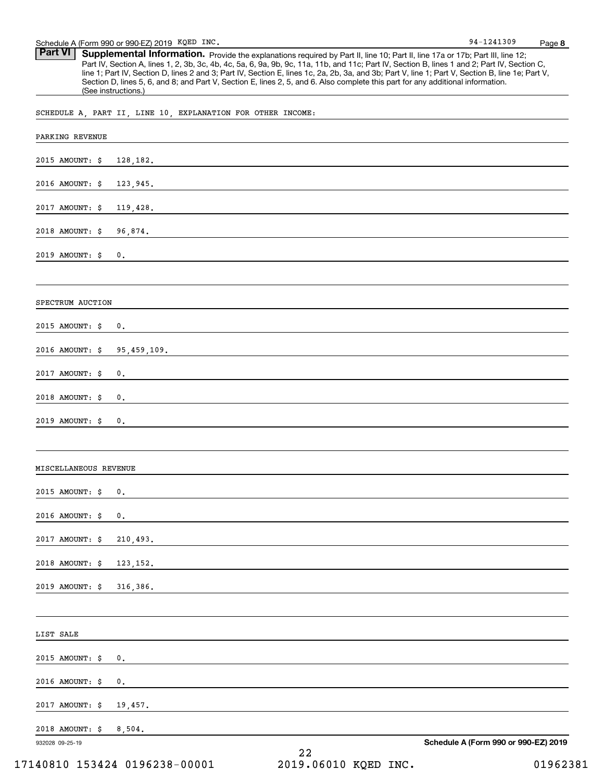(See instructions.)

Part VI | Supplemental Information. Provide the explanations required by Part II, line 10; Part II, line 17a or 17b; Part III, line 12; Part IV, Section A, lines 1, 2, 3b, 3c, 4b, 4c, 5a, 6, 9a, 9b, 9c, 11a, 11b, and 11c; Part IV, Section B, lines 1 and 2; Part IV, Section C, line 1; Part IV, Section D, lines 2 and 3; Part IV, Section E, lines 1c, 2a, 2b, 3a, and 3b; Part V, line 1; Part V, Section B, line 1e; Part V,

Section D, lines 5, 6, and 8; and Part V, Section E, lines 2, 5, and 6. Also complete this part for any additional information.

SCHEDULE A, PART II, LINE 10, EXPLANATION FOR OTHER INCOME:

| 2015 AMOUNT: \$ 128,182.    |           |
|-----------------------------|-----------|
| 2016 AMOUNT: \$ 123,945.    |           |
| 2017 AMOUNT: \$ 119,428.    |           |
| 2018 AMOUNT: \$ 96,874.     |           |
| 2019 AMOUNT: \$             | 0.        |
|                             |           |
| SPECTRUM AUCTION            |           |
| 2015 AMOUNT: \$ 0.          |           |
| 2016 AMOUNT: \$ 95,459,109. |           |
| 2017 AMOUNT: \$             | 0.        |
| 2018 AMOUNT: \$             | 0.        |
| 2019 AMOUNT: \$             | 0.        |
|                             |           |
| MISCELLANEOUS REVENUE       |           |
| 2015 AMOUNT: \$ 0.          |           |
| 2016 AMOUNT: \$             | 0.        |
| 2017 AMOUNT: \$210,493.     |           |
| 2018 AMOUNT: \$             | 123, 152. |
| 2019 AMOUNT: \$             | 316,386.  |
|                             |           |
|                             |           |
| LIST SALE                   |           |
| 2015 AMOUNT: \$             | 0.        |
| 2016 AMOUNT: \$             | 0.        |
| 2017 AMOUNT: \$             | 19,457.   |

94-1241309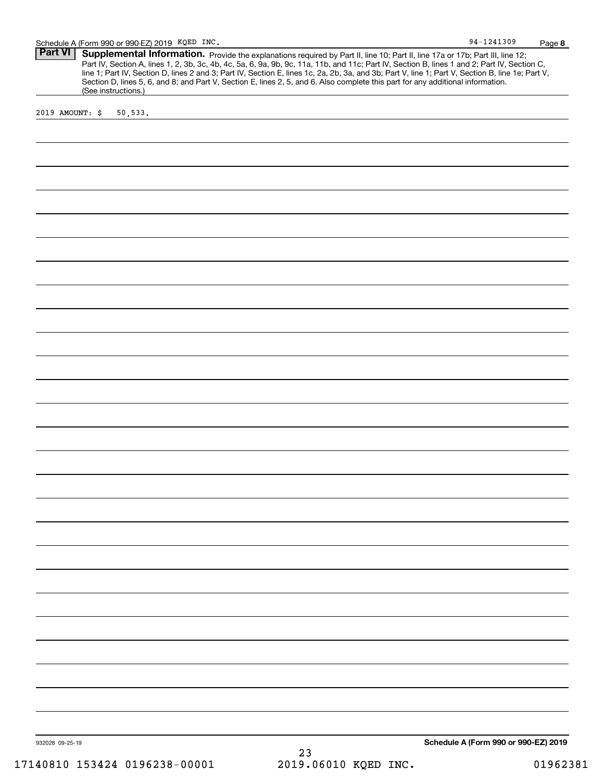|                 | Schedule A (Form 990 or 990-EZ) 2019 KQED INC.                                                                                                                                                                                                                                                                                                                                                                                                                                                                                                                                              | 94-1241309                           | Page 8 |
|-----------------|---------------------------------------------------------------------------------------------------------------------------------------------------------------------------------------------------------------------------------------------------------------------------------------------------------------------------------------------------------------------------------------------------------------------------------------------------------------------------------------------------------------------------------------------------------------------------------------------|--------------------------------------|--------|
| <b>Part VI</b>  | Supplemental Information. Provide the explanations required by Part II, line 10; Part II, line 17a or 17b; Part III, line 12;<br>Part IV, Section A, lines 1, 2, 3b, 3c, 4b, 4c, 5a, 6, 9a, 9b, 9c, 11a, 11b, and 11c; Part IV, Section B, lines 1 and 2; Part IV, Section C,<br>line 1; Part IV, Section D, lines 2 and 3; Part IV, Section E, lines 1c, 2a, 2b, 3a, and 3b; Part V, line 1; Part V, Section B, line 1e; Part V,<br>Section D, lines 5, 6, and 8; and Part V, Section E, lines 2, 5, and 6. Also complete this part for any additional information.<br>(See instructions.) |                                      |        |
| 2019 AMOUNT: \$ | 50, 533.                                                                                                                                                                                                                                                                                                                                                                                                                                                                                                                                                                                    |                                      |        |
|                 |                                                                                                                                                                                                                                                                                                                                                                                                                                                                                                                                                                                             |                                      |        |
|                 |                                                                                                                                                                                                                                                                                                                                                                                                                                                                                                                                                                                             |                                      |        |
|                 |                                                                                                                                                                                                                                                                                                                                                                                                                                                                                                                                                                                             |                                      |        |
|                 |                                                                                                                                                                                                                                                                                                                                                                                                                                                                                                                                                                                             |                                      |        |
|                 |                                                                                                                                                                                                                                                                                                                                                                                                                                                                                                                                                                                             |                                      |        |
|                 |                                                                                                                                                                                                                                                                                                                                                                                                                                                                                                                                                                                             |                                      |        |
|                 |                                                                                                                                                                                                                                                                                                                                                                                                                                                                                                                                                                                             |                                      |        |
|                 |                                                                                                                                                                                                                                                                                                                                                                                                                                                                                                                                                                                             |                                      |        |
|                 |                                                                                                                                                                                                                                                                                                                                                                                                                                                                                                                                                                                             |                                      |        |
|                 |                                                                                                                                                                                                                                                                                                                                                                                                                                                                                                                                                                                             |                                      |        |
|                 |                                                                                                                                                                                                                                                                                                                                                                                                                                                                                                                                                                                             |                                      |        |
|                 |                                                                                                                                                                                                                                                                                                                                                                                                                                                                                                                                                                                             |                                      |        |
|                 |                                                                                                                                                                                                                                                                                                                                                                                                                                                                                                                                                                                             |                                      |        |
|                 |                                                                                                                                                                                                                                                                                                                                                                                                                                                                                                                                                                                             |                                      |        |
|                 |                                                                                                                                                                                                                                                                                                                                                                                                                                                                                                                                                                                             |                                      |        |
|                 |                                                                                                                                                                                                                                                                                                                                                                                                                                                                                                                                                                                             |                                      |        |
|                 |                                                                                                                                                                                                                                                                                                                                                                                                                                                                                                                                                                                             |                                      |        |
|                 |                                                                                                                                                                                                                                                                                                                                                                                                                                                                                                                                                                                             |                                      |        |
|                 |                                                                                                                                                                                                                                                                                                                                                                                                                                                                                                                                                                                             |                                      |        |
|                 |                                                                                                                                                                                                                                                                                                                                                                                                                                                                                                                                                                                             |                                      |        |
|                 |                                                                                                                                                                                                                                                                                                                                                                                                                                                                                                                                                                                             |                                      |        |
|                 |                                                                                                                                                                                                                                                                                                                                                                                                                                                                                                                                                                                             |                                      |        |
|                 |                                                                                                                                                                                                                                                                                                                                                                                                                                                                                                                                                                                             |                                      |        |
|                 |                                                                                                                                                                                                                                                                                                                                                                                                                                                                                                                                                                                             |                                      |        |
|                 |                                                                                                                                                                                                                                                                                                                                                                                                                                                                                                                                                                                             |                                      |        |
|                 |                                                                                                                                                                                                                                                                                                                                                                                                                                                                                                                                                                                             |                                      |        |
|                 |                                                                                                                                                                                                                                                                                                                                                                                                                                                                                                                                                                                             |                                      |        |
| 932028 09-25-19 | 23                                                                                                                                                                                                                                                                                                                                                                                                                                                                                                                                                                                          | Schedule A (Form 990 or 990-EZ) 2019 |        |

17140810 153424 0196238-00001 2019.06010 KQED INC. 01962381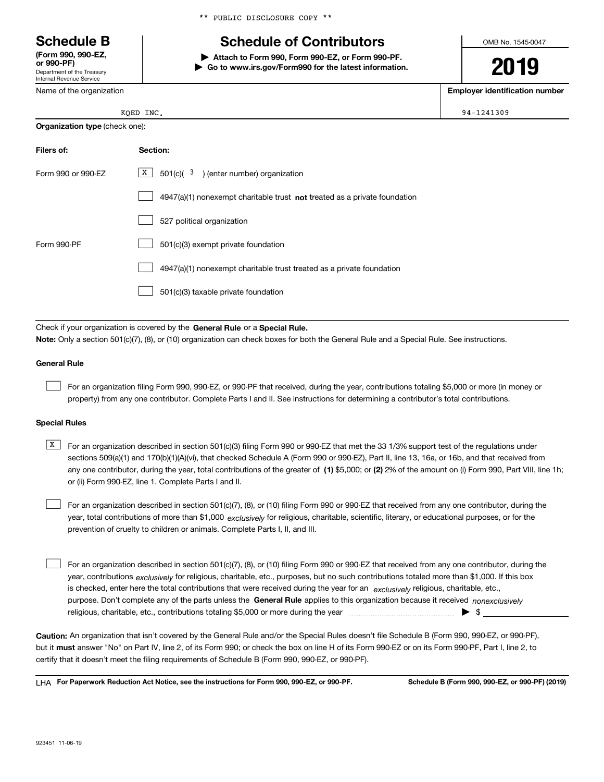Department of the Treasury Internal Revenue Service **(Form 990, 990-EZ, or 990-PF)**

Name of the organization

|  |  | ** PUBLIC DISCLOSURE COPY ** |  |  |
|--|--|------------------------------|--|--|
|--|--|------------------------------|--|--|

# **Schedule B Schedule of Contributors**

**| Attach to Form 990, Form 990-EZ, or Form 990-PF. | Go to www.irs.gov/Form990 for the latest information.** OMB No. 1545-0047

# **2019**

**Employer identification number**

| KQED INC. | 94-1241309 |
|-----------|------------|
|           |            |

| <b>Organization type (check one):</b> |  |
|---------------------------------------|--|
|---------------------------------------|--|

| Filers of:         | Section:                                                                    |  |
|--------------------|-----------------------------------------------------------------------------|--|
| Form 990 or 990-EZ | X<br>$501(c)$ $3$ ) (enter number) organization                             |  |
|                    | $4947(a)(1)$ nonexempt charitable trust not treated as a private foundation |  |
|                    | 527 political organization                                                  |  |
| Form 990-PF        | 501(c)(3) exempt private foundation                                         |  |
|                    | 4947(a)(1) nonexempt charitable trust treated as a private foundation       |  |
|                    | 501(c)(3) taxable private foundation                                        |  |

Check if your organization is covered by the **General Rule** or a **Special Rule. Note:**  Only a section 501(c)(7), (8), or (10) organization can check boxes for both the General Rule and a Special Rule. See instructions.

#### **General Rule**

 $\mathcal{L}^{\text{max}}$ 

For an organization filing Form 990, 990-EZ, or 990-PF that received, during the year, contributions totaling \$5,000 or more (in money or property) from any one contributor. Complete Parts I and II. See instructions for determining a contributor's total contributions.

#### **Special Rules**

any one contributor, during the year, total contributions of the greater of  $\,$  (1) \$5,000; or **(2)** 2% of the amount on (i) Form 990, Part VIII, line 1h;  $\overline{X}$  For an organization described in section 501(c)(3) filing Form 990 or 990-EZ that met the 33 1/3% support test of the regulations under sections 509(a)(1) and 170(b)(1)(A)(vi), that checked Schedule A (Form 990 or 990-EZ), Part II, line 13, 16a, or 16b, and that received from or (ii) Form 990-EZ, line 1. Complete Parts I and II.

year, total contributions of more than \$1,000 *exclusively* for religious, charitable, scientific, literary, or educational purposes, or for the For an organization described in section 501(c)(7), (8), or (10) filing Form 990 or 990-EZ that received from any one contributor, during the prevention of cruelty to children or animals. Complete Parts I, II, and III.  $\mathcal{L}^{\text{max}}$ 

purpose. Don't complete any of the parts unless the **General Rule** applies to this organization because it received *nonexclusively* year, contributions <sub>exclusively</sub> for religious, charitable, etc., purposes, but no such contributions totaled more than \$1,000. If this box is checked, enter here the total contributions that were received during the year for an  $\;$ exclusively religious, charitable, etc., For an organization described in section 501(c)(7), (8), or (10) filing Form 990 or 990-EZ that received from any one contributor, during the religious, charitable, etc., contributions totaling \$5,000 or more during the year  $\Box$ — $\Box$   $\Box$  $\mathcal{L}^{\text{max}}$ 

**Caution:**  An organization that isn't covered by the General Rule and/or the Special Rules doesn't file Schedule B (Form 990, 990-EZ, or 990-PF),  **must** but it answer "No" on Part IV, line 2, of its Form 990; or check the box on line H of its Form 990-EZ or on its Form 990-PF, Part I, line 2, to certify that it doesn't meet the filing requirements of Schedule B (Form 990, 990-EZ, or 990-PF).

**For Paperwork Reduction Act Notice, see the instructions for Form 990, 990-EZ, or 990-PF. Schedule B (Form 990, 990-EZ, or 990-PF) (2019)** LHA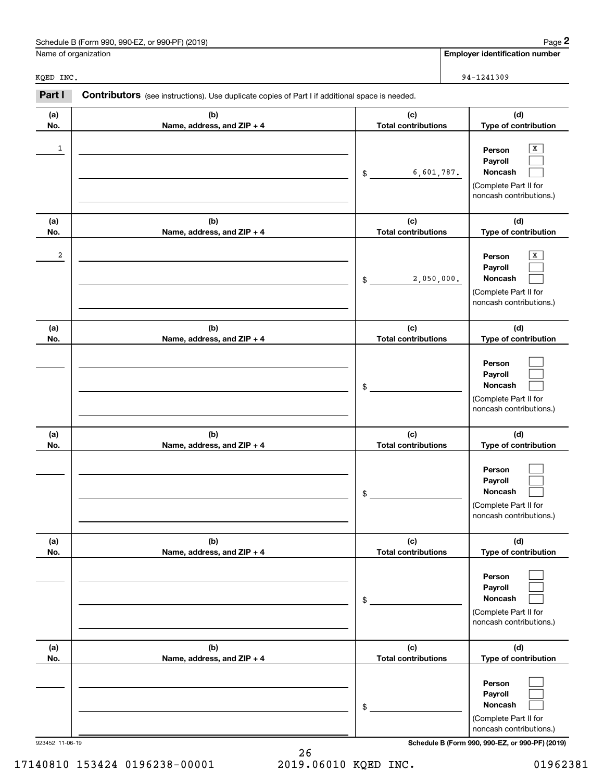| Schedule B (Form 990, 990-EZ, or 990-PF) (2019) | Paɑe                                  |
|-------------------------------------------------|---------------------------------------|
| Name of organization                            | <b>Emplover identification number</b> |

|              | Schedule B (Form 990, 990-EZ, or 990-PF) (2019)                                                |                                   | Page 2                                                                                |
|--------------|------------------------------------------------------------------------------------------------|-----------------------------------|---------------------------------------------------------------------------------------|
|              | Name of organization                                                                           |                                   | <b>Employer identification number</b>                                                 |
| KQED INC.    |                                                                                                |                                   | 94-1241309                                                                            |
| Part I       | Contributors (see instructions). Use duplicate copies of Part I if additional space is needed. |                                   |                                                                                       |
| (a)<br>No.   | (b)<br>Name, address, and ZIP + 4                                                              | (c)<br><b>Total contributions</b> | (d)<br>Type of contribution                                                           |
| $\mathbf{1}$ |                                                                                                | 6,601,787.<br>\$                  | X<br>Person<br>Payroll<br>Noncash<br>(Complete Part II for<br>noncash contributions.) |
| (a)<br>No.   | (b)<br>Name, address, and ZIP + 4                                                              | (c)<br><b>Total contributions</b> | (d)<br>Type of contribution                                                           |
| 2            |                                                                                                | 2,050,000.<br>\$                  | Х<br>Person<br>Payroll<br>Noncash<br>(Complete Part II for<br>noncash contributions.) |
| (a)<br>No.   | (b)<br>Name, address, and ZIP + 4                                                              | (c)<br><b>Total contributions</b> | (d)<br>Type of contribution                                                           |
|              |                                                                                                | \$                                | Person<br>Payroll<br>Noncash<br>(Complete Part II for<br>noncash contributions.)      |
| (a)<br>No.   | (b)<br>Name, address, and ZIP + 4                                                              | (c)<br><b>Total contributions</b> | (d)<br>Type of contribution                                                           |
|              |                                                                                                | \$                                | Person<br>Payroll<br>Noncash<br>(Complete Part II for<br>noncash contributions.)      |
| (a)<br>No.   | (b)<br>Name, address, and ZIP + 4                                                              | (c)<br><b>Total contributions</b> | (d)<br>Type of contribution                                                           |
|              |                                                                                                | \$                                | Person<br>Payroll<br>Noncash<br>(Complete Part II for<br>noncash contributions.)      |
| (a)<br>No.   | (b)<br>Name, address, and ZIP + 4                                                              | (c)<br><b>Total contributions</b> | (d)<br>Type of contribution                                                           |
|              |                                                                                                | \$                                | Person<br>Payroll<br>Noncash<br>(Complete Part II for<br>noncash contributions.)      |

923452 11-06-19 **Schedule B (Form 990, 990-EZ, or 990-PF) (2019)**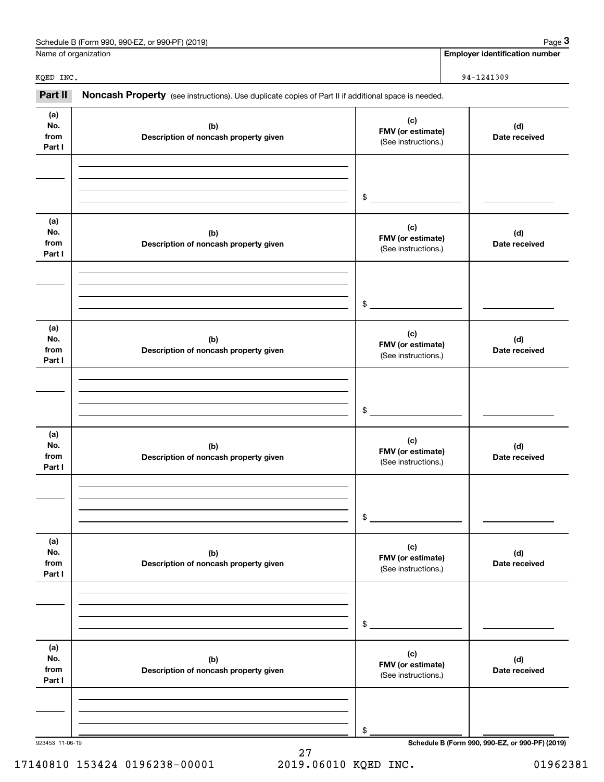|                              | Schedule B (Form 990, 990-EZ, or 990-PF) (2019)                                                     |                                                 | Page 3                                |
|------------------------------|-----------------------------------------------------------------------------------------------------|-------------------------------------------------|---------------------------------------|
|                              | Name of organization                                                                                |                                                 | <b>Employer identification number</b> |
| KQED INC.                    |                                                                                                     |                                                 | $94 - 1241309$                        |
| Part II                      | Noncash Property (see instructions). Use duplicate copies of Part II if additional space is needed. |                                                 |                                       |
| (a)<br>No.<br>from<br>Part I | (b)<br>Description of noncash property given                                                        | (c)<br>FMV (or estimate)<br>(See instructions.) | (d)<br>Date received                  |
|                              |                                                                                                     | \$                                              |                                       |
| (a)<br>No.<br>from<br>Part I | (b)<br>Description of noncash property given                                                        | (c)<br>FMV (or estimate)<br>(See instructions.) | (d)<br>Date received                  |
|                              |                                                                                                     | \$                                              |                                       |
| (a)<br>No.<br>from<br>Part I | (b)<br>Description of noncash property given                                                        | (c)<br>FMV (or estimate)<br>(See instructions.) | (d)<br>Date received                  |
|                              |                                                                                                     | \$                                              |                                       |
| (a)<br>No.<br>from<br>Part I | (b)<br>Description of noncash property given                                                        | (c)<br>FMV (or estimate)<br>(See instructions.) | (d)<br>Date received                  |
|                              |                                                                                                     | \$                                              |                                       |
| (a)<br>No.<br>from<br>Part I | (b)<br>Description of noncash property given                                                        | (c)<br>FMV (or estimate)<br>(See instructions.) | (d)<br>Date received                  |
|                              |                                                                                                     | \$                                              |                                       |
| (a)<br>No.<br>from<br>Part I | (b)<br>Description of noncash property given                                                        | (c)<br>FMV (or estimate)<br>(See instructions.) | (d)<br>Date received                  |

923453 11-06-19 **Schedule B (Form 990, 990-EZ, or 990-PF) (2019)**

17140810 153424 0196238-00001 2019.06010 KQED INC. 01962381

 $27$ <br>2019.06010 KQED INC.

\$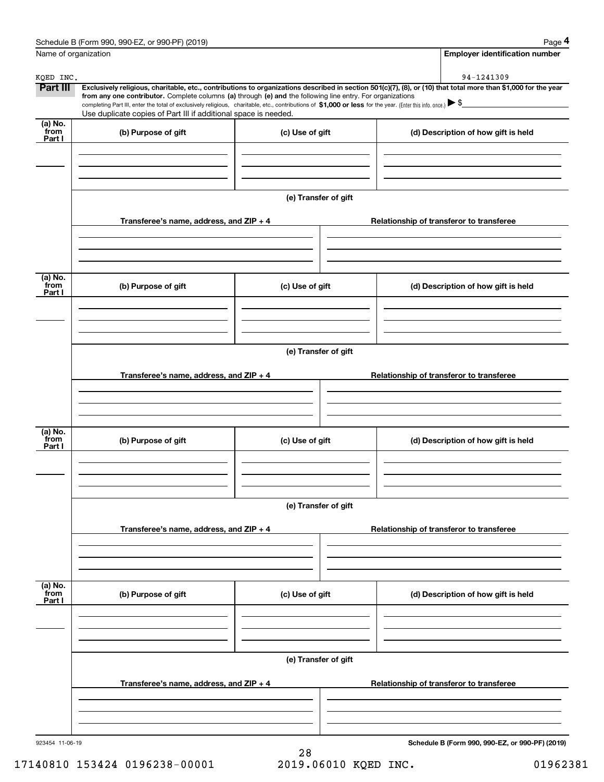|                           | Schedule B (Form 990, 990-EZ, or 990-PF) (2019)                                                                                                                                                                                                                            |                      | Page 4                                                                                                                                                         |  |  |
|---------------------------|----------------------------------------------------------------------------------------------------------------------------------------------------------------------------------------------------------------------------------------------------------------------------|----------------------|----------------------------------------------------------------------------------------------------------------------------------------------------------------|--|--|
| Name of organization      |                                                                                                                                                                                                                                                                            |                      | Employer identification number                                                                                                                                 |  |  |
| KQED INC.                 |                                                                                                                                                                                                                                                                            |                      | 94-1241309                                                                                                                                                     |  |  |
| <b>Part III</b>           |                                                                                                                                                                                                                                                                            |                      | Exclusively religious, charitable, etc., contributions to organizations described in section 501(c)(7), (8), or (10) that total more than \$1,000 for the year |  |  |
|                           | from any one contributor. Complete columns (a) through (e) and the following line entry. For organizations<br>completing Part III, enter the total of exclusively religious, charitable, etc., contributions of \$1,000 or less for the year. (Enter this info. once.) \\$ |                      |                                                                                                                                                                |  |  |
|                           | Use duplicate copies of Part III if additional space is needed.                                                                                                                                                                                                            |                      |                                                                                                                                                                |  |  |
| (a) No.<br>from<br>Part I | (b) Purpose of gift                                                                                                                                                                                                                                                        | (c) Use of gift      | (d) Description of how gift is held                                                                                                                            |  |  |
|                           |                                                                                                                                                                                                                                                                            |                      |                                                                                                                                                                |  |  |
|                           |                                                                                                                                                                                                                                                                            |                      |                                                                                                                                                                |  |  |
|                           |                                                                                                                                                                                                                                                                            | (e) Transfer of gift |                                                                                                                                                                |  |  |
|                           | Transferee's name, address, and ZIP + 4<br>Relationship of transferor to transferee                                                                                                                                                                                        |                      |                                                                                                                                                                |  |  |
|                           |                                                                                                                                                                                                                                                                            |                      |                                                                                                                                                                |  |  |
|                           |                                                                                                                                                                                                                                                                            |                      |                                                                                                                                                                |  |  |
| (a) No.<br>from<br>Part I | (b) Purpose of gift                                                                                                                                                                                                                                                        | (c) Use of gift      | (d) Description of how gift is held                                                                                                                            |  |  |
|                           |                                                                                                                                                                                                                                                                            |                      |                                                                                                                                                                |  |  |
|                           |                                                                                                                                                                                                                                                                            |                      |                                                                                                                                                                |  |  |
|                           | (e) Transfer of gift                                                                                                                                                                                                                                                       |                      |                                                                                                                                                                |  |  |
|                           | Transferee's name, address, and ZIP + 4<br>Relationship of transferor to transferee                                                                                                                                                                                        |                      |                                                                                                                                                                |  |  |
|                           |                                                                                                                                                                                                                                                                            |                      |                                                                                                                                                                |  |  |
|                           |                                                                                                                                                                                                                                                                            |                      |                                                                                                                                                                |  |  |
| (a) No.<br>from<br>Part I | (b) Purpose of gift                                                                                                                                                                                                                                                        | (c) Use of gift      | (d) Description of how gift is held                                                                                                                            |  |  |
|                           |                                                                                                                                                                                                                                                                            |                      |                                                                                                                                                                |  |  |
|                           | (e) Transfer of gift                                                                                                                                                                                                                                                       |                      |                                                                                                                                                                |  |  |
|                           | Transferee's name, address, and $ZIP + 4$                                                                                                                                                                                                                                  |                      | Relationship of transferor to transferee                                                                                                                       |  |  |
|                           |                                                                                                                                                                                                                                                                            |                      |                                                                                                                                                                |  |  |
|                           |                                                                                                                                                                                                                                                                            |                      |                                                                                                                                                                |  |  |
| (a) No.<br>from<br>Part I | (b) Purpose of gift                                                                                                                                                                                                                                                        | (c) Use of gift      | (d) Description of how gift is held                                                                                                                            |  |  |
|                           |                                                                                                                                                                                                                                                                            |                      |                                                                                                                                                                |  |  |
|                           |                                                                                                                                                                                                                                                                            |                      |                                                                                                                                                                |  |  |
|                           | (e) Transfer of gift                                                                                                                                                                                                                                                       |                      |                                                                                                                                                                |  |  |
|                           | Transferee's name, address, and ZIP + 4                                                                                                                                                                                                                                    |                      | Relationship of transferor to transferee                                                                                                                       |  |  |
|                           |                                                                                                                                                                                                                                                                            |                      |                                                                                                                                                                |  |  |
|                           |                                                                                                                                                                                                                                                                            |                      |                                                                                                                                                                |  |  |
| 923454 11-06-19           |                                                                                                                                                                                                                                                                            |                      | Schedule B (Form 990, 990-EZ, or 990-PF) (2019)                                                                                                                |  |  |

17140810 153424 0196238-00001 2019.06010 KQED INC. 01962381

28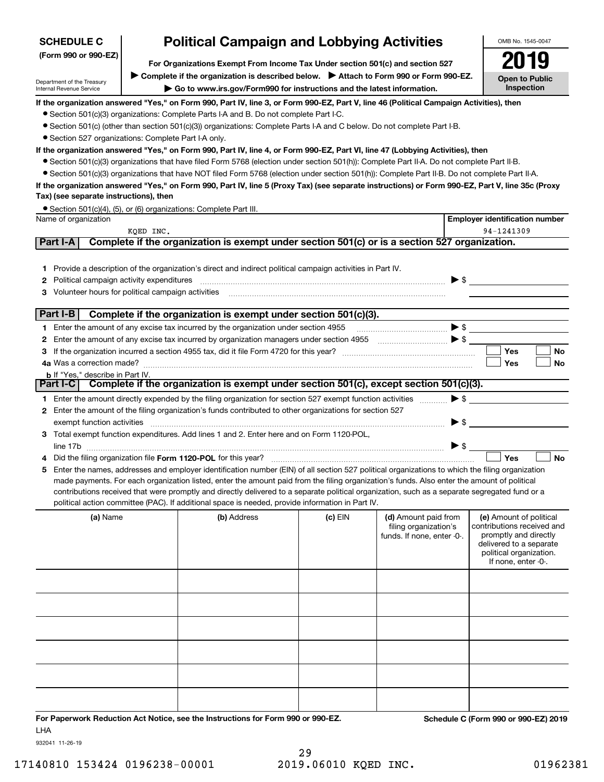| <b>Political Campaign and Lobbying Activities</b> |  |  |
|---------------------------------------------------|--|--|
|                                                   |  |  |

**(Form 990 or 990-EZ)**

# **For Organizations Exempt From Income Tax Under section 501(c) and section 527**

Department of the Treasury Internal Revenue Service

**SCHEDULE C**

▶ Complete if the organization is described below. ▶ Attach to Form 990 or Form 990-EZ.

**Open to Public Inspection2019**

OMB No. 1545-0047

**| Go to www.irs.gov/Form990 for instructions and the latest information.**

**If the organization answered "Yes," on Form 990, Part IV, line 3, or Form 990-EZ, Part V, line 46 (Political Campaign Activities), then**

● Section 501(c)(3) organizations: Complete Parts I-A and B. Do not complete Part I-C.

● Section 501(c) (other than section 501(c)(3)) organizations: Complete Parts I-A and C below. Do not complete Part I-B.

● Section 527 organizations: Complete Part I-A only.

**If the organization answered "Yes," on Form 990, Part IV, line 4, or Form 990-EZ, Part VI, line 47 (Lobbying Activities), then**

● Section 501(c)(3) organizations that have filed Form 5768 (election under section 501(h)): Complete Part II-A. Do not complete Part II-B.

¥ Section 501(c)(3) organizations that have NOT filed Form 5768 (election under section 501(h)): Complete Part II-B. Do not complete Part II-A.

#### **If the organization answered "Yes," on Form 990, Part IV, line 5 (Proxy Tax) (see separate instructions) or Form 990-EZ, Part V, line 35c (Proxy Tax) (see separate instructions), then**

● Section 501(c)(4), (5), or (6) organizations: Complete Part III.

|    | Name of organization                                                                                                                                                                                                                                                                                                                                                                                                                             |                                                                                               |           |                                                                             | <b>Employer identification number</b>                                                                                                                       |
|----|--------------------------------------------------------------------------------------------------------------------------------------------------------------------------------------------------------------------------------------------------------------------------------------------------------------------------------------------------------------------------------------------------------------------------------------------------|-----------------------------------------------------------------------------------------------|-----------|-----------------------------------------------------------------------------|-------------------------------------------------------------------------------------------------------------------------------------------------------------|
|    | KQED INC.                                                                                                                                                                                                                                                                                                                                                                                                                                        |                                                                                               |           |                                                                             | 94-1241309                                                                                                                                                  |
|    | <b>Part I-A</b>                                                                                                                                                                                                                                                                                                                                                                                                                                  | Complete if the organization is exempt under section 501(c) or is a section 527 organization. |           |                                                                             |                                                                                                                                                             |
|    | 1 Provide a description of the organization's direct and indirect political campaign activities in Part IV.<br>2 Political campaign activity expenditures                                                                                                                                                                                                                                                                                        |                                                                                               |           |                                                                             |                                                                                                                                                             |
|    | $Part I-B$                                                                                                                                                                                                                                                                                                                                                                                                                                       | Complete if the organization is exempt under section 501(c)(3).                               |           |                                                                             |                                                                                                                                                             |
|    |                                                                                                                                                                                                                                                                                                                                                                                                                                                  |                                                                                               |           |                                                                             |                                                                                                                                                             |
| 2  | Enter the amount of any excise tax incurred by organization managers under section 4955 $\ldots$ $\ldots$ $\ldots$                                                                                                                                                                                                                                                                                                                               |                                                                                               |           |                                                                             |                                                                                                                                                             |
|    |                                                                                                                                                                                                                                                                                                                                                                                                                                                  |                                                                                               |           |                                                                             | <b>Yes</b><br><b>No</b>                                                                                                                                     |
|    |                                                                                                                                                                                                                                                                                                                                                                                                                                                  |                                                                                               |           |                                                                             | Yes<br><b>No</b>                                                                                                                                            |
|    | <b>b</b> If "Yes," describe in Part IV.                                                                                                                                                                                                                                                                                                                                                                                                          |                                                                                               |           |                                                                             |                                                                                                                                                             |
|    | <b>Part I-C</b>                                                                                                                                                                                                                                                                                                                                                                                                                                  | Complete if the organization is exempt under section 501(c), except section 501(c)(3).        |           |                                                                             |                                                                                                                                                             |
|    | <b>1</b> Enter the amount directly expended by the filing organization for section 527 exempt function activities $\ldots$                                                                                                                                                                                                                                                                                                                       |                                                                                               |           |                                                                             |                                                                                                                                                             |
|    | 2 Enter the amount of the filing organization's funds contributed to other organizations for section 527                                                                                                                                                                                                                                                                                                                                         |                                                                                               |           |                                                                             |                                                                                                                                                             |
|    |                                                                                                                                                                                                                                                                                                                                                                                                                                                  |                                                                                               |           |                                                                             | $\blacktriangleright$ \$                                                                                                                                    |
|    | 3 Total exempt function expenditures. Add lines 1 and 2. Enter here and on Form 1120-POL,                                                                                                                                                                                                                                                                                                                                                        |                                                                                               |           |                                                                             |                                                                                                                                                             |
|    |                                                                                                                                                                                                                                                                                                                                                                                                                                                  |                                                                                               |           |                                                                             |                                                                                                                                                             |
|    |                                                                                                                                                                                                                                                                                                                                                                                                                                                  |                                                                                               |           |                                                                             | Yes<br><b>No</b>                                                                                                                                            |
| 5. | Enter the names, addresses and employer identification number (EIN) of all section 527 political organizations to which the filing organization<br>made payments. For each organization listed, enter the amount paid from the filing organization's funds. Also enter the amount of political<br>contributions received that were promptly and directly delivered to a separate political organization, such as a separate segregated fund or a |                                                                                               |           |                                                                             |                                                                                                                                                             |
|    | political action committee (PAC). If additional space is needed, provide information in Part IV.                                                                                                                                                                                                                                                                                                                                                 |                                                                                               |           |                                                                             |                                                                                                                                                             |
|    | (a) Name                                                                                                                                                                                                                                                                                                                                                                                                                                         | (b) Address                                                                                   | $(c)$ EIN | (d) Amount paid from<br>filing organization's<br>funds. If none, enter -0-. | (e) Amount of political<br>contributions received and<br>promptly and directly<br>delivered to a separate<br>political organization.<br>If none, enter -0-. |
|    |                                                                                                                                                                                                                                                                                                                                                                                                                                                  |                                                                                               |           |                                                                             |                                                                                                                                                             |
|    |                                                                                                                                                                                                                                                                                                                                                                                                                                                  |                                                                                               |           |                                                                             |                                                                                                                                                             |
|    |                                                                                                                                                                                                                                                                                                                                                                                                                                                  |                                                                                               |           |                                                                             |                                                                                                                                                             |
|    |                                                                                                                                                                                                                                                                                                                                                                                                                                                  |                                                                                               |           |                                                                             |                                                                                                                                                             |
|    |                                                                                                                                                                                                                                                                                                                                                                                                                                                  |                                                                                               |           |                                                                             |                                                                                                                                                             |

**For Paperwork Reduction Act Notice, see the Instructions for Form 990 or 990-EZ. Schedule C (Form 990 or 990-EZ) 2019** LHA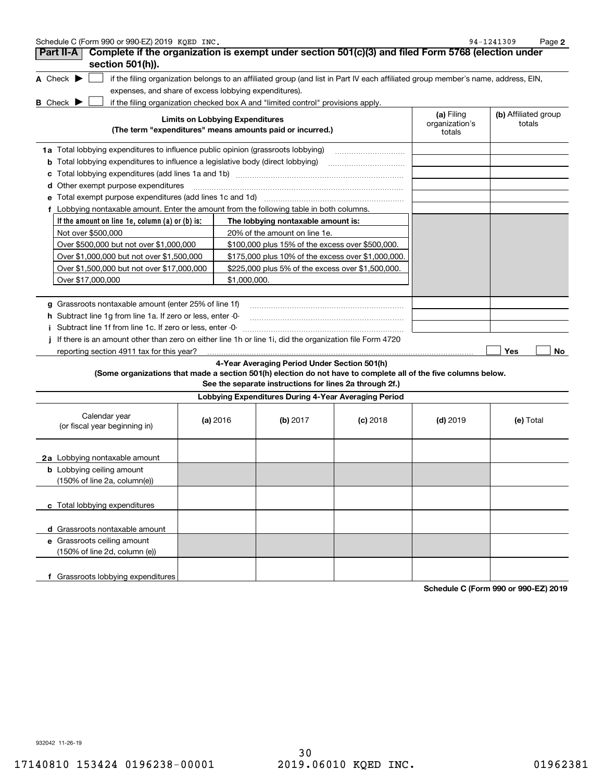| Schedule C (Form 990 or 990-EZ) 2019 KQED INC.                                                                                                                     |                                                                                                     |                                                         |            |            | 94-1241309<br>Page 2                        |
|--------------------------------------------------------------------------------------------------------------------------------------------------------------------|-----------------------------------------------------------------------------------------------------|---------------------------------------------------------|------------|------------|---------------------------------------------|
| Complete if the organization is exempt under section 501(c)(3) and filed Form 5768 (election under<br>Part II-A                                                    |                                                                                                     |                                                         |            |            |                                             |
| section 501(h)).                                                                                                                                                   |                                                                                                     |                                                         |            |            |                                             |
| A Check $\blacktriangleright$<br>if the filing organization belongs to an affiliated group (and list in Part IV each affiliated group member's name, address, EIN, |                                                                                                     |                                                         |            |            |                                             |
| expenses, and share of excess lobbying expenditures).                                                                                                              |                                                                                                     |                                                         |            |            |                                             |
| <b>B</b> Check $\blacktriangleright$<br>if the filing organization checked box A and "limited control" provisions apply.                                           |                                                                                                     |                                                         |            | (a) Filing | (b) Affiliated group                        |
|                                                                                                                                                                    | <b>Limits on Lobbying Expenditures</b><br>(The term "expenditures" means amounts paid or incurred.) |                                                         |            |            |                                             |
| 1a Total lobbying expenditures to influence public opinion (grassroots lobbying)                                                                                   |                                                                                                     |                                                         |            |            |                                             |
| <b>b</b> Total lobbying expenditures to influence a legislative body (direct lobbying)                                                                             |                                                                                                     |                                                         |            |            |                                             |
| с                                                                                                                                                                  |                                                                                                     |                                                         |            |            |                                             |
| Other exempt purpose expenditures<br>d                                                                                                                             |                                                                                                     |                                                         |            |            |                                             |
| е                                                                                                                                                                  |                                                                                                     |                                                         |            |            |                                             |
| f Lobbying nontaxable amount. Enter the amount from the following table in both columns.                                                                           |                                                                                                     |                                                         |            |            |                                             |
| If the amount on line 1e, column (a) or (b) is:                                                                                                                    |                                                                                                     | The lobbying nontaxable amount is:                      |            |            |                                             |
| Not over \$500,000                                                                                                                                                 |                                                                                                     | 20% of the amount on line 1e.                           |            |            |                                             |
| Over \$500,000 but not over \$1,000,000                                                                                                                            |                                                                                                     | \$100,000 plus 15% of the excess over \$500,000.        |            |            |                                             |
| Over \$1,000,000 but not over \$1,500,000                                                                                                                          |                                                                                                     | \$175,000 plus 10% of the excess over \$1,000,000.      |            |            |                                             |
| Over \$1,500,000 but not over \$17,000,000                                                                                                                         |                                                                                                     | \$225,000 plus 5% of the excess over \$1,500,000.       |            |            |                                             |
| Over \$17,000,000                                                                                                                                                  | \$1,000,000.                                                                                        |                                                         |            |            |                                             |
|                                                                                                                                                                    |                                                                                                     |                                                         |            |            |                                             |
| g Grassroots nontaxable amount (enter 25% of line 1f)                                                                                                              |                                                                                                     |                                                         |            |            |                                             |
| h Subtract line 1g from line 1a. If zero or less, enter -0-                                                                                                        |                                                                                                     |                                                         |            |            |                                             |
| i Subtract line 1f from line 1c. If zero or less, enter -0-                                                                                                        |                                                                                                     |                                                         |            |            |                                             |
| If there is an amount other than zero on either line 1h or line 1i, did the organization file Form 4720                                                            |                                                                                                     |                                                         |            |            |                                             |
| reporting section 4911 tax for this year?                                                                                                                          |                                                                                                     |                                                         |            |            | Yes<br>No                                   |
|                                                                                                                                                                    |                                                                                                     | 4-Year Averaging Period Under Section 501(h)            |            |            |                                             |
| (Some organizations that made a section 501(h) election do not have to complete all of the five columns below.                                                     |                                                                                                     | See the separate instructions for lines 2a through 2f.) |            |            |                                             |
|                                                                                                                                                                    |                                                                                                     |                                                         |            |            |                                             |
|                                                                                                                                                                    |                                                                                                     | Lobbying Expenditures During 4-Year Averaging Period    |            |            |                                             |
| Calendar year<br>(or fiscal year beginning in)                                                                                                                     | (a) 2016                                                                                            | (b) $2017$                                              | $(c)$ 2018 | $(d)$ 2019 | (e) Total                                   |
| 2a Lobbying nontaxable amount                                                                                                                                      |                                                                                                     |                                                         |            |            |                                             |
| <b>b</b> Lobbying ceiling amount                                                                                                                                   |                                                                                                     |                                                         |            |            |                                             |
| $(150\% \text{ of line } 2a, \text{ column}(e))$                                                                                                                   |                                                                                                     |                                                         |            |            |                                             |
| c Total lobbying expenditures                                                                                                                                      |                                                                                                     |                                                         |            |            |                                             |
| d Grassroots nontaxable amount                                                                                                                                     |                                                                                                     |                                                         |            |            |                                             |
| e Grassroots ceiling amount                                                                                                                                        |                                                                                                     |                                                         |            |            |                                             |
| (150% of line 2d, column (e))                                                                                                                                      |                                                                                                     |                                                         |            |            |                                             |
|                                                                                                                                                                    |                                                                                                     |                                                         |            |            |                                             |
| f Grassroots lobbying expenditures                                                                                                                                 |                                                                                                     |                                                         |            |            | $d_{11}$ $\alpha$ (Ferm 000 ex 000 F7) 0040 |

**Schedule C (Form 990 or 990-EZ) 2019**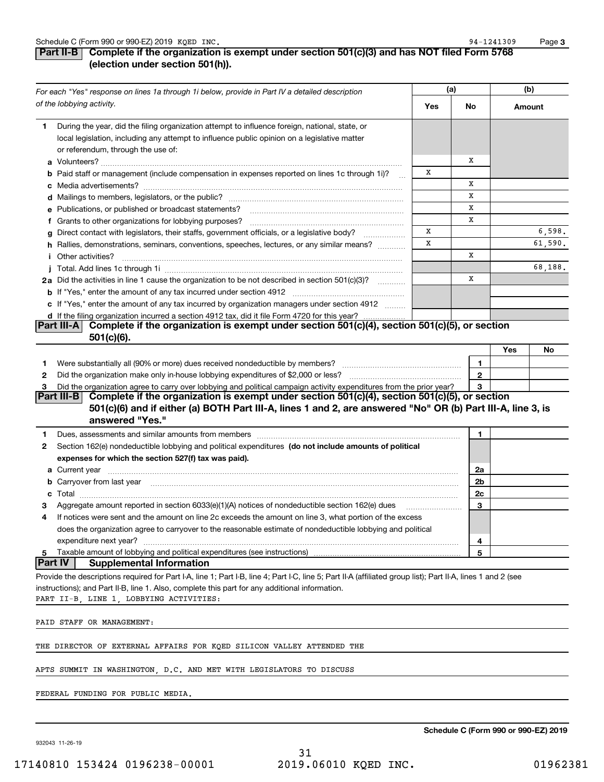**3**

| Schedule C (Form 990 or 990-EZ) 2019 KOED INC.                                                                | $94 - 124130$ |  |
|---------------------------------------------------------------------------------------------------------------|---------------|--|
| <b>Part II-B</b> Complete if the organization is exempt under section $501(c)(3)$ and has NOT filed Form 5768 |               |  |
| (election under section 501(h)).                                                                              |               |  |

| For each "Yes" response on lines 1a through 1i below, provide in Part IV a detailed description                                                                                                                                     |     | (a)            |        | (b)     |  |
|-------------------------------------------------------------------------------------------------------------------------------------------------------------------------------------------------------------------------------------|-----|----------------|--------|---------|--|
| of the lobbying activity.                                                                                                                                                                                                           | Yes | No             | Amount |         |  |
| During the year, did the filing organization attempt to influence foreign, national, state, or<br>1.                                                                                                                                |     |                |        |         |  |
| local legislation, including any attempt to influence public opinion on a legislative matter                                                                                                                                        |     |                |        |         |  |
| or referendum, through the use of:                                                                                                                                                                                                  |     |                |        |         |  |
|                                                                                                                                                                                                                                     |     | х              |        |         |  |
| <b>b</b> Paid staff or management (include compensation in expenses reported on lines 1c through 1i)?                                                                                                                               | x   |                |        |         |  |
|                                                                                                                                                                                                                                     |     | х              |        |         |  |
|                                                                                                                                                                                                                                     |     | x              |        |         |  |
| e Publications, or published or broadcast statements?                                                                                                                                                                               |     | х              |        |         |  |
| f Grants to other organizations for lobbying purposes?                                                                                                                                                                              |     | x              |        |         |  |
| g Direct contact with legislators, their staffs, government officials, or a legislative body?<br>.                                                                                                                                  | X   |                |        | 6,598.  |  |
| h Rallies, demonstrations, seminars, conventions, speeches, lectures, or any similar means?                                                                                                                                         | x   | x              |        | 61,590. |  |
| <i>i</i> Other activities?                                                                                                                                                                                                          |     |                |        | 68,188. |  |
| 2a Did the activities in line 1 cause the organization to be not described in section 501(c)(3)?                                                                                                                                    |     | x              |        |         |  |
|                                                                                                                                                                                                                                     |     |                |        |         |  |
| c If "Yes," enter the amount of any tax incurred by organization managers under section 4912                                                                                                                                        |     |                |        |         |  |
| d If the filing organization incurred a section 4912 tax, did it file Form 4720 for this year?                                                                                                                                      |     |                |        |         |  |
| Complete if the organization is exempt under section 501(c)(4), section 501(c)(5), or section<br> Part III-A                                                                                                                        |     |                |        |         |  |
| $501(c)(6)$ .                                                                                                                                                                                                                       |     |                |        |         |  |
|                                                                                                                                                                                                                                     |     |                | Yes    | No      |  |
| Were substantially all (90% or more) dues received nondeductible by members? [11] matter substantially all (90% or more) dues received nondeductible by members? [11] matter substantially all (90% or more)<br>1                   |     | 1              |        |         |  |
| 2                                                                                                                                                                                                                                   |     | $\mathbf{2}$   |        |         |  |
| Did the organization agree to carry over lobbying and political campaign activity expenditures from the prior year?<br>з                                                                                                            |     | 3              |        |         |  |
| Part III-B Complete if the organization is exempt under section 501(c)(4), section 501(c)(5), or section                                                                                                                            |     |                |        |         |  |
| 501(c)(6) and if either (a) BOTH Part III-A, lines 1 and 2, are answered "No" OR (b) Part III-A, line 3, is                                                                                                                         |     |                |        |         |  |
| answered "Yes."                                                                                                                                                                                                                     |     |                |        |         |  |
| Dues, assessments and similar amounts from members [11] matter contracts and similar amounts from members [11] matter and similar amounts from members [11] matter and similar amounts from members [11] matter and similar am<br>1 |     | 1.             |        |         |  |
| Section 162(e) nondeductible lobbying and political expenditures (do not include amounts of political<br>2                                                                                                                          |     |                |        |         |  |
| expenses for which the section 527(f) tax was paid).                                                                                                                                                                                |     |                |        |         |  |
|                                                                                                                                                                                                                                     |     | 2a             |        |         |  |
| <b>b</b> Carryover from last year <b>contained to the contract of the contract of Carryover from last year contained to the contract of the contract of Carryover from last year</b>                                                |     | 2 <sub>b</sub> |        |         |  |
| c                                                                                                                                                                                                                                   |     | 2c             |        |         |  |
| Aggregate amount reported in section 6033(e)(1)(A) notices of nondeductible section 162(e) dues                                                                                                                                     |     | 3              |        |         |  |
| If notices were sent and the amount on line 2c exceeds the amount on line 3, what portion of the excess<br>4                                                                                                                        |     |                |        |         |  |
| does the organization agree to carryover to the reasonable estimate of nondeductible lobbying and political                                                                                                                         |     |                |        |         |  |
| expenditure next year?                                                                                                                                                                                                              |     | 4              |        |         |  |
| Taxable amount of lobbying and political expenditures (see instructions)<br>5<br><b>Part IV</b>                                                                                                                                     |     | 5              |        |         |  |
| <b>Supplemental Information</b>                                                                                                                                                                                                     |     |                |        |         |  |
| Provide the descriptions required for Part I-A, line 1; Part I-B, line 4; Part I-C, line 5; Part II-A (affiliated group list); Part II-A, lines 1 and 2 (see                                                                        |     |                |        |         |  |
| instructions); and Part II-B, line 1. Also, complete this part for any additional information.<br>PART II-B, LINE 1, LOBBYING ACTIVITIES:                                                                                           |     |                |        |         |  |
|                                                                                                                                                                                                                                     |     |                |        |         |  |
| PAID STAFF OR MANAGEMENT:                                                                                                                                                                                                           |     |                |        |         |  |
| THE DIRECTOR OF EXTERNAL AFFAIRS FOR KQED SILICON VALLEY ATTENDED THE                                                                                                                                                               |     |                |        |         |  |
| APTS SUMMIT IN WASHINGTON, D.C. AND MET WITH LEGISLATORS TO DISCUSS                                                                                                                                                                 |     |                |        |         |  |

FEDERAL FUNDING FOR PUBLIC MEDIA.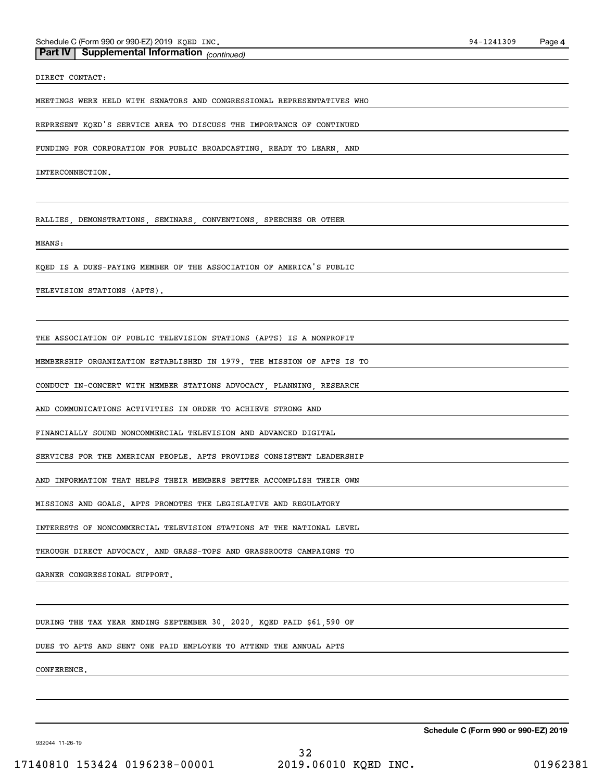DIRECT CONTACT:

MEETINGS WERE HELD WITH SENATORS AND CONGRESSIONAL REPRESENTATIVES WHO

REPRESENT KQED'S SERVICE AREA TO DISCUSS THE IMPORTANCE OF CONTINUED

FUNDING FOR CORPORATION FOR PUBLIC BROADCASTING, READY TO LEARN, AND

INTERCONNECTION.

RALLIES, DEMONSTRATIONS, SEMINARS, CONVENTIONS, SPEECHES OR OTHER

MEANS:

KQED IS A DUES-PAYING MEMBER OF THE ASSOCIATION OF AMERICA'S PUBLIC

TELEVISION STATIONS (APTS).

THE ASSOCIATION OF PUBLIC TELEVISION STATIONS (APTS) IS A NONPROFIT

MEMBERSHIP ORGANIZATION ESTABLISHED IN 1979. THE MISSION OF APTS IS TO

CONDUCT IN-CONCERT WITH MEMBER STATIONS ADVOCACY, PLANNING, RESEARCH

AND COMMUNICATIONS ACTIVITIES IN ORDER TO ACHIEVE STRONG AND

FINANCIALLY SOUND NONCOMMERCIAL TELEVISION AND ADVANCED DIGITAL

SERVICES FOR THE AMERICAN PEOPLE. APTS PROVIDES CONSISTENT LEADERSHIP

AND INFORMATION THAT HELPS THEIR MEMBERS BETTER ACCOMPLISH THEIR OWN

MISSIONS AND GOALS. APTS PROMOTES THE LEGISLATIVE AND REGULATORY

INTERESTS OF NONCOMMERCIAL TELEVISION STATIONS AT THE NATIONAL LEVEL

THROUGH DIRECT ADVOCACY, AND GRASS-TOPS AND GRASSROOTS CAMPAIGNS TO

GARNER CONGRESSIONAL SUPPORT.

DURING THE TAX YEAR ENDING SEPTEMBER 30, 2020, KQED PAID \$61,590 OF

DUES TO APTS AND SENT ONE PAID EMPLOYEE TO ATTEND THE ANNUAL APTS

CONFERENCE.

**Schedule C (Form 990 or 990-EZ) 2019**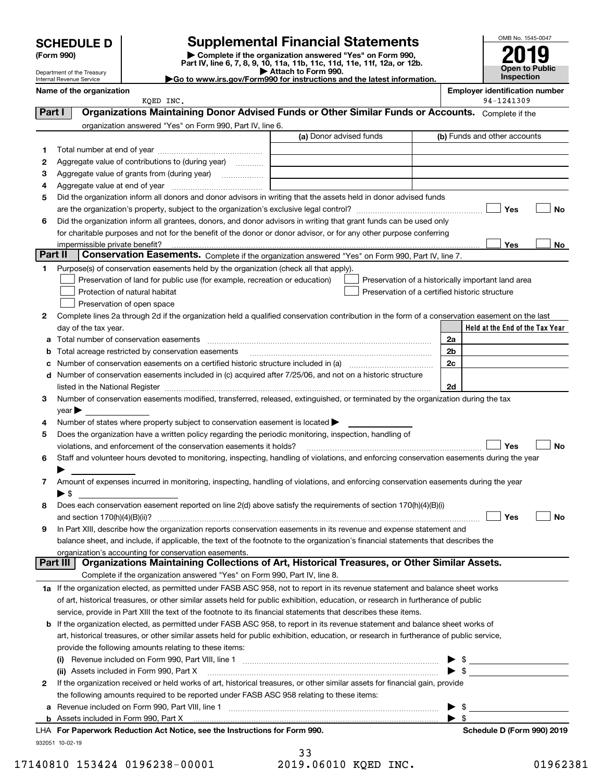| <b>SCHEDULE D</b> |  |
|-------------------|--|
|-------------------|--|

Department of the Treasury Internal Revenue Service

# **SCHEDULE D Supplemental Financial Statements**

(Form 990)<br>
Pepartment of the Treasury<br>
Department of the Treasury<br>
Department of the Treasury<br>
Department of the Treasury<br> **Co to www.irs.gov/Form990 for instructions and the latest information.**<br> **Co to www.irs.gov/Form9** 



| Go to www.irs.gov/Form990 for instructions and |  |
|------------------------------------------------|--|
|                                                |  |

|          | Name of the organization<br>KQED INC.                                                                                                          |                         |                                                    | <b>Employer identification number</b><br>94-1241309 |
|----------|------------------------------------------------------------------------------------------------------------------------------------------------|-------------------------|----------------------------------------------------|-----------------------------------------------------|
| Part I   | Organizations Maintaining Donor Advised Funds or Other Similar Funds or Accounts. Complete if the                                              |                         |                                                    |                                                     |
|          |                                                                                                                                                |                         |                                                    |                                                     |
|          | organization answered "Yes" on Form 990, Part IV, line 6.                                                                                      | (a) Donor advised funds | (b) Funds and other accounts                       |                                                     |
|          |                                                                                                                                                |                         |                                                    |                                                     |
| 1        |                                                                                                                                                |                         |                                                    |                                                     |
| 2        | Aggregate value of contributions to (during year)                                                                                              |                         |                                                    |                                                     |
| 3<br>4   |                                                                                                                                                |                         |                                                    |                                                     |
| 5        | Did the organization inform all donors and donor advisors in writing that the assets held in donor advised funds                               |                         |                                                    |                                                     |
|          |                                                                                                                                                |                         |                                                    | Yes<br>No                                           |
| 6        | Did the organization inform all grantees, donors, and donor advisors in writing that grant funds can be used only                              |                         |                                                    |                                                     |
|          | for charitable purposes and not for the benefit of the donor or donor advisor, or for any other purpose conferring                             |                         |                                                    |                                                     |
|          | impermissible private benefit?                                                                                                                 |                         |                                                    | Yes<br>No                                           |
| Part II  | Conservation Easements. Complete if the organization answered "Yes" on Form 990, Part IV, line 7.                                              |                         |                                                    |                                                     |
| 1        | Purpose(s) of conservation easements held by the organization (check all that apply).                                                          |                         |                                                    |                                                     |
|          | Preservation of land for public use (for example, recreation or education)                                                                     |                         | Preservation of a historically important land area |                                                     |
|          | Protection of natural habitat                                                                                                                  |                         | Preservation of a certified historic structure     |                                                     |
|          | Preservation of open space                                                                                                                     |                         |                                                    |                                                     |
| 2        | Complete lines 2a through 2d if the organization held a qualified conservation contribution in the form of a conservation easement on the last |                         |                                                    |                                                     |
|          | day of the tax year.                                                                                                                           |                         |                                                    | Held at the End of the Tax Year                     |
| а        | Total number of conservation easements                                                                                                         |                         | 2a                                                 |                                                     |
| b        | Total acreage restricted by conservation easements                                                                                             |                         | 2 <sub>b</sub>                                     |                                                     |
| с        |                                                                                                                                                |                         | 2c                                                 |                                                     |
| d        | Number of conservation easements included in (c) acquired after 7/25/06, and not on a historic structure                                       |                         |                                                    |                                                     |
|          | listed in the National Register [11, 2003] March 2014 (12, 2014) March 2014 (13, 2014) March 2014 (13, 2014) M                                 |                         | 2d                                                 |                                                     |
| 3        | Number of conservation easements modified, transferred, released, extinguished, or terminated by the organization during the tax               |                         |                                                    |                                                     |
|          | $\vee$ ear                                                                                                                                     |                         |                                                    |                                                     |
| 4        | Number of states where property subject to conservation easement is located >                                                                  |                         |                                                    |                                                     |
| 5        | Does the organization have a written policy regarding the periodic monitoring, inspection, handling of                                         |                         |                                                    |                                                     |
|          | violations, and enforcement of the conservation easements it holds?                                                                            |                         |                                                    | Yes<br>No                                           |
| 6        | Staff and volunteer hours devoted to monitoring, inspecting, handling of violations, and enforcing conservation easements during the year      |                         |                                                    |                                                     |
|          |                                                                                                                                                |                         |                                                    |                                                     |
| 7        | Amount of expenses incurred in monitoring, inspecting, handling of violations, and enforcing conservation easements during the year            |                         |                                                    |                                                     |
|          | ► \$                                                                                                                                           |                         |                                                    |                                                     |
| 8        | Does each conservation easement reported on line 2(d) above satisfy the requirements of section 170(h)(4)(B)(i)                                |                         |                                                    |                                                     |
|          |                                                                                                                                                |                         |                                                    | Yes<br>No                                           |
|          | In Part XIII, describe how the organization reports conservation easements in its revenue and expense statement and                            |                         |                                                    |                                                     |
|          | balance sheet, and include, if applicable, the text of the footnote to the organization's financial statements that describes the              |                         |                                                    |                                                     |
|          | organization's accounting for conservation easements.                                                                                          |                         |                                                    |                                                     |
| Part III | Organizations Maintaining Collections of Art, Historical Treasures, or Other Similar Assets.                                                   |                         |                                                    |                                                     |
|          | Complete if the organization answered "Yes" on Form 990, Part IV, line 8.                                                                      |                         |                                                    |                                                     |
|          | 1a If the organization elected, as permitted under FASB ASC 958, not to report in its revenue statement and balance sheet works                |                         |                                                    |                                                     |
|          | of art, historical treasures, or other similar assets held for public exhibition, education, or research in furtherance of public              |                         |                                                    |                                                     |
|          | service, provide in Part XIII the text of the footnote to its financial statements that describes these items.                                 |                         |                                                    |                                                     |
| b        | If the organization elected, as permitted under FASB ASC 958, to report in its revenue statement and balance sheet works of                    |                         |                                                    |                                                     |
|          | art, historical treasures, or other similar assets held for public exhibition, education, or research in furtherance of public service,        |                         |                                                    |                                                     |
|          | provide the following amounts relating to these items:                                                                                         |                         |                                                    |                                                     |
|          | (i)                                                                                                                                            |                         | - \$                                               |                                                     |
|          | (ii) Assets included in Form 990, Part X                                                                                                       |                         | $\triangleright$ \$                                |                                                     |
| 2        | If the organization received or held works of art, historical treasures, or other similar assets for financial gain, provide                   |                         |                                                    |                                                     |
|          | the following amounts required to be reported under FASB ASC 958 relating to these items:                                                      |                         |                                                    |                                                     |
| а        |                                                                                                                                                |                         | - \$<br>- \$                                       |                                                     |
| b        | LHA For Paperwork Reduction Act Notice, see the Instructions for Form 990.                                                                     |                         |                                                    | Schedule D (Form 990) 2019                          |
|          |                                                                                                                                                |                         |                                                    |                                                     |

932051 10-02-19

| Schedule D (Form 990) 2019 |
|----------------------------|
|----------------------------|

17140810 153424 0196238-00001 2019.06010 KQED INC. 01962381

33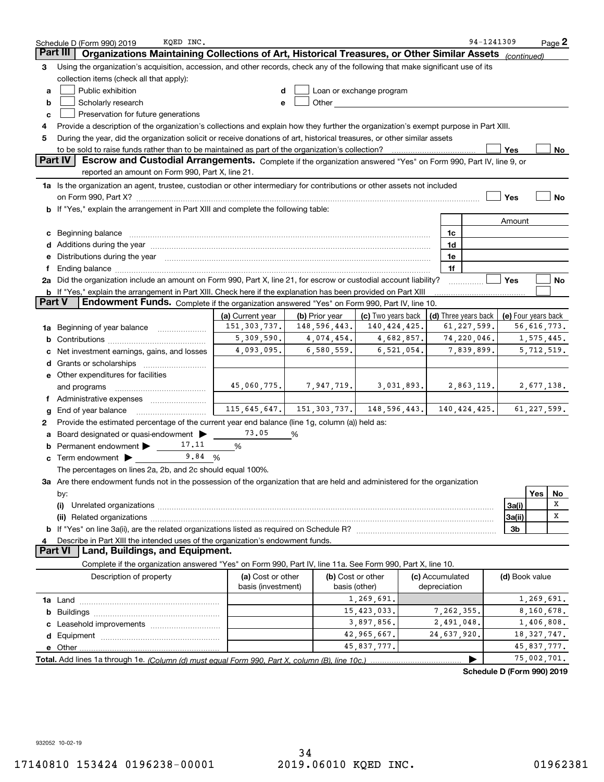|                 | KQED INC.<br>Schedule D (Form 990) 2019                                                                                                                                                                                              |                    |                |                                                                                                                                                                                                                                |  |                 | 94-1241309                 |                     |               | $Page$ 2      |
|-----------------|--------------------------------------------------------------------------------------------------------------------------------------------------------------------------------------------------------------------------------------|--------------------|----------------|--------------------------------------------------------------------------------------------------------------------------------------------------------------------------------------------------------------------------------|--|-----------------|----------------------------|---------------------|---------------|---------------|
| <b>Part III</b> | Organizations Maintaining Collections of Art, Historical Treasures, or Other Similar Assets                                                                                                                                          |                    |                |                                                                                                                                                                                                                                |  |                 |                            | (continued)         |               |               |
| 3               | Using the organization's acquisition, accession, and other records, check any of the following that make significant use of its                                                                                                      |                    |                |                                                                                                                                                                                                                                |  |                 |                            |                     |               |               |
|                 | collection items (check all that apply):                                                                                                                                                                                             |                    |                |                                                                                                                                                                                                                                |  |                 |                            |                     |               |               |
| а               | Public exhibition                                                                                                                                                                                                                    |                    |                | Loan or exchange program                                                                                                                                                                                                       |  |                 |                            |                     |               |               |
| b               | Scholarly research                                                                                                                                                                                                                   | е                  |                | Other and the control of the control of the control of the control of the control of the control of the control of the control of the control of the control of the control of the control of the control of the control of th |  |                 |                            |                     |               |               |
| с               | Preservation for future generations                                                                                                                                                                                                  |                    |                |                                                                                                                                                                                                                                |  |                 |                            |                     |               |               |
| 4               | Provide a description of the organization's collections and explain how they further the organization's exempt purpose in Part XIII.                                                                                                 |                    |                |                                                                                                                                                                                                                                |  |                 |                            |                     |               |               |
| 5               | During the year, did the organization solicit or receive donations of art, historical treasures, or other similar assets                                                                                                             |                    |                |                                                                                                                                                                                                                                |  |                 |                            |                     |               |               |
|                 | Yes<br>No                                                                                                                                                                                                                            |                    |                |                                                                                                                                                                                                                                |  |                 |                            |                     |               |               |
|                 | <b>Part IV</b><br>Escrow and Custodial Arrangements. Complete if the organization answered "Yes" on Form 990, Part IV, line 9, or<br>reported an amount on Form 990, Part X, line 21.                                                |                    |                |                                                                                                                                                                                                                                |  |                 |                            |                     |               |               |
|                 | 1a Is the organization an agent, trustee, custodian or other intermediary for contributions or other assets not included                                                                                                             |                    |                |                                                                                                                                                                                                                                |  |                 |                            |                     |               |               |
|                 |                                                                                                                                                                                                                                      |                    |                |                                                                                                                                                                                                                                |  |                 |                            | Yes                 |               | No            |
|                 | b If "Yes," explain the arrangement in Part XIII and complete the following table:                                                                                                                                                   |                    |                |                                                                                                                                                                                                                                |  |                 |                            |                     |               |               |
|                 |                                                                                                                                                                                                                                      |                    |                |                                                                                                                                                                                                                                |  |                 |                            | Amount              |               |               |
| с               | Beginning balance <b>with the control of the control of the control of the control of the control of the control of the control of the control of the control of the control of the control of the control of the control of the</b> |                    |                |                                                                                                                                                                                                                                |  | 1c              |                            |                     |               |               |
| d               | Additions during the year manufactured and an account of the year manufactured and account of the year manufactured and account of the year manufactured and account of the year manufactured and account of the year manufact       |                    |                |                                                                                                                                                                                                                                |  | 1d              |                            |                     |               |               |
| е               | Distributions during the year manufactured and continuum and contact the year manufactured and contact the year                                                                                                                      |                    |                |                                                                                                                                                                                                                                |  | 1e              |                            |                     |               |               |
| f               |                                                                                                                                                                                                                                      |                    |                |                                                                                                                                                                                                                                |  | 1f              |                            |                     |               |               |
|                 | 2a Did the organization include an amount on Form 990, Part X, line 21, for escrow or custodial account liability?                                                                                                                   |                    |                |                                                                                                                                                                                                                                |  |                 |                            | Yes                 |               | No            |
|                 | <b>b</b> If "Yes," explain the arrangement in Part XIII. Check here if the explanation has been provided on Part XIII                                                                                                                |                    |                |                                                                                                                                                                                                                                |  |                 |                            |                     |               |               |
| <b>Part V</b>   | Endowment Funds. Complete if the organization answered "Yes" on Form 990, Part IV, line 10.                                                                                                                                          |                    |                |                                                                                                                                                                                                                                |  |                 |                            |                     |               |               |
|                 |                                                                                                                                                                                                                                      | (a) Current year   | (b) Prior year | (c) Two years back                                                                                                                                                                                                             |  |                 | (d) Three years back       | (e) Four years back |               |               |
| 1a              | Beginning of year balance <i>manumman</i>                                                                                                                                                                                            | 151, 303, 737.     | 148,596,443.   | 140, 424, 425.                                                                                                                                                                                                                 |  |                 | 61, 227, 599.              |                     | 56,616,773.   |               |
| b               |                                                                                                                                                                                                                                      | 5,309,590.         | 4,074,454.     | 4,682,857.                                                                                                                                                                                                                     |  |                 | 74,220,046.                |                     | 1,575,445.    |               |
|                 | Net investment earnings, gains, and losses                                                                                                                                                                                           | 4,093,095.         | 6,580,559.     | 6,521,054.                                                                                                                                                                                                                     |  |                 | 7,839,899.                 |                     | 5,712,519.    |               |
| d               |                                                                                                                                                                                                                                      |                    |                |                                                                                                                                                                                                                                |  |                 |                            |                     |               |               |
|                 | e Other expenditures for facilities                                                                                                                                                                                                  |                    |                |                                                                                                                                                                                                                                |  |                 |                            |                     |               |               |
|                 | and programs                                                                                                                                                                                                                         | 45,060,775.        | 7,947,719.     | 3,031,893.                                                                                                                                                                                                                     |  |                 | 2,863,119.                 |                     | 2,677,138.    |               |
|                 | f Administrative expenses                                                                                                                                                                                                            |                    |                |                                                                                                                                                                                                                                |  |                 |                            |                     |               |               |
|                 | End of year balance                                                                                                                                                                                                                  | 115, 645, 647.     | 151, 303, 737. | 148,596,443. 140,424,425.                                                                                                                                                                                                      |  |                 |                            |                     |               | 61, 227, 599. |
| 2               | Provide the estimated percentage of the current year end balance (line 1g, column (a)) held as:                                                                                                                                      |                    |                |                                                                                                                                                                                                                                |  |                 |                            |                     |               |               |
|                 | Board designated or quasi-endowment                                                                                                                                                                                                  | 73.05              | %              |                                                                                                                                                                                                                                |  |                 |                            |                     |               |               |
|                 | Permanent endowment > ____<br>17.11                                                                                                                                                                                                  | %                  |                |                                                                                                                                                                                                                                |  |                 |                            |                     |               |               |
| с               | 9.84%<br>Term endowment $\blacktriangleright$                                                                                                                                                                                        |                    |                |                                                                                                                                                                                                                                |  |                 |                            |                     |               |               |
|                 | The percentages on lines 2a, 2b, and 2c should equal 100%.                                                                                                                                                                           |                    |                |                                                                                                                                                                                                                                |  |                 |                            |                     |               |               |
|                 | 3a Are there endowment funds not in the possession of the organization that are held and administered for the organization                                                                                                           |                    |                |                                                                                                                                                                                                                                |  |                 |                            |                     |               |               |
|                 | by:                                                                                                                                                                                                                                  |                    |                |                                                                                                                                                                                                                                |  |                 |                            |                     | Yes           | No<br>X       |
|                 |                                                                                                                                                                                                                                      |                    |                |                                                                                                                                                                                                                                |  |                 |                            | 3a(i)               |               | X             |
|                 |                                                                                                                                                                                                                                      |                    |                |                                                                                                                                                                                                                                |  |                 |                            | 3a(ii)              |               |               |
|                 |                                                                                                                                                                                                                                      |                    |                |                                                                                                                                                                                                                                |  |                 |                            | 3b                  |               |               |
|                 | Describe in Part XIII the intended uses of the organization's endowment funds.<br><b>Part VI</b><br>Land, Buildings, and Equipment.                                                                                                  |                    |                |                                                                                                                                                                                                                                |  |                 |                            |                     |               |               |
|                 | Complete if the organization answered "Yes" on Form 990, Part IV, line 11a. See Form 990, Part X, line 10.                                                                                                                           |                    |                |                                                                                                                                                                                                                                |  |                 |                            |                     |               |               |
|                 | Description of property                                                                                                                                                                                                              | (a) Cost or other  |                | (b) Cost or other                                                                                                                                                                                                              |  | (c) Accumulated |                            | (d) Book value      |               |               |
|                 |                                                                                                                                                                                                                                      | basis (investment) |                | basis (other)                                                                                                                                                                                                                  |  | depreciation    |                            |                     |               |               |
|                 |                                                                                                                                                                                                                                      |                    |                | 1,269,691.                                                                                                                                                                                                                     |  |                 |                            |                     | 1,269,691.    |               |
| b               |                                                                                                                                                                                                                                      |                    |                | 15,423,033.                                                                                                                                                                                                                    |  | 7,262,355.      |                            |                     | 8,160,678.    |               |
|                 |                                                                                                                                                                                                                                      |                    |                | 3,897,856.                                                                                                                                                                                                                     |  | 2,491,048.      |                            |                     | 1,406,808.    |               |
|                 |                                                                                                                                                                                                                                      |                    |                | 42,965,667.                                                                                                                                                                                                                    |  | 24,637,920.     |                            |                     | 18, 327, 747. |               |
|                 |                                                                                                                                                                                                                                      |                    |                | 45,837,777.                                                                                                                                                                                                                    |  |                 |                            |                     |               | 45,837,777.   |
|                 |                                                                                                                                                                                                                                      |                    |                |                                                                                                                                                                                                                                |  |                 |                            |                     |               | 75,002,701.   |
|                 |                                                                                                                                                                                                                                      |                    |                |                                                                                                                                                                                                                                |  |                 | Schedule D (Form 990) 2019 |                     |               |               |

**Schedule D (Form 990) 2019**

932052 10-02-19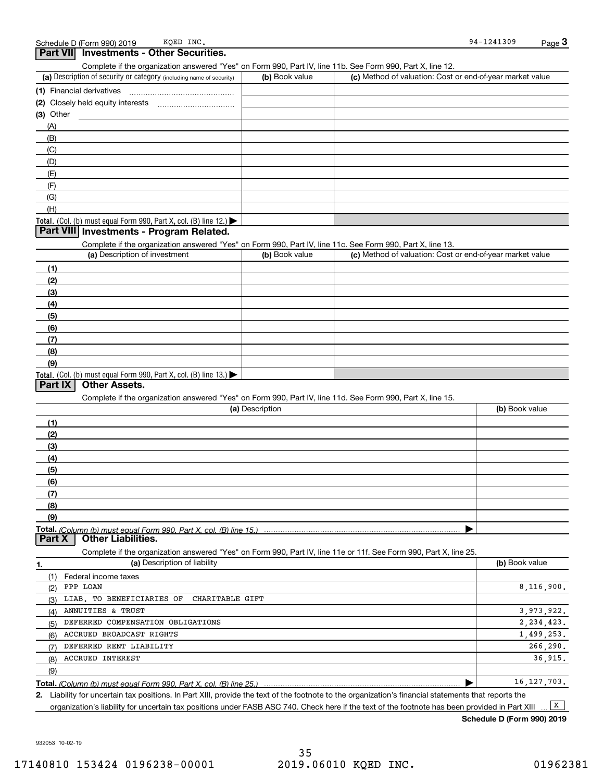94-1241309

|           | chedule D (Form 990) 2019 | INC.<br>KOED                      | $-1241309$<br>$94-2$ | $P$ aqe $\sim$ |
|-----------|---------------------------|-----------------------------------|----------------------|----------------|
| Part VIII |                           | ' Investments - Other Securities. |                      |                |

Complete if the organization answered "Yes" on Form 990, Part IV, line 11b. See Form 990, Part X, line 12.

| (a) Description of security or category (including name of security)                          | (b) Book value | (c) Method of valuation: Cost or end-of-year market value |
|-----------------------------------------------------------------------------------------------|----------------|-----------------------------------------------------------|
| (1) Financial derivatives                                                                     |                |                                                           |
| (2) Closely held equity interests                                                             |                |                                                           |
| (3) Other                                                                                     |                |                                                           |
| (A)                                                                                           |                |                                                           |
| (B)                                                                                           |                |                                                           |
| (C)                                                                                           |                |                                                           |
| (D)                                                                                           |                |                                                           |
| (E)                                                                                           |                |                                                           |
| (F)                                                                                           |                |                                                           |
| (G)                                                                                           |                |                                                           |
| (H)                                                                                           |                |                                                           |
| <b>Total.</b> (Col. (b) must equal Form 990, Part X, col. (B) line 12.) $\blacktriangleright$ |                |                                                           |

#### **Part VIII Investments - Program Related.**

Complete if the organization answered "Yes" on Form 990, Part IV, line 11c. See Form 990, Part X, line 13.

| (a) Description of investment                                       | (b) Book value | (c) Method of valuation: Cost or end-of-year market value |
|---------------------------------------------------------------------|----------------|-----------------------------------------------------------|
| (1)                                                                 |                |                                                           |
| (2)                                                                 |                |                                                           |
| $\frac{1}{2}$                                                       |                |                                                           |
| (4)                                                                 |                |                                                           |
| $\frac{1}{2}$                                                       |                |                                                           |
| (6)                                                                 |                |                                                           |
| (7)                                                                 |                |                                                           |
| (8)                                                                 |                |                                                           |
| (9)                                                                 |                |                                                           |
| Total. (Col. (b) must equal Form 990, Part X, col. (B) line $13.$ ) |                |                                                           |

#### **Part IX Other Assets.**

Complete if the organization answered "Yes" on Form 990, Part IV, line 11d. See Form 990, Part X, line 15.

| (a) Description                                                                                                                       | (b) Book value |
|---------------------------------------------------------------------------------------------------------------------------------------|----------------|
|                                                                                                                                       |                |
| (2)                                                                                                                                   |                |
| (3)                                                                                                                                   |                |
| (4)                                                                                                                                   |                |
| (5)                                                                                                                                   |                |
| (6)                                                                                                                                   |                |
|                                                                                                                                       |                |
| (8)                                                                                                                                   |                |
| (9)                                                                                                                                   |                |
|                                                                                                                                       |                |
| Total. (Column (b) must equal Form 990, Part X, col. (B) line 15.) ………………………………………………………………………………………<br>  Part X   Other Liabilities. |                |

**1.(a)** Description of liability **Book value** Book value Book value Book value Book value **Total.**  *(Column (b) must equal Form 990, Part X, col. (B) line 25.)* Complete if the organization answered "Yes" on Form 990, Part IV, line 11e or 11f. See Form 990, Part X, line 25. (1)(2)(3)(4) $(5)$ (6)(7)(8)(9)Federal income taxes  $\blacktriangleright$ PPP LOAN LIAB. TO BENEFICIARIES OF CHARITABLE GIFT ANNUITIES & TRUST DEFERRED COMPENSATION OBLIGATIONS ACCRUED BROADCAST RIGHTS DEFERRED RENT LIABILITY ACCRUED INTEREST 8,116,900. 3,973,922. 2,234,423. 1,499,253. 266,290. 36,915. 16,127,703.

**2.**Liability for uncertain tax positions. In Part XIII, provide the text of the footnote to the organization's financial statements that reports the

organization's liability for uncertain tax positions under FASB ASC 740. Check here if the text of the footnote has been provided in Part XIII

**Schedule D (Form 990) 2019**

932053 10-02-19

 $\boxed{\mathbf{X}}$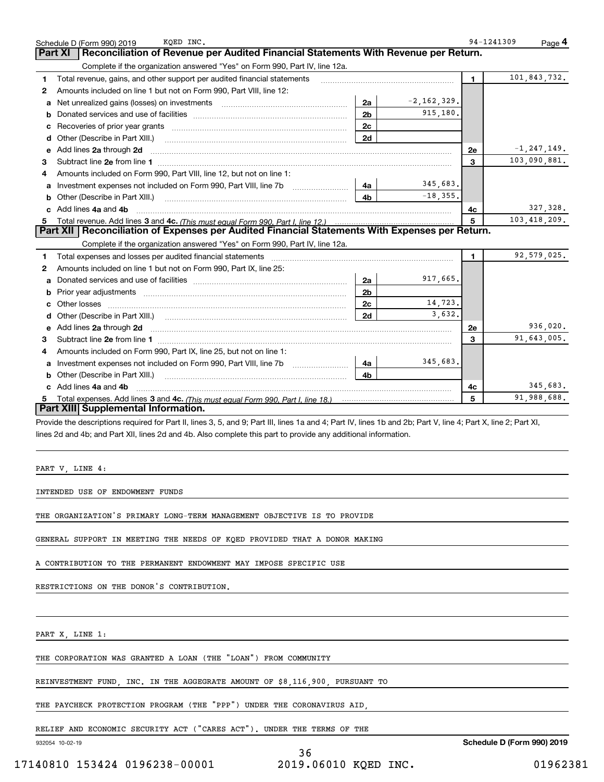|                | KQED INC.<br>Schedule D (Form 990) 2019                                                                                                                                                                                                                                                                                                                                                                                                                                  |    |                             |              | 94-1241309 | Page 4                          |
|----------------|--------------------------------------------------------------------------------------------------------------------------------------------------------------------------------------------------------------------------------------------------------------------------------------------------------------------------------------------------------------------------------------------------------------------------------------------------------------------------|----|-----------------------------|--------------|------------|---------------------------------|
| <b>Part XI</b> | Reconciliation of Revenue per Audited Financial Statements With Revenue per Return.                                                                                                                                                                                                                                                                                                                                                                                      |    |                             |              |            |                                 |
|                | Complete if the organization answered "Yes" on Form 990, Part IV, line 12a.                                                                                                                                                                                                                                                                                                                                                                                              |    |                             |              |            |                                 |
| 1.             | Total revenue, gains, and other support per audited financial statements                                                                                                                                                                                                                                                                                                                                                                                                 |    |                             | $\mathbf{1}$ |            | 101,843,732.                    |
| 2              | Amounts included on line 1 but not on Form 990, Part VIII, line 12:                                                                                                                                                                                                                                                                                                                                                                                                      |    |                             |              |            |                                 |
|                | a Net unrealized gains (losses) on investments [11] [12] Net unrealized gains (losses) on investments [11] [12                                                                                                                                                                                                                                                                                                                                                           | 2a | $-2, 162, 329.$<br>915,180. |              |            |                                 |
| b              |                                                                                                                                                                                                                                                                                                                                                                                                                                                                          | 2b |                             |              |            |                                 |
| c              |                                                                                                                                                                                                                                                                                                                                                                                                                                                                          | 2c |                             |              |            |                                 |
| d              | Other (Describe in Part XIII.)                                                                                                                                                                                                                                                                                                                                                                                                                                           | 2d |                             |              |            |                                 |
| е              | Add lines 2a through 2d                                                                                                                                                                                                                                                                                                                                                                                                                                                  |    |                             | <b>2e</b>    |            | $-1, 247, 149.$<br>103,090,881. |
| 3              |                                                                                                                                                                                                                                                                                                                                                                                                                                                                          |    |                             | 3            |            |                                 |
| 4              | Amounts included on Form 990, Part VIII, line 12, but not on line 1:                                                                                                                                                                                                                                                                                                                                                                                                     |    |                             |              |            |                                 |
|                | a Investment expenses not included on Form 990, Part VIII, line 7b                                                                                                                                                                                                                                                                                                                                                                                                       | 4a | 345,683.                    |              |            |                                 |
| b              | Other (Describe in Part XIII.)                                                                                                                                                                                                                                                                                                                                                                                                                                           | 4b | $-18,355$ .                 |              |            |                                 |
|                | c Add lines 4a and 4b<br>$\begin{minipage}{0.5\textwidth} \begin{tabular}{ l l l } \hline \multicolumn{1}{ l l } \hline \multicolumn{1}{ l } \multicolumn{1}{ l } \hline \multicolumn{1}{ l } \multicolumn{1}{ l } \multicolumn{1}{ l } \multicolumn{1}{ l } \multicolumn{1}{ l } \multicolumn{1}{ l } \multicolumn{1}{ l } \multicolumn{1}{ l } \multicolumn{1}{ l } \multicolumn{1}{ l } \multicolumn{1}{ l } \multicolumn{1}{ l } \multicolumn{1}{ l } \multicolumn{$ |    |                             | 4c           |            | 327,328.                        |
| 5              | Part XII   Reconciliation of Expenses per Audited Financial Statements With Expenses per Return.                                                                                                                                                                                                                                                                                                                                                                         |    |                             |              |            | 103,418,209.                    |
|                |                                                                                                                                                                                                                                                                                                                                                                                                                                                                          |    |                             |              |            |                                 |
|                | Complete if the organization answered "Yes" on Form 990, Part IV, line 12a.                                                                                                                                                                                                                                                                                                                                                                                              |    |                             |              |            | 92,579,025.                     |
| 1.             | Total expenses and losses per audited financial statements [11] [12] manuscription control expenses and losses per audited financial statements [12] manuscription of the statements [12] manuscription of the statements [12]                                                                                                                                                                                                                                           |    |                             | 1.           |            |                                 |
| 2              | Amounts included on line 1 but not on Form 990, Part IX, line 25:                                                                                                                                                                                                                                                                                                                                                                                                        |    |                             |              |            |                                 |
|                |                                                                                                                                                                                                                                                                                                                                                                                                                                                                          | 2a | 917,665.                    |              |            |                                 |
| b              |                                                                                                                                                                                                                                                                                                                                                                                                                                                                          | 2b |                             |              |            |                                 |
| c              |                                                                                                                                                                                                                                                                                                                                                                                                                                                                          | 2c | 14,723.                     |              |            |                                 |
| d              |                                                                                                                                                                                                                                                                                                                                                                                                                                                                          | 2d | 3,632.                      |              |            |                                 |
|                |                                                                                                                                                                                                                                                                                                                                                                                                                                                                          |    |                             | 2e           |            | 936,020.                        |
| 3              |                                                                                                                                                                                                                                                                                                                                                                                                                                                                          |    |                             | 3            |            | 91,643,005.                     |
| 4              | Amounts included on Form 990, Part IX, line 25, but not on line 1:                                                                                                                                                                                                                                                                                                                                                                                                       |    |                             |              |            |                                 |
|                | a Investment expenses not included on Form 990, Part VIII, line 7b                                                                                                                                                                                                                                                                                                                                                                                                       | 4a | 345,683.                    |              |            |                                 |
| b              | Other (Describe in Part XIII.)                                                                                                                                                                                                                                                                                                                                                                                                                                           | 4b |                             |              |            |                                 |
|                | c Add lines 4a and 4b                                                                                                                                                                                                                                                                                                                                                                                                                                                    |    |                             | 4c           |            | 345,683.                        |
| 5              |                                                                                                                                                                                                                                                                                                                                                                                                                                                                          |    |                             | 5            |            | 91,988,688.                     |
|                | Part XIII Supplemental Information.                                                                                                                                                                                                                                                                                                                                                                                                                                      |    |                             |              |            |                                 |
|                | Provide the descriptions required for Part II, lines 3, 5, and 9; Part III, lines 1a and 4; Part IV, lines 1b and 2b; Part V, line 4; Part X, line 2; Part XI,                                                                                                                                                                                                                                                                                                           |    |                             |              |            |                                 |
|                | lines 2d and 4b; and Part XII, lines 2d and 4b. Also complete this part to provide any additional information.                                                                                                                                                                                                                                                                                                                                                           |    |                             |              |            |                                 |
|                |                                                                                                                                                                                                                                                                                                                                                                                                                                                                          |    |                             |              |            |                                 |
|                |                                                                                                                                                                                                                                                                                                                                                                                                                                                                          |    |                             |              |            |                                 |
|                | PART V, LINE 4:                                                                                                                                                                                                                                                                                                                                                                                                                                                          |    |                             |              |            |                                 |
|                |                                                                                                                                                                                                                                                                                                                                                                                                                                                                          |    |                             |              |            |                                 |
|                | INTENDED USE OF ENDOWMENT FUNDS                                                                                                                                                                                                                                                                                                                                                                                                                                          |    |                             |              |            |                                 |
|                | THE ORGANIZATION'S PRIMARY LONG-TERM MANAGEMENT OBJECTIVE IS TO PROVIDE                                                                                                                                                                                                                                                                                                                                                                                                  |    |                             |              |            |                                 |
|                |                                                                                                                                                                                                                                                                                                                                                                                                                                                                          |    |                             |              |            |                                 |
|                | GENERAL SUPPORT IN MEETING THE NEEDS OF KOED PROVIDED THAT A DONOR MAKING                                                                                                                                                                                                                                                                                                                                                                                                |    |                             |              |            |                                 |
|                |                                                                                                                                                                                                                                                                                                                                                                                                                                                                          |    |                             |              |            |                                 |
|                | A CONTRIBUTION TO THE PERMANENT ENDOWMENT MAY IMPOSE SPECIFIC USE                                                                                                                                                                                                                                                                                                                                                                                                        |    |                             |              |            |                                 |
|                | RESTRICTIONS ON THE DONOR'S CONTRIBUTION.                                                                                                                                                                                                                                                                                                                                                                                                                                |    |                             |              |            |                                 |
|                |                                                                                                                                                                                                                                                                                                                                                                                                                                                                          |    |                             |              |            |                                 |
|                |                                                                                                                                                                                                                                                                                                                                                                                                                                                                          |    |                             |              |            |                                 |
|                |                                                                                                                                                                                                                                                                                                                                                                                                                                                                          |    |                             |              |            |                                 |
|                | PART X, LINE 1:                                                                                                                                                                                                                                                                                                                                                                                                                                                          |    |                             |              |            |                                 |

THE CORPORATION WAS GRANTED A LOAN (THE "LOAN") FROM COMMUNITY

REINVESTMENT FUND, INC. IN THE AGGEGRATE AMOUNT OF \$8,116,900, PURSUANT TO

THE PAYCHECK PROTECTION PROGRAM (THE "PPP") UNDER THE CORONAVIRUS AID,

RELIEF AND ECONOMIC SECURITY ACT ("CARES ACT"). UNDER THE TERMS OF THE

932054 10-02-19

**Schedule D (Form 990) 2019**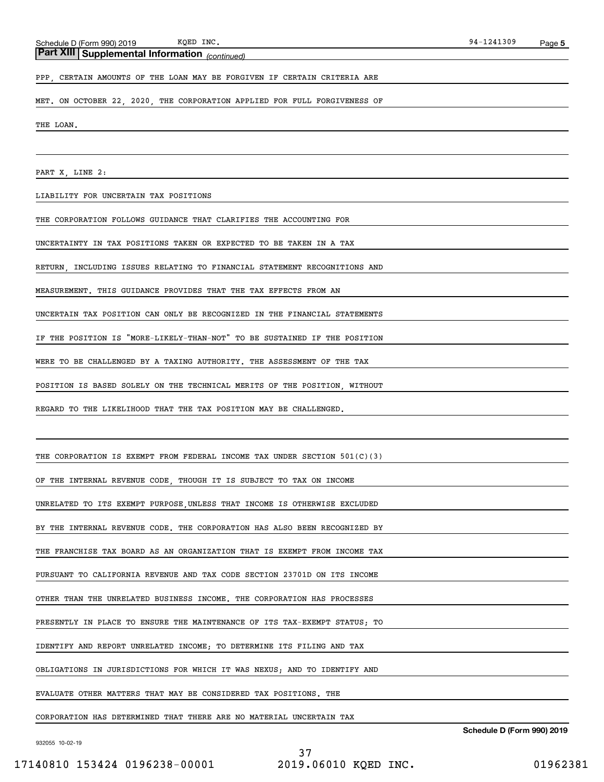### *(continued)* **Part XIII Supplemental Information**

PPP, CERTAIN AMOUNTS OF THE LOAN MAY BE FORGIVEN IF CERTAIN CRITERIA ARE

MET. ON OCTOBER 22, 2020, THE CORPORATION APPLIED FOR FULL FORGIVENESS OF

THE LOAN.

PART X, LINE 2:

LIABILITY FOR UNCERTAIN TAX POSITIONS

THE CORPORATION FOLLOWS GUIDANCE THAT CLARIFIES THE ACCOUNTING FOR

UNCERTAINTY IN TAX POSITIONS TAKEN OR EXPECTED TO BE TAKEN IN A TAX

RETURN, INCLUDING ISSUES RELATING TO FINANCIAL STATEMENT RECOGNITIONS AND

MEASUREMENT. THIS GUIDANCE PROVIDES THAT THE TAX EFFECTS FROM AN

UNCERTAIN TAX POSITION CAN ONLY BE RECOGNIZED IN THE FINANCIAL STATEMENTS

IF THE POSITION IS "MORE-LIKELY-THAN-NOT" TO BE SUSTAINED IF THE POSITION

WERE TO BE CHALLENGED BY A TAXING AUTHORITY. THE ASSESSMENT OF THE TAX

POSITION IS BASED SOLELY ON THE TECHNICAL MERITS OF THE POSITION, WITHOUT

REGARD TO THE LIKELIHOOD THAT THE TAX POSITION MAY BE CHALLENGED.

THE CORPORATION IS EXEMPT FROM FEDERAL INCOME TAX UNDER SECTION 501(C)(3)

OF THE INTERNAL REVENUE CODE, THOUGH IT IS SUBJECT TO TAX ON INCOME

UNRELATED TO ITS EXEMPT PURPOSE,UNLESS THAT INCOME IS OTHERWISE EXCLUDED

BY THE INTERNAL REVENUE CODE. THE CORPORATION HAS ALSO BEEN RECOGNIZED BY

THE FRANCHISE TAX BOARD AS AN ORGANIZATION THAT IS EXEMPT FROM INCOME TAX

PURSUANT TO CALIFORNIA REVENUE AND TAX CODE SECTION 23701D ON ITS INCOME

OTHER THAN THE UNRELATED BUSINESS INCOME. THE CORPORATION HAS PROCESSES

PRESENTLY IN PLACE TO ENSURE THE MAINTENANCE OF ITS TAX-EXEMPT STATUS; TO

IDENTIFY AND REPORT UNRELATED INCOME; TO DETERMINE ITS FILING AND TAX

OBLIGATIONS IN JURISDICTIONS FOR WHICH IT WAS NEXUS; AND TO IDENTIFY AND

EVALUATE OTHER MATTERS THAT MAY BE CONSIDERED TAX POSITIONS. THE

CORPORATION HAS DETERMINED THAT THERE ARE NO MATERIAL UNCERTAIN TAX

932055 10-02-19

**Schedule D (Form 990) 2019**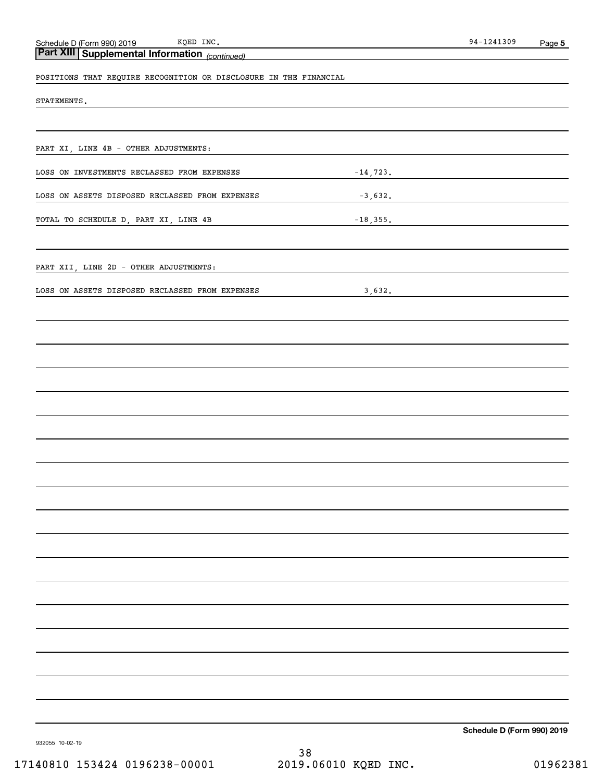| Part XIII Supplemental Information (continued) |
|------------------------------------------------|
|------------------------------------------------|

POSITIONS THAT REQUIRE RECOGNITION OR DISCLOSURE IN THE FINANCIAL

STATEMENTS.

PART XI, LINE 4B - OTHER ADJUSTMENTS:

LOSS ON INVESTMENTS RECLASSED FROM EXPENSES  $-14, 723$ .

LOSS ON ASSETS DISPOSED RECLASSED FROM EXPENSES -3,632.

TOTAL TO SCHEDULE D, PART XI, LINE 4B -18,355.

PART XII, LINE 2D - OTHER ADJUSTMENTS:

LOSS ON ASSETS DISPOSED RECLASSED FROM EXPENSES 3,632.

**Schedule D (Form 990) 2019**

932055 10-02-19

38 17140810 153424 0196238-00001 2019.06010 KQED INC. 01962381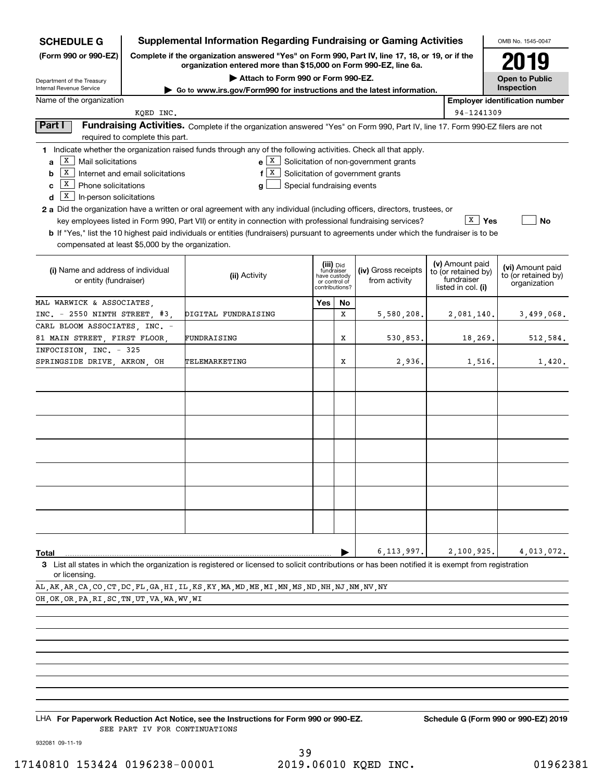| <b>SCHEDULE G</b>                                                                                            |                                                                                                                                                                     | <b>Supplemental Information Regarding Fundraising or Gaming Activities</b>                                                                                                                                                                                                                                                                                                                                                |                                                                            |    |                                                                                  |  |                                                                            | OMB No. 1545-0047                                       |  |  |  |
|--------------------------------------------------------------------------------------------------------------|---------------------------------------------------------------------------------------------------------------------------------------------------------------------|---------------------------------------------------------------------------------------------------------------------------------------------------------------------------------------------------------------------------------------------------------------------------------------------------------------------------------------------------------------------------------------------------------------------------|----------------------------------------------------------------------------|----|----------------------------------------------------------------------------------|--|----------------------------------------------------------------------------|---------------------------------------------------------|--|--|--|
| (Form 990 or 990-EZ)                                                                                         | Complete if the organization answered "Yes" on Form 990, Part IV, line 17, 18, or 19, or if the<br>organization entered more than \$15,000 on Form 990-EZ, line 6a. |                                                                                                                                                                                                                                                                                                                                                                                                                           |                                                                            |    |                                                                                  |  |                                                                            |                                                         |  |  |  |
| Department of the Treasury                                                                                   |                                                                                                                                                                     | Attach to Form 990 or Form 990-EZ.<br><b>Open to Public</b><br>Inspection                                                                                                                                                                                                                                                                                                                                                 |                                                                            |    |                                                                                  |  |                                                                            |                                                         |  |  |  |
| Internal Revenue Service<br>Name of the organization                                                         |                                                                                                                                                                     | Go to www.irs.gov/Form990 for instructions and the latest information.                                                                                                                                                                                                                                                                                                                                                    |                                                                            |    |                                                                                  |  |                                                                            |                                                         |  |  |  |
|                                                                                                              | KQED INC.                                                                                                                                                           |                                                                                                                                                                                                                                                                                                                                                                                                                           |                                                                            |    |                                                                                  |  | 94-1241309                                                                 | <b>Employer identification number</b>                   |  |  |  |
| Part I                                                                                                       |                                                                                                                                                                     | Fundraising Activities. Complete if the organization answered "Yes" on Form 990, Part IV, line 17. Form 990-EZ filers are not                                                                                                                                                                                                                                                                                             |                                                                            |    |                                                                                  |  |                                                                            |                                                         |  |  |  |
|                                                                                                              | required to complete this part.                                                                                                                                     |                                                                                                                                                                                                                                                                                                                                                                                                                           |                                                                            |    |                                                                                  |  |                                                                            |                                                         |  |  |  |
| X<br>Mail solicitations<br>a<br>x<br>b<br>x<br>Phone solicitations<br>c<br>X<br>In-person solicitations<br>d | Internet and email solicitations                                                                                                                                    | 1 Indicate whether the organization raised funds through any of the following activities. Check all that apply.<br>$f \mid X \mid$<br>Special fundraising events<br>g<br><b>2 a</b> Did the organization have a written or oral agreement with any individual (including officers, directors, trustees, or<br>key employees listed in Form 990, Part VII) or entity in connection with professional fundraising services? |                                                                            |    | $e X$ Solicitation of non-government grants<br>Solicitation of government grants |  | $\overline{X}$ Yes                                                         | No                                                      |  |  |  |
| compensated at least \$5,000 by the organization.                                                            |                                                                                                                                                                     | <b>b</b> If "Yes," list the 10 highest paid individuals or entities (fundraisers) pursuant to agreements under which the fundraiser is to be                                                                                                                                                                                                                                                                              |                                                                            |    |                                                                                  |  |                                                                            |                                                         |  |  |  |
| (i) Name and address of individual<br>or entity (fundraiser)                                                 |                                                                                                                                                                     | (ii) Activity                                                                                                                                                                                                                                                                                                                                                                                                             | (iii) Did<br>fundraiser<br>have custody<br>or control of<br>contributions? |    | (iv) Gross receipts<br>from activity                                             |  | (v) Amount paid<br>to (or retained by)<br>fundraiser<br>listed in col. (i) | (vi) Amount paid<br>to (or retained by)<br>organization |  |  |  |
| MAL WARWICK & ASSOCIATES.                                                                                    |                                                                                                                                                                     |                                                                                                                                                                                                                                                                                                                                                                                                                           | Yes                                                                        | No |                                                                                  |  |                                                                            |                                                         |  |  |  |
| INC. - 2550 NINTH STREET, #3,                                                                                |                                                                                                                                                                     | DIGITAL FUNDRAISING                                                                                                                                                                                                                                                                                                                                                                                                       |                                                                            | x  | 5,580,208.                                                                       |  | 2,081,140.                                                                 | 3,499,068.                                              |  |  |  |
| CARL BLOOM ASSOCIATES, INC. -                                                                                |                                                                                                                                                                     |                                                                                                                                                                                                                                                                                                                                                                                                                           |                                                                            |    |                                                                                  |  |                                                                            |                                                         |  |  |  |
| 81 MAIN STREET, FIRST FLOOR,                                                                                 |                                                                                                                                                                     | FUNDRAISING                                                                                                                                                                                                                                                                                                                                                                                                               |                                                                            | х  | 530,853.                                                                         |  | 18,269.                                                                    | 512,584.                                                |  |  |  |
| INFOCISION, INC. - 325                                                                                       |                                                                                                                                                                     |                                                                                                                                                                                                                                                                                                                                                                                                                           |                                                                            |    |                                                                                  |  |                                                                            |                                                         |  |  |  |
| SPRINGSIDE DRIVE, AKRON, OH                                                                                  |                                                                                                                                                                     | TELEMARKETING                                                                                                                                                                                                                                                                                                                                                                                                             |                                                                            | х  | 2,936.                                                                           |  | 1,516.                                                                     | 1,420.                                                  |  |  |  |
|                                                                                                              |                                                                                                                                                                     |                                                                                                                                                                                                                                                                                                                                                                                                                           |                                                                            |    |                                                                                  |  |                                                                            |                                                         |  |  |  |
|                                                                                                              |                                                                                                                                                                     |                                                                                                                                                                                                                                                                                                                                                                                                                           |                                                                            |    |                                                                                  |  |                                                                            |                                                         |  |  |  |
|                                                                                                              |                                                                                                                                                                     |                                                                                                                                                                                                                                                                                                                                                                                                                           |                                                                            |    |                                                                                  |  |                                                                            |                                                         |  |  |  |
| Total                                                                                                        |                                                                                                                                                                     |                                                                                                                                                                                                                                                                                                                                                                                                                           |                                                                            |    | 6,113,997.                                                                       |  | 2,100,925.                                                                 | 4,013,072.                                              |  |  |  |
| or licensing.                                                                                                |                                                                                                                                                                     | 3 List all states in which the organization is registered or licensed to solicit contributions or has been notified it is exempt from registration<br>AL, AK, AR, CA, CO, CT, DC, FL, GA, HI, IL, KS, KY, MA, MD, ME, MI, MN, MS, ND, NH, NJ, NM, NV, NY                                                                                                                                                                  |                                                                            |    |                                                                                  |  |                                                                            |                                                         |  |  |  |

OH,OK,OR,PA,RI,SC,TN,UT,VA,WA,WV,WI

LHA For Paperwork Reduction Act Notice, see the Instructions for Form 990 or 990-EZ. Schedule G (Form 990 or 990-EZ) 2019 SEE PART IV FOR CONTINUATIONS

932081 09-11-19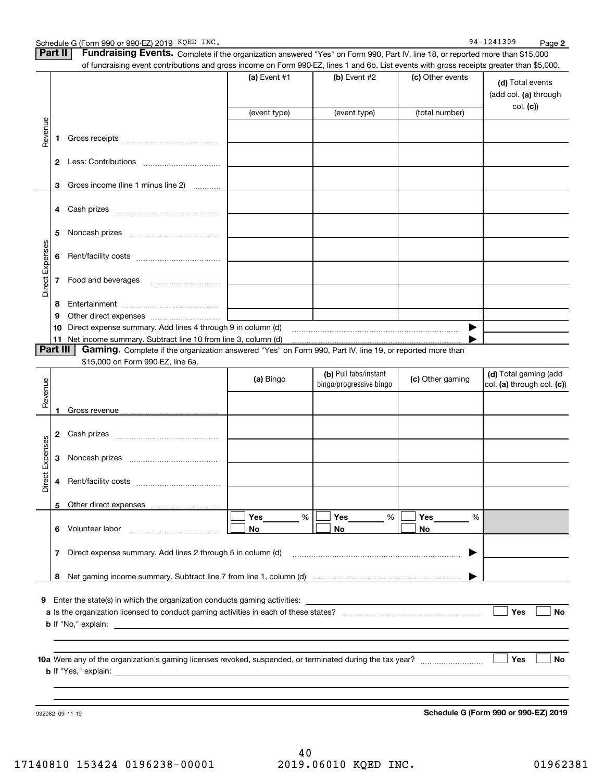Schedule G (Form 990 or 990-EZ) 2019 KQED INC.

**Part II** | Fundraising Events. Complete if the organization answered "Yes" on Form 990, Part IV, line 18, or reported more than \$15,000

|                 |          | of fundraising event contributions and gross income on Form 990-EZ, lines 1 and 6b. List events with gross receipts greater than \$5,000. |              |                                                  |                  |                                                     |
|-----------------|----------|-------------------------------------------------------------------------------------------------------------------------------------------|--------------|--------------------------------------------------|------------------|-----------------------------------------------------|
|                 |          |                                                                                                                                           | (a) Event #1 | $(b)$ Event #2                                   | (c) Other events | (d) Total events<br>(add col. (a) through           |
|                 |          |                                                                                                                                           | (event type) | (event type)                                     | (total number)   | col. (c)                                            |
|                 |          |                                                                                                                                           |              |                                                  |                  |                                                     |
| Revenue         | 1        |                                                                                                                                           |              |                                                  |                  |                                                     |
|                 | 2        |                                                                                                                                           |              |                                                  |                  |                                                     |
|                 | 3        | Gross income (line 1 minus line 2)                                                                                                        |              |                                                  |                  |                                                     |
|                 | 4        |                                                                                                                                           |              |                                                  |                  |                                                     |
|                 | 5        |                                                                                                                                           |              |                                                  |                  |                                                     |
| Direct Expenses | 6        |                                                                                                                                           |              |                                                  |                  |                                                     |
|                 | 7        | Food and beverages                                                                                                                        |              |                                                  |                  |                                                     |
|                 | 8        |                                                                                                                                           |              |                                                  |                  |                                                     |
|                 | 9        |                                                                                                                                           |              |                                                  |                  |                                                     |
|                 | 10       | Direct expense summary. Add lines 4 through 9 in column (d)                                                                               |              |                                                  | ▶                |                                                     |
|                 | 11       | Net income summary. Subtract line 10 from line 3, column (d)                                                                              |              |                                                  |                  |                                                     |
|                 | Part III | Gaming. Complete if the organization answered "Yes" on Form 990, Part IV, line 19, or reported more than                                  |              |                                                  |                  |                                                     |
|                 |          | \$15,000 on Form 990-EZ, line 6a.                                                                                                         |              |                                                  |                  |                                                     |
| Revenue         |          |                                                                                                                                           | (a) Bingo    | (b) Pull tabs/instant<br>bingo/progressive bingo | (c) Other gaming | (d) Total gaming (add<br>col. (a) through col. (c)) |
|                 | 1        |                                                                                                                                           |              |                                                  |                  |                                                     |
|                 | 2        |                                                                                                                                           |              |                                                  |                  |                                                     |
|                 | 3        |                                                                                                                                           |              |                                                  |                  |                                                     |
| Direct Expenses | 4        |                                                                                                                                           |              |                                                  |                  |                                                     |
|                 |          | 5 Other direct expenses                                                                                                                   |              |                                                  |                  |                                                     |
|                 |          |                                                                                                                                           | %<br>Yes     | Yes<br>%                                         | Yes<br>%         |                                                     |
|                 |          | 6 Volunteer labor                                                                                                                         | No.          | No                                               | No               |                                                     |
|                 | 7        | Direct expense summary. Add lines 2 through 5 in column (d)                                                                               |              |                                                  | ▶                |                                                     |
|                 | 8        |                                                                                                                                           |              |                                                  |                  |                                                     |
|                 |          |                                                                                                                                           |              |                                                  |                  |                                                     |
| 9               |          |                                                                                                                                           |              |                                                  |                  |                                                     |
|                 |          |                                                                                                                                           |              |                                                  |                  | Yes<br>No                                           |
|                 |          |                                                                                                                                           |              |                                                  |                  |                                                     |
|                 |          |                                                                                                                                           |              |                                                  |                  |                                                     |
|                 |          |                                                                                                                                           |              |                                                  |                  |                                                     |
|                 |          |                                                                                                                                           |              |                                                  |                  | Yes<br>No                                           |
|                 |          |                                                                                                                                           |              |                                                  |                  |                                                     |
|                 |          |                                                                                                                                           |              |                                                  |                  |                                                     |
|                 |          |                                                                                                                                           |              |                                                  |                  |                                                     |
|                 |          | 932082 09-11-19                                                                                                                           |              |                                                  |                  | Schedule G (Form 990 or 990-EZ) 2019                |

40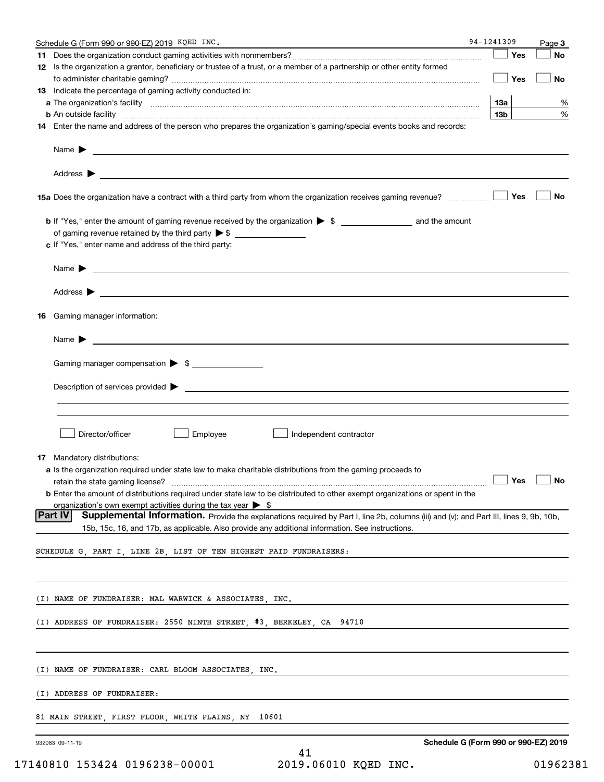|    | Schedule G (Form 990 or 990-EZ) 2019 KQED INC.                                                                                                                                                                      | 94-1241309 |            | Page 3    |
|----|---------------------------------------------------------------------------------------------------------------------------------------------------------------------------------------------------------------------|------------|------------|-----------|
|    |                                                                                                                                                                                                                     |            | Yes        | <b>No</b> |
|    | 12 Is the organization a grantor, beneficiary or trustee of a trust, or a member of a partnership or other entity formed                                                                                            |            |            |           |
|    |                                                                                                                                                                                                                     |            | $\Box$ Yes | No        |
|    | 13 Indicate the percentage of gaming activity conducted in:                                                                                                                                                         |            |            |           |
|    |                                                                                                                                                                                                                     | 13a        |            | %         |
|    | <b>b</b> An outside facility <i>www.communicality www.communicality.communicality www.communicality www.communicality.com</i>                                                                                       | 13b        |            | %         |
|    | 14 Enter the name and address of the person who prepares the organization's gaming/special events books and records:                                                                                                |            |            |           |
|    |                                                                                                                                                                                                                     |            |            |           |
|    |                                                                                                                                                                                                                     |            |            |           |
|    |                                                                                                                                                                                                                     |            | Yes        | No        |
|    |                                                                                                                                                                                                                     |            |            |           |
|    |                                                                                                                                                                                                                     |            |            |           |
|    | c If "Yes," enter name and address of the third party:                                                                                                                                                              |            |            |           |
|    |                                                                                                                                                                                                                     |            |            |           |
|    | Name $\blacktriangleright$ $\frac{1}{\sqrt{1-\frac{1}{2}}\left(1-\frac{1}{2}\right)}$                                                                                                                               |            |            |           |
|    |                                                                                                                                                                                                                     |            |            |           |
|    |                                                                                                                                                                                                                     |            |            |           |
|    |                                                                                                                                                                                                                     |            |            |           |
| 16 | Gaming manager information:                                                                                                                                                                                         |            |            |           |
|    |                                                                                                                                                                                                                     |            |            |           |
|    |                                                                                                                                                                                                                     |            |            |           |
|    |                                                                                                                                                                                                                     |            |            |           |
|    | Gaming manager compensation > \$                                                                                                                                                                                    |            |            |           |
|    |                                                                                                                                                                                                                     |            |            |           |
|    |                                                                                                                                                                                                                     |            |            |           |
|    |                                                                                                                                                                                                                     |            |            |           |
|    |                                                                                                                                                                                                                     |            |            |           |
|    |                                                                                                                                                                                                                     |            |            |           |
|    | Director/officer<br>Employee<br>Independent contractor                                                                                                                                                              |            |            |           |
|    |                                                                                                                                                                                                                     |            |            |           |
|    | 17 Mandatory distributions:                                                                                                                                                                                         |            |            |           |
|    | a Is the organization required under state law to make charitable distributions from the gaming proceeds to                                                                                                         |            |            |           |
|    | $\Box$ Yes $\Box$ No<br>retain the state gaming license?                                                                                                                                                            |            |            |           |
|    | <b>b</b> Enter the amount of distributions required under state law to be distributed to other exempt organizations or spent in the<br>organization's own exempt activities during the tax year $\triangleright$ \$ |            |            |           |
|    | ∣Part IV<br>Supplemental Information. Provide the explanations required by Part I, line 2b, columns (iii) and (v); and Part III, lines 9, 9b, 10b,                                                                  |            |            |           |
|    | 15b, 15c, 16, and 17b, as applicable. Also provide any additional information. See instructions.                                                                                                                    |            |            |           |
|    |                                                                                                                                                                                                                     |            |            |           |
|    | SCHEDULE G, PART I, LINE 2B, LIST OF TEN HIGHEST PAID FUNDRAISERS:                                                                                                                                                  |            |            |           |
|    |                                                                                                                                                                                                                     |            |            |           |
|    |                                                                                                                                                                                                                     |            |            |           |
|    |                                                                                                                                                                                                                     |            |            |           |
|    | (I) NAME OF FUNDRAISER: MAL WARWICK & ASSOCIATES, INC.                                                                                                                                                              |            |            |           |
|    |                                                                                                                                                                                                                     |            |            |           |
|    | (I) ADDRESS OF FUNDRAISER: 2550 NINTH STREET, #3, BERKELEY, CA 94710                                                                                                                                                |            |            |           |
|    |                                                                                                                                                                                                                     |            |            |           |
|    |                                                                                                                                                                                                                     |            |            |           |
|    |                                                                                                                                                                                                                     |            |            |           |
|    | (I) NAME OF FUNDRAISER: CARL BLOOM ASSOCIATES, INC.                                                                                                                                                                 |            |            |           |
|    |                                                                                                                                                                                                                     |            |            |           |
|    | (I) ADDRESS OF FUNDRAISER:                                                                                                                                                                                          |            |            |           |
|    |                                                                                                                                                                                                                     |            |            |           |
|    | 81 MAIN STREET, FIRST FLOOR, WHITE PLAINS, NY<br>10601                                                                                                                                                              |            |            |           |
|    |                                                                                                                                                                                                                     |            |            |           |
|    | Schedule G (Form 990 or 990-EZ) 2019<br>932083 09-11-19<br>41                                                                                                                                                       |            |            |           |
|    |                                                                                                                                                                                                                     |            |            |           |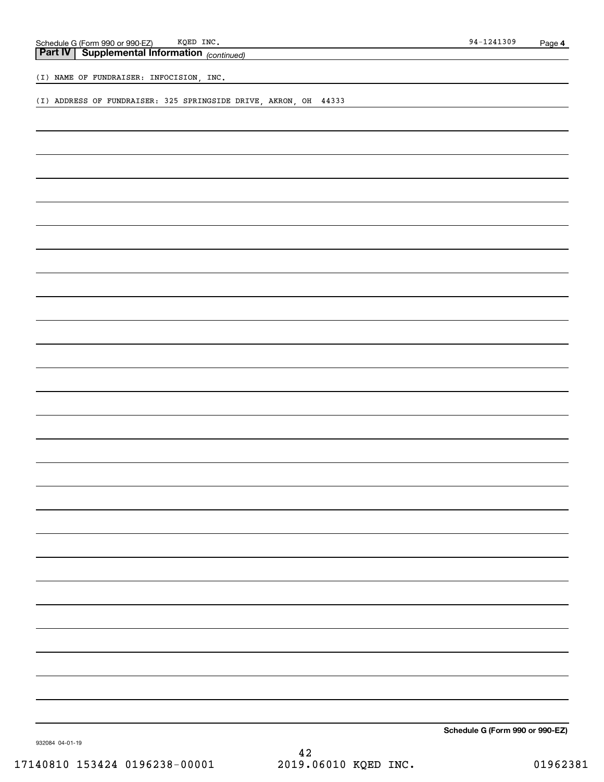*(continued)* **Part IV Supplemental Information** 

(I) NAME OF FUNDRAISER: INFOCISION, INC.

(I) ADDRESS OF FUNDRAISER: 325 SPRINGSIDE DRIVE, AKRON, OH 44333

**Schedule G (Form 990 or 990-EZ)**

932084 04-01-19

42 17140810 153424 0196238-00001 2019.06010 KQED INC. 01962381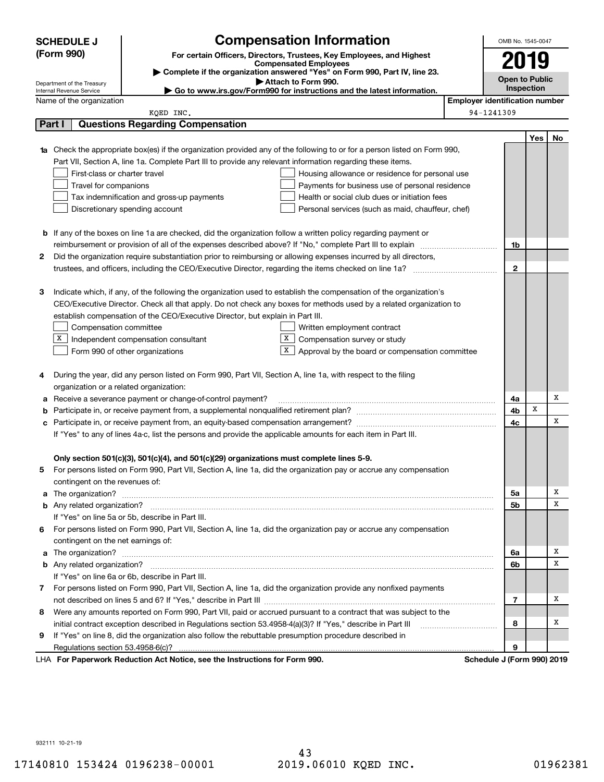|   | <b>SCHEDULE J</b>                                      | <b>Compensation Information</b>                                                                                                  |                                       | OMB No. 1545-0047          |            |    |
|---|--------------------------------------------------------|----------------------------------------------------------------------------------------------------------------------------------|---------------------------------------|----------------------------|------------|----|
|   | (Form 990)                                             | For certain Officers, Directors, Trustees, Key Employees, and Highest                                                            |                                       |                            |            |    |
|   |                                                        | <b>Compensated Employees</b>                                                                                                     |                                       |                            |            |    |
|   |                                                        | Complete if the organization answered "Yes" on Form 990, Part IV, line 23.                                                       |                                       | Open to Public             |            |    |
|   | Department of the Treasury<br>Internal Revenue Service | Attach to Form 990.<br>Go to www.irs.gov/Form990 for instructions and the latest information.                                    |                                       |                            | Inspection |    |
|   | Name of the organization                               |                                                                                                                                  | <b>Employer identification number</b> |                            |            |    |
|   |                                                        | KQED INC.                                                                                                                        |                                       | 94-1241309                 |            |    |
|   | Part I                                                 | <b>Questions Regarding Compensation</b>                                                                                          |                                       |                            |            |    |
|   |                                                        |                                                                                                                                  |                                       |                            | Yes        | No |
|   |                                                        | <b>1a</b> Check the appropriate box(es) if the organization provided any of the following to or for a person listed on Form 990, |                                       |                            |            |    |
|   |                                                        | Part VII, Section A, line 1a. Complete Part III to provide any relevant information regarding these items.                       |                                       |                            |            |    |
|   | First-class or charter travel                          | Housing allowance or residence for personal use                                                                                  |                                       |                            |            |    |
|   | Travel for companions                                  | Payments for business use of personal residence                                                                                  |                                       |                            |            |    |
|   |                                                        | Tax indemnification and gross-up payments<br>Health or social club dues or initiation fees                                       |                                       |                            |            |    |
|   |                                                        | Discretionary spending account<br>Personal services (such as maid, chauffeur, chef)                                              |                                       |                            |            |    |
|   |                                                        |                                                                                                                                  |                                       |                            |            |    |
|   |                                                        | <b>b</b> If any of the boxes on line 1a are checked, did the organization follow a written policy regarding payment or           |                                       |                            |            |    |
|   |                                                        |                                                                                                                                  |                                       | 1b                         |            |    |
| 2 |                                                        | Did the organization require substantiation prior to reimbursing or allowing expenses incurred by all directors,                 |                                       |                            |            |    |
|   |                                                        |                                                                                                                                  |                                       | $\mathbf{2}$               |            |    |
|   |                                                        |                                                                                                                                  |                                       |                            |            |    |
| З |                                                        | Indicate which, if any, of the following the organization used to establish the compensation of the organization's               |                                       |                            |            |    |
|   |                                                        | CEO/Executive Director. Check all that apply. Do not check any boxes for methods used by a related organization to               |                                       |                            |            |    |
|   |                                                        | establish compensation of the CEO/Executive Director, but explain in Part III.                                                   |                                       |                            |            |    |
|   | Compensation committee                                 | Written employment contract                                                                                                      |                                       |                            |            |    |
|   | X                                                      | X<br>Independent compensation consultant<br>Compensation survey or study                                                         |                                       |                            |            |    |
|   |                                                        | х<br>Approval by the board or compensation committee<br>Form 990 of other organizations                                          |                                       |                            |            |    |
|   |                                                        |                                                                                                                                  |                                       |                            |            |    |
|   |                                                        | During the year, did any person listed on Form 990, Part VII, Section A, line 1a, with respect to the filing                     |                                       |                            |            |    |
|   | organization or a related organization:                |                                                                                                                                  |                                       |                            |            |    |
| а |                                                        | Receive a severance payment or change-of-control payment?                                                                        |                                       | 4a                         |            | х  |
|   |                                                        |                                                                                                                                  |                                       | 4b                         | x          | x  |
|   |                                                        |                                                                                                                                  |                                       | 4c                         |            |    |
|   |                                                        | If "Yes" to any of lines 4a-c, list the persons and provide the applicable amounts for each item in Part III.                    |                                       |                            |            |    |
|   |                                                        |                                                                                                                                  |                                       |                            |            |    |
|   |                                                        | Only section 501(c)(3), 501(c)(4), and 501(c)(29) organizations must complete lines 5-9.                                         |                                       |                            |            |    |
| 5 | contingent on the revenues of:                         | For persons listed on Form 990, Part VII, Section A, line 1a, did the organization pay or accrue any compensation                |                                       |                            |            |    |
|   |                                                        |                                                                                                                                  |                                       | 5a                         |            | х  |
|   |                                                        | a The organization? <b>Manual Community Community</b> Community Community Community Community Community Community Community      |                                       | 5b                         |            | х  |
|   |                                                        | If "Yes" on line 5a or 5b, describe in Part III.                                                                                 |                                       |                            |            |    |
|   |                                                        | 6 For persons listed on Form 990, Part VII, Section A, line 1a, did the organization pay or accrue any compensation              |                                       |                            |            |    |
|   | contingent on the net earnings of:                     |                                                                                                                                  |                                       |                            |            |    |
|   |                                                        |                                                                                                                                  |                                       | 6a                         |            | х  |
|   |                                                        |                                                                                                                                  |                                       | 6b                         |            | х  |
|   |                                                        | If "Yes" on line 6a or 6b, describe in Part III.                                                                                 |                                       |                            |            |    |
|   |                                                        | 7 For persons listed on Form 990, Part VII, Section A, line 1a, did the organization provide any nonfixed payments               |                                       |                            |            |    |
|   |                                                        |                                                                                                                                  |                                       | 7                          |            | х  |
|   |                                                        | 8 Were any amounts reported on Form 990, Part VII, paid or accrued pursuant to a contract that was subject to the                |                                       |                            |            |    |
|   |                                                        |                                                                                                                                  |                                       | 8                          |            | x  |
| 9 |                                                        | If "Yes" on line 8, did the organization also follow the rebuttable presumption procedure described in                           |                                       |                            |            |    |
|   |                                                        |                                                                                                                                  |                                       | 9                          |            |    |
|   |                                                        | LHA For Paperwork Reduction Act Notice, see the Instructions for Form 990.                                                       |                                       | Schedule J (Form 990) 2019 |            |    |

932111 10-21-19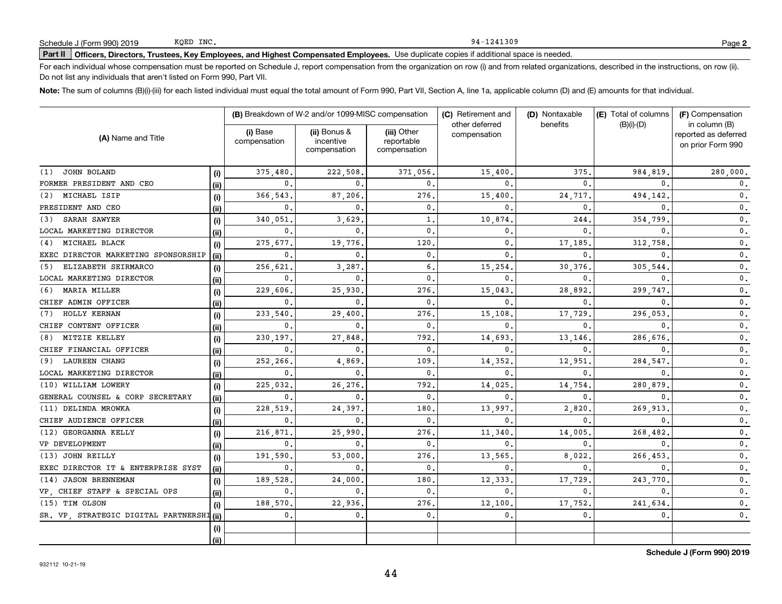#### 94-1241309

# **Part II Officers, Directors, Trustees, Key Employees, and Highest Compensated Employees.**  Schedule J (Form 990) 2019 Page Use duplicate copies if additional space is needed.

For each individual whose compensation must be reported on Schedule J, report compensation from the organization on row (i) and from related organizations, described in the instructions, on row (ii). Do not list any individuals that aren't listed on Form 990, Part VII.

**Note:**  The sum of columns (B)(i)-(iii) for each listed individual must equal the total amount of Form 990, Part VII, Section A, line 1a, applicable column (D) and (E) amounts for that individual.

|                                      |      |                          | (B) Breakdown of W-2 and/or 1099-MISC compensation |                                           | (C) Retirement and             | (D) Nontaxable | (E) Total of columns | (F) Compensation                                           |
|--------------------------------------|------|--------------------------|----------------------------------------------------|-------------------------------------------|--------------------------------|----------------|----------------------|------------------------------------------------------------|
| (A) Name and Title                   |      | (i) Base<br>compensation | (ii) Bonus &<br>incentive<br>compensation          | (iii) Other<br>reportable<br>compensation | other deferred<br>compensation | benefits       | $(B)(i)-(D)$         | in column (B)<br>reported as deferred<br>on prior Form 990 |
| (1) JOHN BOLAND                      | (i)  | 375,480.                 | 222,508                                            | 371,056                                   | 15,400                         | 375            | 984,819              | 280,000.                                                   |
| FORMER PRESIDENT AND CEO             | (ii) | 0.                       | $\Omega$                                           | $\mathbf{0}$                              | $\mathbf{0}$                   | $\mathbf{0}$   | $\Omega$             | $\mathbf{0}$ .                                             |
| MICHAEL ISIP<br>(2)                  | (i)  | 366,543                  | 87,206                                             | 276                                       | 15,400                         | 24,717         | 494,142              | 0.                                                         |
| PRESIDENT AND CEO                    | (i)  | 0.                       | 0                                                  | 0.                                        | $\mathbf{0}$                   | $\mathbf{0}$   | $\mathbf{0}$ .       | 0.                                                         |
| SARAH SAWYER<br>(3)                  | (i)  | 340,051                  | 3,629                                              | 1.                                        | 10,874                         | 244            | 354,799              | $\mathbf 0$ .                                              |
| LOCAL MARKETING DIRECTOR             | (ii) | 0.                       | $\Omega$                                           | $\mathbf 0$ .                             | $\mathbf{0}$                   | $\Omega$       | $\Omega$             | $\mathbf 0$ .                                              |
| MICHAEL BLACK<br>(4)                 | (i)  | 275,677.                 | 19,776                                             | 120                                       | $\mathbf{0}$                   | 17,185         | 312,758              | 0.                                                         |
| EXEC DIRECTOR MARKETING SPONSORSHIP  | (ii) | 0.                       | 0                                                  | 0.                                        | $\mathbf{0}$                   | $\Omega$       | $\Omega$             | 0.                                                         |
| ELIZABETH SEIRMARCO<br>(5)           | (i)  | 256.621                  | 3,287                                              | 6.                                        | 15,254                         | 30,376         | 305.544              | 0.                                                         |
| LOCAL MARKETING DIRECTOR             | (ii) | 0.                       | $\mathbf{0}$                                       | $\mathbf{0}$ .                            | 0                              | $\mathbf{0}$   | $\Omega$             | 0.                                                         |
| <b>MARIA MILLER</b><br>(6)           | (i)  | 229,606                  | 25,930                                             | 276                                       | 15,043                         | 28,892         | 299,747              | 0.                                                         |
| CHIEF ADMIN OFFICER                  | (ii) | 0.                       | 0                                                  | 0.                                        | 0                              | $\mathbf{0}$   | $\mathbf{0}$         | 0.                                                         |
| HOLLY KERNAN<br>(7)                  | (i)  | 233,540                  | 29,400                                             | 276                                       | 15,108                         | 17,729         | 296,053              | 0.                                                         |
| CHIEF CONTENT OFFICER                | (ii) | 0.                       | $\Omega$                                           | 0.                                        | 0                              | $\mathbf{0}$   | $\Omega$             | 0.                                                         |
| MITZIE KELLEY<br>(8)                 | (i)  | 230,197.                 | 27,848                                             | 792.                                      | 14,693                         | 13,146         | 286,676              | 0.                                                         |
| CHIEF FINANCIAL OFFICER              | (i)  | 0.                       | $\mathbf 0$                                        | $\mathbf{0}$                              | 0                              | $\mathbf{0}$   | $\mathbf{0}$         | 0.                                                         |
| (9) LAUREEN CHANG                    | (i)  | 252,266                  | 4,869                                              | 109                                       | 14,352                         | 12,951         | 284,547              | 0.                                                         |
| LOCAL MARKETING DIRECTOR             | (i)  | 0.                       | $\mathbf 0$                                        | $\mathbf{0}$                              | 0                              | $\mathbf{0}$   | $\mathbf{0}$         | 0.                                                         |
| (10) WILLIAM LOWERY                  | (i)  | 225,032                  | 26,276                                             | 792.                                      | 14,025                         | 14,754         | 280,879              | 0.                                                         |
| GENERAL COUNSEL & CORP SECRETARY     | (ii) | 0.                       | $\mathbf{0}$                                       | $\mathbf{0}$                              | 0                              | $\mathbf{0}$   | 0                    | 0.                                                         |
| (11) DELINDA MROWKA                  | (i)  | 228,519                  | 24,397                                             | 180                                       | 13,997                         | 2,820          | 269,913              | 0.                                                         |
| CHIEF AUDIENCE OFFICER               | (ii) | 0.                       | 0                                                  | $\mathbf{0}$                              | 0                              | $\mathbf{0}$   | 0                    | $\mathbf 0$ .                                              |
| (12) GEORGANNA KELLY                 | (i)  | 216,871                  | 25,990                                             | 276                                       | 11,340                         | 14,005         | 268,482              | $\mathbf{0}$ .                                             |
| VP DEVELOPMENT                       | (ii) | $\mathbf{0}$ .           | 0                                                  | $\mathbf{0}$                              | $\mathbf{0}$                   | $\mathbf{0}$   | $\mathbf{0}$         | $\mathbf{0}$ .                                             |
| (13) JOHN REILLY                     | (i)  | 191,590                  | 53,000                                             | 276                                       | 13,565                         | 8,022          | 266,453              | $\mathbf{0}$ .                                             |
| EXEC DIRECTOR IT & ENTERPRISE SYST   | (ii) | $\mathbf{0}$ .           | $\mathbf{0}$                                       | 0.                                        | 0.                             | $\mathbf{0}$   | $\mathbf{0}$         | $\mathbf{0}$ .                                             |
| (14) JASON BRENNEMAN                 | (i)  | 189,528,                 | 24,000                                             | 180                                       | 12,333                         | 17,729         | 243,770              | $\mathbf{0}$ .                                             |
| VP, CHIEF STAFF & SPECIAL OPS        | (ii) | $\mathbf{0}$ .           | $\mathbf{0}$ .                                     | 0.                                        | 0.                             | $\mathbf{0}$ . | $\mathbf{0}$ .       | $\mathbf{0}$ .                                             |
| (15) TIM OLSON                       | (i)  | 188,570.                 | 22,936                                             | 276.                                      | 12,100                         | 17,752.        | 241.634.             | $\mathbf 0$ .                                              |
| SR. VP, STRATEGIC DIGITAL PARTNERSHI | (ii) | $\mathbf{0}$ .           | $\mathfrak o$ .                                    | 0.                                        | 0.                             | $\mathbf 0$ .  | $\mathbf{0}$ .       | 0.                                                         |
|                                      | (i)  |                          |                                                    |                                           |                                |                |                      |                                                            |
|                                      | (ii) |                          |                                                    |                                           |                                |                |                      |                                                            |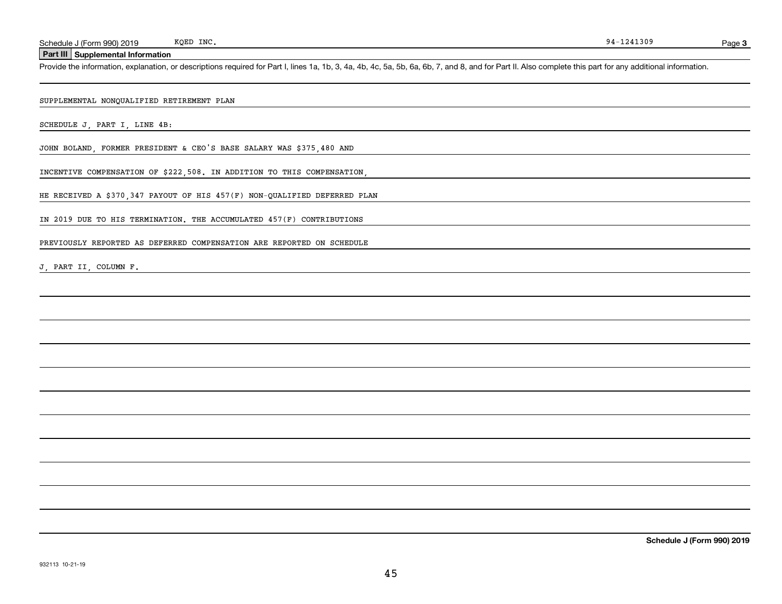#### **Part III Supplemental Information**

Schedule J (Form 990) 2019 KQED INC.<br>
Part III Supplemental Information<br>
Provide the information, explanation, or descriptions required for Part I, lines 1a, 1b, 3, 4a, 4b, 4c, 5a, 5b, 6a, 6b, 7, and 8, and for Part II. Al

SUPPLEMENTAL NONQUALIFIED RETIREMENT PLAN

SCHEDULE J, PART I, LINE 4B:

JOHN BOLAND, FORMER PRESIDENT & CEO'S BASE SALARY WAS \$375,480 AND

INCENTIVE COMPENSATION OF \$222,508. IN ADDITION TO THIS COMPENSATION,

HE RECEIVED A \$370,347 PAYOUT OF HIS 457(F) NON-QUALIFIED DEFERRED PLAN

IN 2019 DUE TO HIS TERMINATION. THE ACCUMULATED 457(F) CONTRIBUTIONS

PREVIOUSLY REPORTED AS DEFERRED COMPENSATION ARE REPORTED ON SCHEDULE

J, PART II, COLUMN F.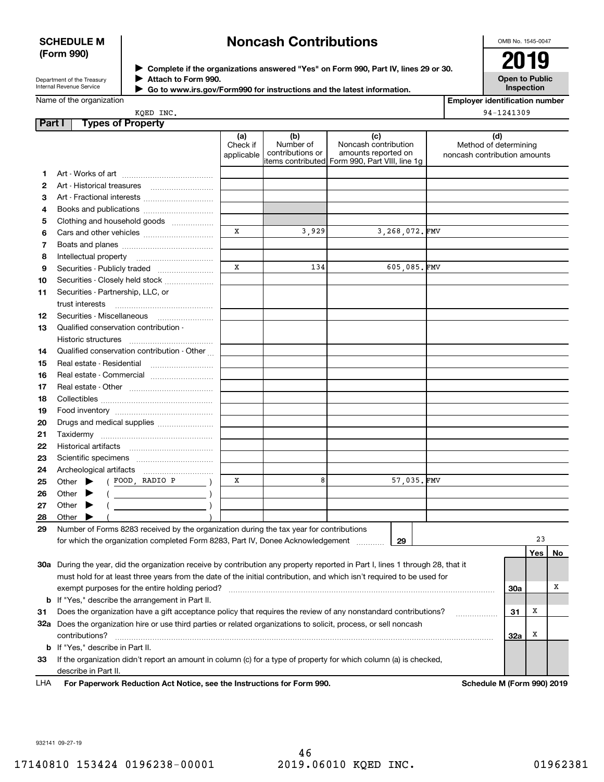#### **SCHEDULE M (Form 990)**

# **Noncash Contributions**

OMB No. 1545-0047

| Department of the Treasury      |  |
|---------------------------------|--|
| <b>Internal Revenue Service</b> |  |

**Complete if the organizations answered "Yes" on Form 990, Part IV, lines 29 or 30.** <sup>J</sup>**2019 Attach to Form 990.** J

**Open to Public Inspection**

|  | Name of the organization |
|--|--------------------------|

**Part I Types of Property**

KQED INC.

 **Go to www.irs.gov/Form990 for instructions and the latest information.** J

| nployer identification number |
|-------------------------------|
| 94-1241309                    |

| l Em |
|------|
|      |
|      |

| <b>raill</b> | i ypes or Property                                                                                                                                                                                                                                                                                                                                                                 |                               |                                      |                                                                                                      |             |                                                              |     |     |    |
|--------------|------------------------------------------------------------------------------------------------------------------------------------------------------------------------------------------------------------------------------------------------------------------------------------------------------------------------------------------------------------------------------------|-------------------------------|--------------------------------------|------------------------------------------------------------------------------------------------------|-------------|--------------------------------------------------------------|-----|-----|----|
|              |                                                                                                                                                                                                                                                                                                                                                                                    | (a)<br>Check if<br>applicable | (b)<br>Number of<br>contributions or | (c)<br>Noncash contribution<br>amounts reported on<br>items contributed Form 990, Part VIII, line 1g |             | (d)<br>Method of determining<br>noncash contribution amounts |     |     |    |
| 1.           |                                                                                                                                                                                                                                                                                                                                                                                    |                               |                                      |                                                                                                      |             |                                                              |     |     |    |
| 2            |                                                                                                                                                                                                                                                                                                                                                                                    |                               |                                      |                                                                                                      |             |                                                              |     |     |    |
| З            |                                                                                                                                                                                                                                                                                                                                                                                    |                               |                                      |                                                                                                      |             |                                                              |     |     |    |
| 4            |                                                                                                                                                                                                                                                                                                                                                                                    |                               |                                      |                                                                                                      |             |                                                              |     |     |    |
|              | Clothing and household goods                                                                                                                                                                                                                                                                                                                                                       |                               |                                      |                                                                                                      |             |                                                              |     |     |    |
| 5            | x<br>3,268,072.FMV                                                                                                                                                                                                                                                                                                                                                                 |                               |                                      |                                                                                                      |             |                                                              |     |     |    |
| 6            | 3,929                                                                                                                                                                                                                                                                                                                                                                              |                               |                                      |                                                                                                      |             |                                                              |     |     |    |
| 7            |                                                                                                                                                                                                                                                                                                                                                                                    |                               |                                      |                                                                                                      |             |                                                              |     |     |    |
| 8            |                                                                                                                                                                                                                                                                                                                                                                                    | X                             |                                      |                                                                                                      |             |                                                              |     |     |    |
| 9            | Securities - Publicly traded                                                                                                                                                                                                                                                                                                                                                       |                               | 134                                  |                                                                                                      | 605,085.FMV |                                                              |     |     |    |
| 10           | Securities - Closely held stock                                                                                                                                                                                                                                                                                                                                                    |                               |                                      |                                                                                                      |             |                                                              |     |     |    |
| 11           | Securities - Partnership, LLC, or                                                                                                                                                                                                                                                                                                                                                  |                               |                                      |                                                                                                      |             |                                                              |     |     |    |
|              |                                                                                                                                                                                                                                                                                                                                                                                    |                               |                                      |                                                                                                      |             |                                                              |     |     |    |
| 12           | Securities - Miscellaneous                                                                                                                                                                                                                                                                                                                                                         |                               |                                      |                                                                                                      |             |                                                              |     |     |    |
| 13           | Qualified conservation contribution -                                                                                                                                                                                                                                                                                                                                              |                               |                                      |                                                                                                      |             |                                                              |     |     |    |
|              | Historic structures                                                                                                                                                                                                                                                                                                                                                                |                               |                                      |                                                                                                      |             |                                                              |     |     |    |
| 14           | Qualified conservation contribution - Other                                                                                                                                                                                                                                                                                                                                        |                               |                                      |                                                                                                      |             |                                                              |     |     |    |
| 15           |                                                                                                                                                                                                                                                                                                                                                                                    |                               |                                      |                                                                                                      |             |                                                              |     |     |    |
| 16           | Real estate - Commercial                                                                                                                                                                                                                                                                                                                                                           |                               |                                      |                                                                                                      |             |                                                              |     |     |    |
| 17           |                                                                                                                                                                                                                                                                                                                                                                                    |                               |                                      |                                                                                                      |             |                                                              |     |     |    |
| 18           |                                                                                                                                                                                                                                                                                                                                                                                    |                               |                                      |                                                                                                      |             |                                                              |     |     |    |
| 19           |                                                                                                                                                                                                                                                                                                                                                                                    |                               |                                      |                                                                                                      |             |                                                              |     |     |    |
| 20           | Drugs and medical supplies                                                                                                                                                                                                                                                                                                                                                         |                               |                                      |                                                                                                      |             |                                                              |     |     |    |
| 21           |                                                                                                                                                                                                                                                                                                                                                                                    |                               |                                      |                                                                                                      |             |                                                              |     |     |    |
| 22           |                                                                                                                                                                                                                                                                                                                                                                                    |                               |                                      |                                                                                                      |             |                                                              |     |     |    |
| 23           |                                                                                                                                                                                                                                                                                                                                                                                    |                               |                                      |                                                                                                      |             |                                                              |     |     |    |
| 24           |                                                                                                                                                                                                                                                                                                                                                                                    |                               |                                      |                                                                                                      |             |                                                              |     |     |    |
| 25           | ( FOOD, RADIO P<br>Other $\blacktriangleright$                                                                                                                                                                                                                                                                                                                                     | x                             | 8                                    |                                                                                                      | 57,035.FMV  |                                                              |     |     |    |
| 26           | $\begin{picture}(150,10) \put(0,0){\line(1,0){10}} \put(15,0){\line(1,0){10}} \put(15,0){\line(1,0){10}} \put(15,0){\line(1,0){10}} \put(15,0){\line(1,0){10}} \put(15,0){\line(1,0){10}} \put(15,0){\line(1,0){10}} \put(15,0){\line(1,0){10}} \put(15,0){\line(1,0){10}} \put(15,0){\line(1,0){10}} \put(15,0){\line(1,0){10}} \put(15,0){\line($<br>Other $\blacktriangleright$ |                               |                                      |                                                                                                      |             |                                                              |     |     |    |
| 27           | Other $\blacktriangleright$                                                                                                                                                                                                                                                                                                                                                        |                               |                                      |                                                                                                      |             |                                                              |     |     |    |
| 28           | Other<br>▸                                                                                                                                                                                                                                                                                                                                                                         |                               |                                      |                                                                                                      |             |                                                              |     |     |    |
| 29           | Number of Forms 8283 received by the organization during the tax year for contributions                                                                                                                                                                                                                                                                                            |                               |                                      |                                                                                                      |             |                                                              |     |     |    |
|              | for which the organization completed Form 8283, Part IV, Donee Acknowledgement<br>29                                                                                                                                                                                                                                                                                               |                               |                                      |                                                                                                      |             |                                                              | 23  |     |    |
|              |                                                                                                                                                                                                                                                                                                                                                                                    |                               |                                      |                                                                                                      |             |                                                              |     | Yes | No |
|              |                                                                                                                                                                                                                                                                                                                                                                                    |                               |                                      |                                                                                                      |             |                                                              |     |     |    |
|              | 30a During the year, did the organization receive by contribution any property reported in Part I, lines 1 through 28, that it                                                                                                                                                                                                                                                     |                               |                                      |                                                                                                      |             |                                                              |     |     |    |
|              | must hold for at least three years from the date of the initial contribution, and which isn't required to be used for                                                                                                                                                                                                                                                              |                               |                                      |                                                                                                      |             |                                                              | 30a |     | х  |
|              |                                                                                                                                                                                                                                                                                                                                                                                    |                               |                                      |                                                                                                      |             |                                                              |     |     |    |
|              | <b>b</b> If "Yes," describe the arrangement in Part II.                                                                                                                                                                                                                                                                                                                            |                               |                                      |                                                                                                      |             |                                                              | 31  | X   |    |
| 31           | Does the organization have a gift acceptance policy that requires the review of any nonstandard contributions?<br>.<br>32a Does the organization hire or use third parties or related organizations to solicit, process, or sell noncash                                                                                                                                           |                               |                                      |                                                                                                      |             |                                                              |     |     |    |
|              |                                                                                                                                                                                                                                                                                                                                                                                    |                               |                                      |                                                                                                      |             |                                                              |     | x   |    |
|              |                                                                                                                                                                                                                                                                                                                                                                                    |                               |                                      |                                                                                                      |             |                                                              | 32a |     |    |
|              | b If "Yes," describe in Part II.                                                                                                                                                                                                                                                                                                                                                   |                               |                                      |                                                                                                      |             |                                                              |     |     |    |
| 33           | If the organization didn't report an amount in column (c) for a type of property for which column (a) is checked,                                                                                                                                                                                                                                                                  |                               |                                      |                                                                                                      |             |                                                              |     |     |    |
|              | describe in Part II.                                                                                                                                                                                                                                                                                                                                                               |                               |                                      |                                                                                                      |             |                                                              |     |     |    |
| LHA          | For Paperwork Reduction Act Notice, see the Instructions for Form 990.                                                                                                                                                                                                                                                                                                             |                               |                                      |                                                                                                      |             | Schedule M (Form 990) 2019                                   |     |     |    |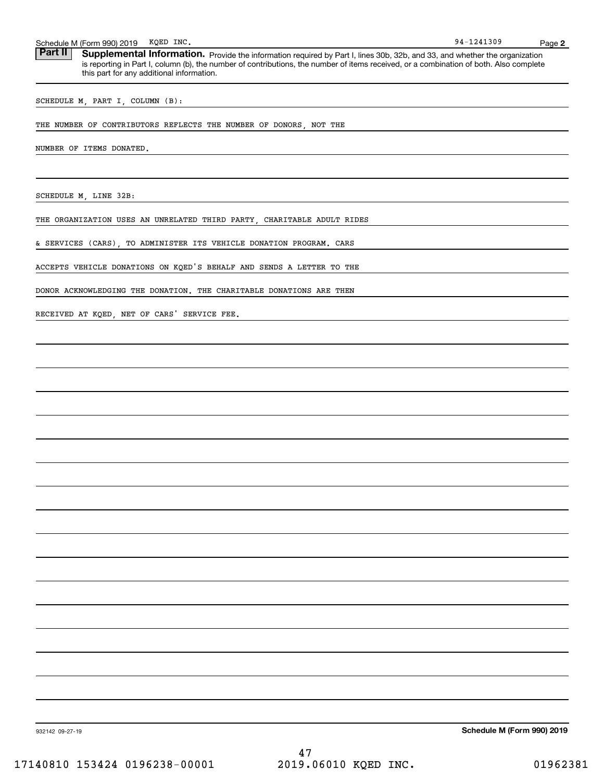Part II | Supplemental Information. Provide the information required by Part I, lines 30b, 32b, and 33, and whether the organization is reporting in Part I, column (b), the number of contributions, the number of items received, or a combination of both. Also complete this part for any additional information.

SCHEDULE M, PART I, COLUMN (B):

THE NUMBER OF CONTRIBUTORS REFLECTS THE NUMBER OF DONORS, NOT THE

NUMBER OF ITEMS DONATED.

SCHEDULE M, LINE 32B:

THE ORGANIZATION USES AN UNRELATED THIRD PARTY, CHARITABLE ADULT RIDES

& SERVICES (CARS), TO ADMINISTER ITS VEHICLE DONATION PROGRAM. CARS

ACCEPTS VEHICLE DONATIONS ON KQED'S BEHALF AND SENDS A LETTER TO THE

DONOR ACKNOWLEDGING THE DONATION. THE CHARITABLE DONATIONS ARE THEN

RECEIVED AT KQED, NET OF CARS' SERVICE FEE.

**Schedule M (Form 990) 2019**

932142 09-27-19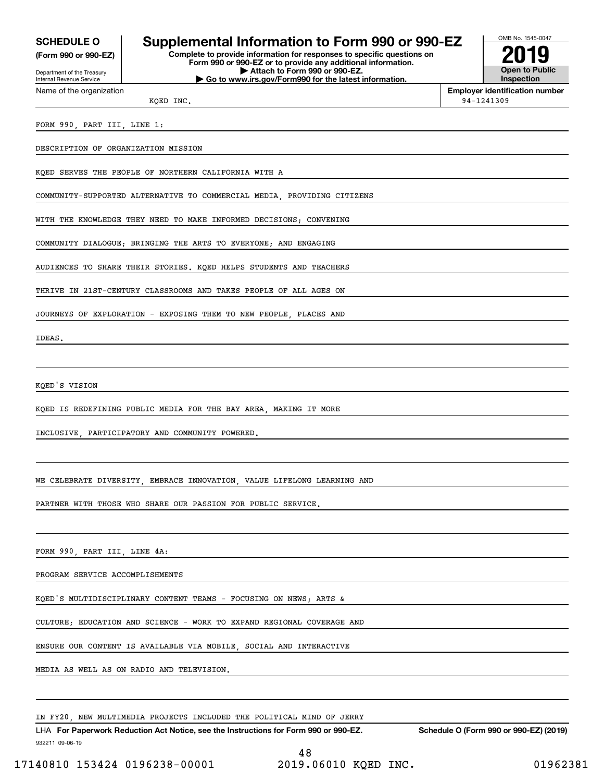**(Form 990 or 990-EZ)**

#### Department of the Treasury Internal Revenue Service Name of the organization

## **SCHEDULE O Supplemental Information to Form 990 or 990-EZ**

**Complete to provide information for responses to specific questions on Form 990 or 990-EZ or to provide any additional information. | Attach to Form 990 or 990-EZ. | Go to www.irs.gov/Form990 for the latest information.**



**Employer identification number**

KQED INC. 94-1241309

FORM 990, PART III, LINE 1:

DESCRIPTION OF ORGANIZATION MISSION

KQED SERVES THE PEOPLE OF NORTHERN CALIFORNIA WITH A

COMMUNITY-SUPPORTED ALTERNATIVE TO COMMERCIAL MEDIA, PROVIDING CITIZENS

WITH THE KNOWLEDGE THEY NEED TO MAKE INFORMED DECISIONS; CONVENING

COMMUNITY DIALOGUE; BRINGING THE ARTS TO EVERYONE; AND ENGAGING

AUDIENCES TO SHARE THEIR STORIES. KQED HELPS STUDENTS AND TEACHERS

THRIVE IN 21ST-CENTURY CLASSROOMS AND TAKES PEOPLE OF ALL AGES ON

JOURNEYS OF EXPLORATION - EXPOSING THEM TO NEW PEOPLE, PLACES AND

IDEAS.

KQED'S VISION

KQED IS REDEFINING PUBLIC MEDIA FOR THE BAY AREA, MAKING IT MORE

INCLUSIVE, PARTICIPATORY AND COMMUNITY POWERED.

WE CELEBRATE DIVERSITY, EMBRACE INNOVATION, VALUE LIFELONG LEARNING AND

PARTNER WITH THOSE WHO SHARE OUR PASSION FOR PUBLIC SERVICE.

FORM 990, PART III, LINE 4A:

PROGRAM SERVICE ACCOMPLISHMENTS

KQED'S MULTIDISCIPLINARY CONTENT TEAMS - FOCUSING ON NEWS; ARTS &

CULTURE; EDUCATION AND SCIENCE - WORK TO EXPAND REGIONAL COVERAGE AND

ENSURE OUR CONTENT IS AVAILABLE VIA MOBILE, SOCIAL AND INTERACTIVE

MEDIA AS WELL AS ON RADIO AND TELEVISION.

IN FY20, NEW MULTIMEDIA PROJECTS INCLUDED THE POLITICAL MIND OF JERRY

932211 09-06-19 LHA For Paperwork Reduction Act Notice, see the Instructions for Form 990 or 990-EZ. Schedule O (Form 990 or 990-EZ) (2019)

48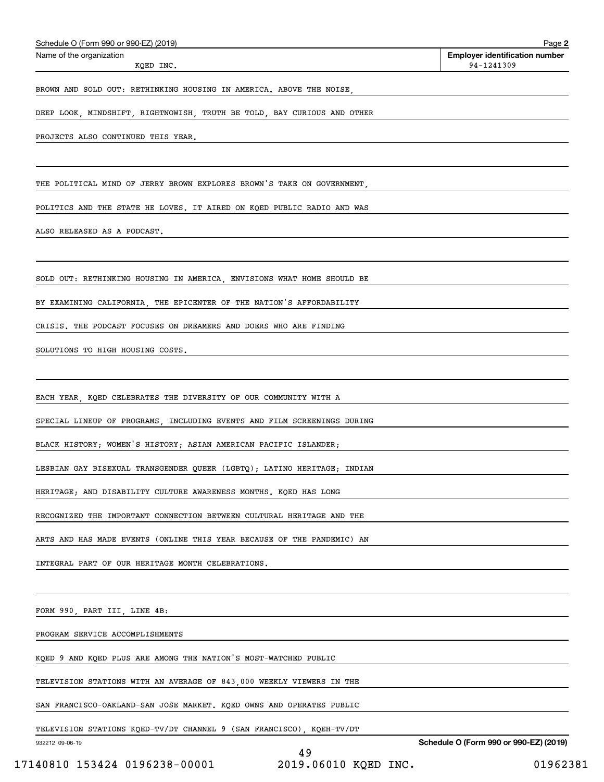| Schedule O (Form 990 or 990-EZ) (2019)                                  | Page 2                                              |
|-------------------------------------------------------------------------|-----------------------------------------------------|
| Name of the organization<br>KQED INC.                                   | <b>Employer identification number</b><br>94-1241309 |
| BROWN AND SOLD OUT: RETHINKING HOUSING IN AMERICA. ABOVE THE NOISE,     |                                                     |
| DEEP LOOK, MINDSHIFT, RIGHTNOWISH, TRUTH BE TOLD, BAY CURIOUS AND OTHER |                                                     |
| PROJECTS ALSO CONTINUED THIS YEAR.                                      |                                                     |
| THE POLITICAL MIND OF JERRY BROWN EXPLORES BROWN'S TAKE ON GOVERNMENT,  |                                                     |
| POLITICS AND THE STATE HE LOVES. IT AIRED ON KQED PUBLIC RADIO AND WAS  |                                                     |
| ALSO RELEASED AS A PODCAST.                                             |                                                     |
| SOLD OUT: RETHINKING HOUSING IN AMERICA, ENVISIONS WHAT HOME SHOULD BE  |                                                     |
| BY EXAMINING CALIFORNIA. THE EPICENTER OF THE NATION'S AFFORDABILITY    |                                                     |
| CRISIS. THE PODCAST FOCUSES ON DREAMERS AND DOERS WHO ARE FINDING       |                                                     |
| SOLUTIONS TO HIGH HOUSING COSTS.                                        |                                                     |
|                                                                         |                                                     |
| EACH YEAR, KQED CELEBRATES THE DIVERSITY OF OUR COMMUNITY WITH A        |                                                     |
| SPECIAL LINEUP OF PROGRAMS, INCLUDING EVENTS AND FILM SCREENINGS DURING |                                                     |
| BLACK HISTORY; WOMEN'S HISTORY; ASIAN AMERICAN PACIFIC ISLANDER;        |                                                     |
| LESBIAN GAY BISEXUAL TRANSGENDER QUEER (LGBTQ); LATINO HERITAGE; INDIAN |                                                     |
| HERITAGE; AND DISABILITY CULTURE AWARENESS MONTHS. KQED HAS LONG        |                                                     |
| RECOGNIZED THE IMPORTANT CONNECTION BETWEEN CULTURAL HERITAGE AND THE   |                                                     |
| ARTS AND HAS MADE EVENTS (ONLINE THIS YEAR BECAUSE OF THE PANDEMIC) AN  |                                                     |
| INTEGRAL PART OF OUR HERITAGE MONTH CELEBRATIONS.                       |                                                     |
|                                                                         |                                                     |
| FORM 990, PART III, LINE 4B:                                            |                                                     |
| PROGRAM SERVICE ACCOMPLISHMENTS                                         |                                                     |
| KQED 9 AND KQED PLUS ARE AMONG THE NATION'S MOST-WATCHED PUBLIC         |                                                     |
| TELEVISION STATIONS WITH AN AVERAGE OF 843,000 WEEKLY VIEWERS IN THE    |                                                     |
| SAN FRANCISCO-OAKLAND-SAN JOSE MARKET. KQED OWNS AND OPERATES PUBLIC    |                                                     |
| TELEVISION STATIONS KQED-TV/DT CHANNEL 9 (SAN FRANCISCO), KQEH-TV/DT    |                                                     |
| 932212 09-06-19                                                         | Schedule O (Form 990 or 990-EZ) (2019)              |

49 17140810 153424 0196238-00001 2019.06010 KQED INC. 01962381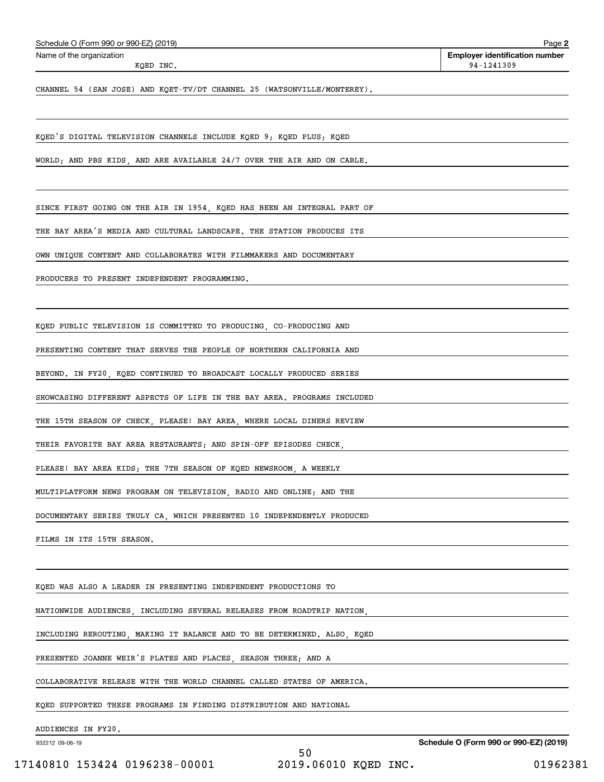|  |  | Schedule O (Form 990 or 990-EZ) (2019) |  |  |
|--|--|----------------------------------------|--|--|
|--|--|----------------------------------------|--|--|

KQED INC.  $94-1241309$ 

**2Employer identification number** Schedule O (Form 990 or 990-EZ) (2019)<br>Name of the organization **purplement of the organization number** Name of the organization **Page Name of the organization** 

CHANNEL 54 (SAN JOSE) AND KQET-TV/DT CHANNEL 25 (WATSONVILLE/MONTEREY).

KQED'S DIGITAL TELEVISION CHANNELS INCLUDE KQED 9; KQED PLUS; KQED

WORLD; AND PBS KIDS, AND ARE AVAILABLE 24/7 OVER THE AIR AND ON CABLE.

SINCE FIRST GOING ON THE AIR IN 1954, KQED HAS BEEN AN INTEGRAL PART OF

THE BAY AREA'S MEDIA AND CULTURAL LANDSCAPE. THE STATION PRODUCES ITS

OWN UNIQUE CONTENT AND COLLABORATES WITH FILMMAKERS AND DOCUMENTARY

PRODUCERS TO PRESENT INDEPENDENT PROGRAMMING.

KQED PUBLIC TELEVISION IS COMMITTED TO PRODUCING, CO-PRODUCING AND

PRESENTING CONTENT THAT SERVES THE PEOPLE OF NORTHERN CALIFORNIA AND

BEYOND. IN FY20, KQED CONTINUED TO BROADCAST LOCALLY PRODUCED SERIES

SHOWCASING DIFFERENT ASPECTS OF LIFE IN THE BAY AREA. PROGRAMS INCLUDED

THE 15TH SEASON OF CHECK, PLEASE! BAY AREA, WHERE LOCAL DINERS REVIEW

THEIR FAVORITE BAY AREA RESTAURANTS; AND SPIN-OFF EPISODES CHECK,

PLEASE! BAY AREA KIDS; THE 7TH SEASON OF KQED NEWSROOM, A WEEKLY

MULTIPLATFORM NEWS PROGRAM ON TELEVISION, RADIO AND ONLINE; AND THE

DOCUMENTARY SERIES TRULY CA, WHICH PRESENTED 10 INDEPENDENTLY PRODUCED

FILMS IN ITS 15TH SEASON.

KQED WAS ALSO A LEADER IN PRESENTING INDEPENDENT PRODUCTIONS TO

NATIONWIDE AUDIENCES, INCLUDING SEVERAL RELEASES FROM ROADTRIP NATION,

INCLUDING REROUTING, MAKING IT BALANCE AND TO BE DETERMINED. ALSO, KQED

PRESENTED JOANNE WEIR'S PLATES AND PLACES, SEASON THREE; AND A

COLLABORATIVE RELEASE WITH THE WORLD CHANNEL CALLED STATES OF AMERICA.

KQED SUPPORTED THESE PROGRAMS IN FINDING DISTRIBUTION AND NATIONAL

AUDIENCES IN FY20.

932212 09-06-19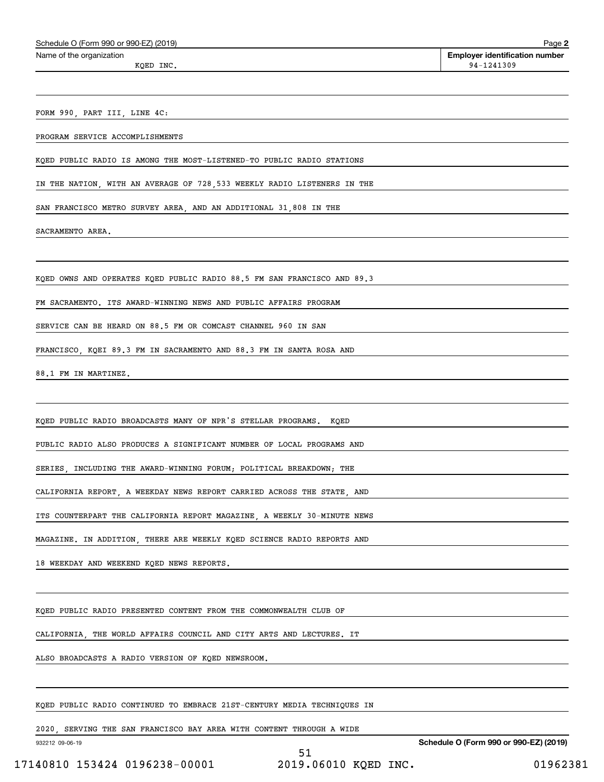| Schedule O (Form 990 or 990-EZ) (2019) |  |  |  |  |  |
|----------------------------------------|--|--|--|--|--|
|----------------------------------------|--|--|--|--|--|

**2Employer identification number** Schedule O (Form 990 or 990-EZ) (2019)<br>Name of the organization **purplement of the organization number** Name of the organization **Page Name of the organization** KQED INC. 94-1241309

#### FORM 990, PART III, LINE 4C:

PROGRAM SERVICE ACCOMPLISHMENTS

KQED PUBLIC RADIO IS AMONG THE MOST-LISTENED-TO PUBLIC RADIO STATIONS

IN THE NATION, WITH AN AVERAGE OF 728,533 WEEKLY RADIO LISTENERS IN THE

SAN FRANCISCO METRO SURVEY AREA, AND AN ADDITIONAL 31,808 IN THE

SACRAMENTO AREA.

KQED OWNS AND OPERATES KQED PUBLIC RADIO 88.5 FM SAN FRANCISCO AND 89.3

FM SACRAMENTO. ITS AWARD-WINNING NEWS AND PUBLIC AFFAIRS PROGRAM

SERVICE CAN BE HEARD ON 88.5 FM OR COMCAST CHANNEL 960 IN SAN

FRANCISCO, KQEI 89.3 FM IN SACRAMENTO AND 88.3 FM IN SANTA ROSA AND

88.1 FM IN MARTINEZ.

KQED PUBLIC RADIO BROADCASTS MANY OF NPR'S STELLAR PROGRAMS. KQED

PUBLIC RADIO ALSO PRODUCES A SIGNIFICANT NUMBER OF LOCAL PROGRAMS AND

SERIES, INCLUDING THE AWARD-WINNING FORUM; POLITICAL BREAKDOWN; THE

CALIFORNIA REPORT, A WEEKDAY NEWS REPORT CARRIED ACROSS THE STATE, AND

ITS COUNTERPART THE CALIFORNIA REPORT MAGAZINE, A WEEKLY 30-MINUTE NEWS

MAGAZINE. IN ADDITION, THERE ARE WEEKLY KQED SCIENCE RADIO REPORTS AND

18 WEEKDAY AND WEEKEND KQED NEWS REPORTS.

KQED PUBLIC RADIO PRESENTED CONTENT FROM THE COMMONWEALTH CLUB OF

CALIFORNIA, THE WORLD AFFAIRS COUNCIL AND CITY ARTS AND LECTURES. IT

ALSO BROADCASTS A RADIO VERSION OF KQED NEWSROOM.

KQED PUBLIC RADIO CONTINUED TO EMBRACE 21ST-CENTURY MEDIA TECHNIQUES IN

2020, SERVING THE SAN FRANCISCO BAY AREA WITH CONTENT THROUGH A WIDE

932212 09-06-19

51 17140810 153424 0196238-00001 2019.06010 KQED INC. 01962381

**Schedule O (Form 990 or 990-EZ) (2019)**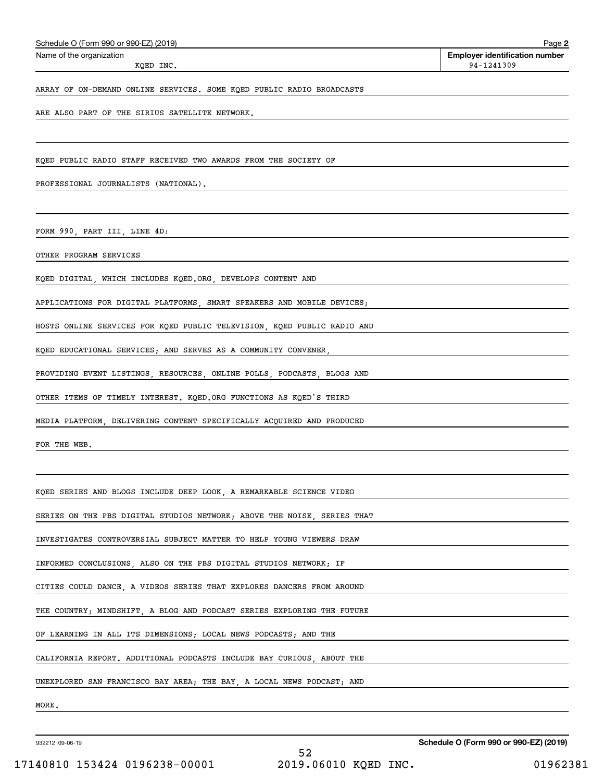| Schedule O (Form 990 or 990-EZ) (2019)                                  | Page 2                                              |
|-------------------------------------------------------------------------|-----------------------------------------------------|
| Name of the organization<br>KQED INC.                                   | <b>Employer identification number</b><br>94-1241309 |
| ARRAY OF ON-DEMAND ONLINE SERVICES. SOME KQED PUBLIC RADIO BROADCASTS   |                                                     |
| ARE ALSO PART OF THE SIRIUS SATELLITE NETWORK.                          |                                                     |
| KQED PUBLIC RADIO STAFF RECEIVED TWO AWARDS FROM THE SOCIETY OF         |                                                     |
| PROFESSIONAL JOURNALISTS (NATIONAL).                                    |                                                     |
| FORM 990, PART III, LINE 4D:                                            |                                                     |
| OTHER PROGRAM SERVICES                                                  |                                                     |
| KQED DIGITAL, WHICH INCLUDES KQED.ORG, DEVELOPS CONTENT AND             |                                                     |
| APPLICATIONS FOR DIGITAL PLATFORMS, SMART SPEAKERS AND MOBILE DEVICES;  |                                                     |
| HOSTS ONLINE SERVICES FOR KQED PUBLIC TELEVISION, KQED PUBLIC RADIO AND |                                                     |
| KQED EDUCATIONAL SERVICES; AND SERVES AS A COMMUNITY CONVENER,          |                                                     |
| PROVIDING EVENT LISTINGS, RESOURCES, ONLINE POLLS, PODCASTS, BLOGS AND  |                                                     |
| OTHER ITEMS OF TIMELY INTEREST. KQED.ORG FUNCTIONS AS KQED'S THIRD      |                                                     |
| MEDIA PLATFORM, DELIVERING CONTENT SPECIFICALLY ACQUIRED AND PRODUCED   |                                                     |
| FOR THE WEB.                                                            |                                                     |
| KQED SERIES AND BLOGS INCLUDE DEEP LOOK, A REMARKABLE SCIENCE VIDEO     |                                                     |
| SERIES ON THE PBS DIGITAL STUDIOS NETWORK; ABOVE THE NOISE, SERIES THAT |                                                     |
| INVESTIGATES CONTROVERSIAL SUBJECT MATTER TO HELP YOUNG VIEWERS DRAW    |                                                     |
| INFORMED CONCLUSIONS, ALSO ON THE PBS DIGITAL STUDIOS NETWORK; IF       |                                                     |
| CITIES COULD DANCE, A VIDEOS SERIES THAT EXPLORES DANCERS FROM AROUND   |                                                     |
| THE COUNTRY; MINDSHIFT, A BLOG AND PODCAST SERIES EXPLORING THE FUTURE  |                                                     |
| OF LEARNING IN ALL ITS DIMENSIONS; LOCAL NEWS PODCASTS; AND THE         |                                                     |
| CALIFORNIA REPORT. ADDITIONAL PODCASTS INCLUDE BAY CURIOUS, ABOUT THE   |                                                     |
| UNEXPLORED SAN FRANCISCO BAY AREA; THE BAY, A LOCAL NEWS PODCAST; AND   |                                                     |
| MORE.                                                                   |                                                     |

932212 09-06-19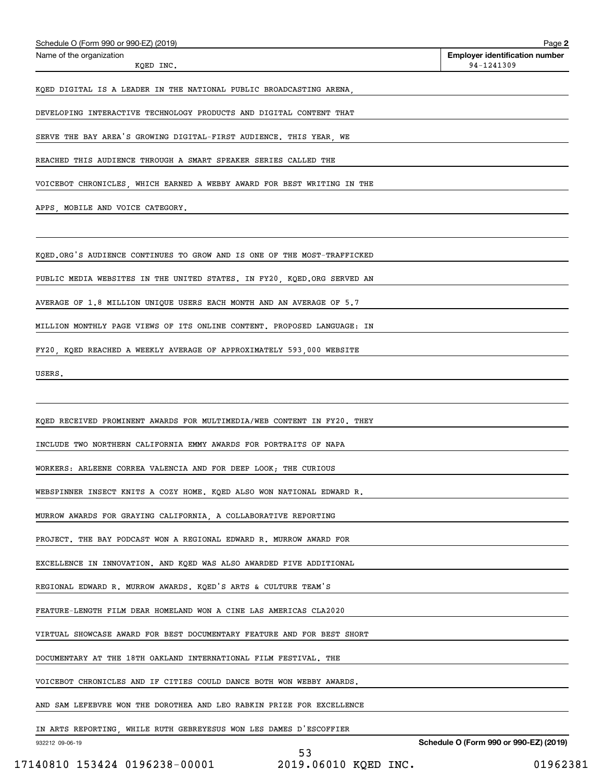| Schedule O (Form 990 or 990-EZ) (2019)                                  | Page 2                                              |
|-------------------------------------------------------------------------|-----------------------------------------------------|
| Name of the organization<br>KQED INC.                                   | <b>Employer identification number</b><br>94-1241309 |
| KQED DIGITAL IS A LEADER IN THE NATIONAL PUBLIC BROADCASTING ARENA,     |                                                     |
| DEVELOPING INTERACTIVE TECHNOLOGY PRODUCTS AND DIGITAL CONTENT THAT     |                                                     |
| SERVE THE BAY AREA'S GROWING DIGITAL-FIRST AUDIENCE. THIS YEAR, WE      |                                                     |
| REACHED THIS AUDIENCE THROUGH A SMART SPEAKER SERIES CALLED THE         |                                                     |
| VOICEBOT CHRONICLES, WHICH EARNED A WEBBY AWARD FOR BEST WRITING IN THE |                                                     |
| APPS, MOBILE AND VOICE CATEGORY.                                        |                                                     |
|                                                                         |                                                     |
| KQED.ORG'S AUDIENCE CONTINUES TO GROW AND IS ONE OF THE MOST-TRAFFICKED |                                                     |
| PUBLIC MEDIA WEBSITES IN THE UNITED STATES. IN FY20, KQED.ORG SERVED AN |                                                     |
| AVERAGE OF 1.8 MILLION UNIQUE USERS EACH MONTH AND AN AVERAGE OF 5.7    |                                                     |
| MILLION MONTHLY PAGE VIEWS OF ITS ONLINE CONTENT. PROPOSED LANGUAGE: IN |                                                     |
| FY20, KQED REACHED A WEEKLY AVERAGE OF APPROXIMATELY 593,000 WEBSITE    |                                                     |
| USERS.                                                                  |                                                     |
|                                                                         |                                                     |
| KQED RECEIVED PROMINENT AWARDS FOR MULTIMEDIA/WEB CONTENT IN FY20. THEY |                                                     |
| INCLUDE TWO NORTHERN CALIFORNIA EMMY AWARDS FOR PORTRAITS OF NAPA       |                                                     |
| WORKERS: ARLEENE CORREA VALENCIA AND FOR DEEP LOOK; THE CURIOUS         |                                                     |
| WEBSPINNER INSECT KNITS A COZY HOME. KQED ALSO WON NATIONAL EDWARD R.   |                                                     |
| MURROW AWARDS FOR GRAYING CALIFORNIA, A COLLABORATIVE REPORTING         |                                                     |
| PROJECT. THE BAY PODCAST WON A REGIONAL EDWARD R. MURROW AWARD FOR      |                                                     |
| EXCELLENCE IN INNOVATION. AND KQED WAS ALSO AWARDED FIVE ADDITIONAL     |                                                     |
| REGIONAL EDWARD R. MURROW AWARDS. KQED'S ARTS & CULTURE TEAM'S          |                                                     |
| FEATURE-LENGTH FILM DEAR HOMELAND WON A CINE LAS AMERICAS CLA2020       |                                                     |
| VIRTUAL SHOWCASE AWARD FOR BEST DOCUMENTARY FEATURE AND FOR BEST SHORT  |                                                     |
| DOCUMENTARY AT THE 18TH OAKLAND INTERNATIONAL FILM FESTIVAL. THE        |                                                     |
| VOICEBOT CHRONICLES AND IF CITIES COULD DANCE BOTH WON WEBBY AWARDS.    |                                                     |
| AND SAM LEFEBVRE WON THE DOROTHEA AND LEO RABKIN PRIZE FOR EXCELLENCE   |                                                     |
| IN ARTS REPORTING, WHILE RUTH GEBREYESUS WON LES DAMES D'ESCOFFIER      |                                                     |
| 932212 09-06-19<br>53                                                   | Schedule O (Form 990 or 990-EZ) (2019)              |

<sup>2019.06010</sup> KQED INC. 17140810 153424 0196238-00001 2019.06010 KQED INC. 01962381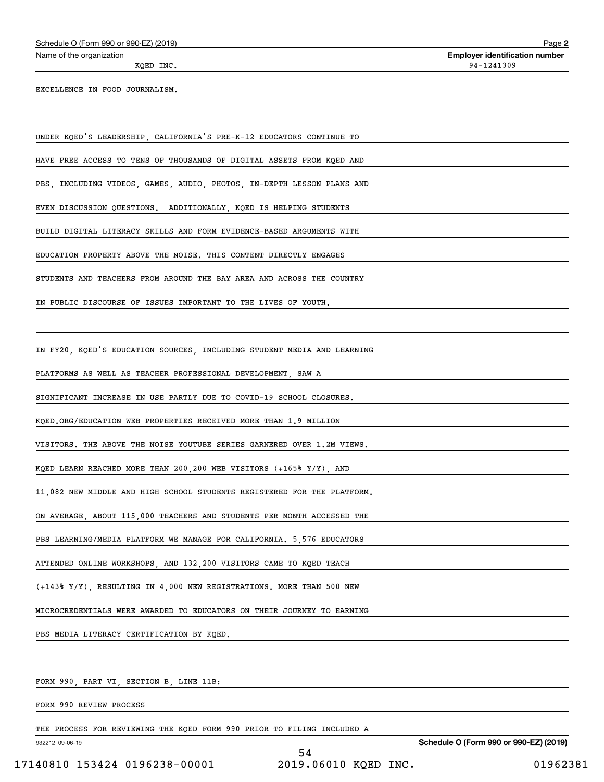**2Employer identification number** Schedule O (Form 990 or 990-EZ) (2019)<br>Name of the organization **purplement of the organization number** Name of the organization **Page Name of the organization** KQED INC.  $94-1241309$ 

EXCELLENCE IN FOOD JOURNALISM.

UNDER KQED'S LEADERSHIP, CALIFORNIA'S PRE-K-12 EDUCATORS CONTINUE TO

HAVE FREE ACCESS TO TENS OF THOUSANDS OF DIGITAL ASSETS FROM KQED AND

PBS, INCLUDING VIDEOS, GAMES, AUDIO, PHOTOS, IN-DEPTH LESSON PLANS AND

EVEN DISCUSSION QUESTIONS. ADDITIONALLY, KQED IS HELPING STUDENTS

BUILD DIGITAL LITERACY SKILLS AND FORM EVIDENCE-BASED ARGUMENTS WITH

EDUCATION PROPERTY ABOVE THE NOISE. THIS CONTENT DIRECTLY ENGAGES

STUDENTS AND TEACHERS FROM AROUND THE BAY AREA AND ACROSS THE COUNTRY

IN PUBLIC DISCOURSE OF ISSUES IMPORTANT TO THE LIVES OF YOUTH.

IN FY20, KQED'S EDUCATION SOURCES, INCLUDING STUDENT MEDIA AND LEARNING

PLATFORMS AS WELL AS TEACHER PROFESSIONAL DEVELOPMENT, SAW A

SIGNIFICANT INCREASE IN USE PARTLY DUE TO COVID-19 SCHOOL CLOSURES.

KQED.ORG/EDUCATION WEB PROPERTIES RECEIVED MORE THAN 1.9 MILLION

VISITORS. THE ABOVE THE NOISE YOUTUBE SERIES GARNERED OVER 1.2M VIEWS.

KQED LEARN REACHED MORE THAN 200,200 WEB VISITORS (+165% Y/Y), AND

11,082 NEW MIDDLE AND HIGH SCHOOL STUDENTS REGISTERED FOR THE PLATFORM.

ON AVERAGE, ABOUT 115,000 TEACHERS AND STUDENTS PER MONTH ACCESSED THE

PBS LEARNING/MEDIA PLATFORM WE MANAGE FOR CALIFORNIA. 5,576 EDUCATORS

ATTENDED ONLINE WORKSHOPS, AND 132,200 VISITORS CAME TO KQED TEACH

(+143% Y/Y), RESULTING IN 4,000 NEW REGISTRATIONS. MORE THAN 500 NEW

MICROCREDENTIALS WERE AWARDED TO EDUCATORS ON THEIR JOURNEY TO EARNING

PBS MEDIA LITERACY CERTIFICATION BY KQED.

FORM 990, PART VI, SECTION B, LINE 11B:

FORM 990 REVIEW PROCESS

THE PROCESS FOR REVIEWING THE KQED FORM 990 PRIOR TO FILING INCLUDED A

932212 09-06-19

54 17140810 153424 0196238-00001 2019.06010 KQED INC. 01962381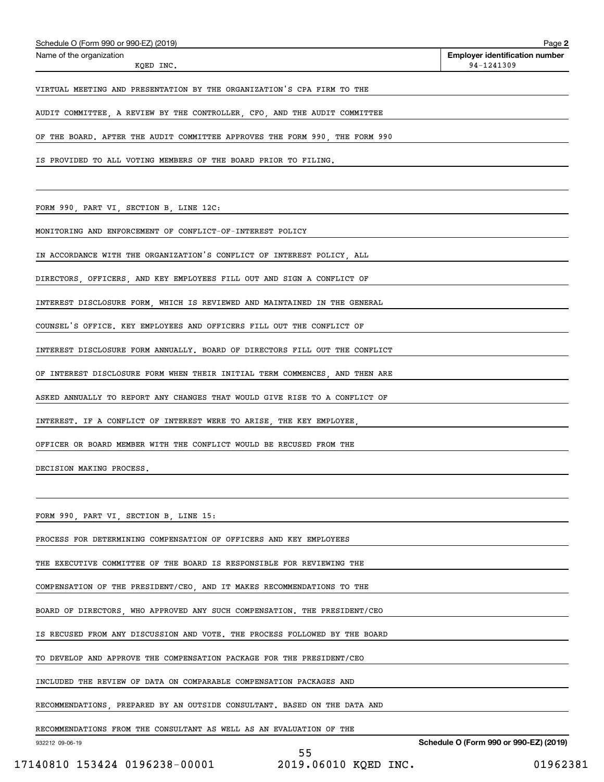| Schedule O (Form 990 or 990-EZ) (2019)                                      | Page 2                                              |
|-----------------------------------------------------------------------------|-----------------------------------------------------|
| Name of the organization<br>KQED INC.                                       | <b>Employer identification number</b><br>94-1241309 |
| VIRTUAL MEETING AND PRESENTATION BY THE ORGANIZATION'S CPA FIRM TO THE      |                                                     |
| AUDIT COMMITTEE, A REVIEW BY THE CONTROLLER, CFO, AND THE AUDIT COMMITTEE   |                                                     |
| OF THE BOARD. AFTER THE AUDIT COMMITTEE APPROVES THE FORM 990, THE FORM 990 |                                                     |
| IS PROVIDED TO ALL VOTING MEMBERS OF THE BOARD PRIOR TO FILING.             |                                                     |
|                                                                             |                                                     |
| FORM 990, PART VI, SECTION B, LINE 12C:                                     |                                                     |
| MONITORING AND ENFORCEMENT OF CONFLICT-OF-INTEREST POLICY                   |                                                     |
| IN ACCORDANCE WITH THE ORGANIZATION'S CONFLICT OF INTEREST POLICY, ALL      |                                                     |
| DIRECTORS, OFFICERS, AND KEY EMPLOYEES FILL OUT AND SIGN A CONFLICT OF      |                                                     |
| INTEREST DISCLOSURE FORM, WHICH IS REVIEWED AND MAINTAINED IN THE GENERAL   |                                                     |
| COUNSEL'S OFFICE. KEY EMPLOYEES AND OFFICERS FILL OUT THE CONFLICT OF       |                                                     |
| INTEREST DISCLOSURE FORM ANNUALLY. BOARD OF DIRECTORS FILL OUT THE CONFLICT |                                                     |
| OF INTEREST DISCLOSURE FORM WHEN THEIR INITIAL TERM COMMENCES, AND THEN ARE |                                                     |
| ASKED ANNUALLY TO REPORT ANY CHANGES THAT WOULD GIVE RISE TO A CONFLICT OF  |                                                     |
| INTEREST. IF A CONFLICT OF INTEREST WERE TO ARISE, THE KEY EMPLOYEE,        |                                                     |
| OFFICER OR BOARD MEMBER WITH THE CONFLICT WOULD BE RECUSED FROM THE         |                                                     |
| DECISION MAKING PROCESS.                                                    |                                                     |
|                                                                             |                                                     |
| FORM 990, PART VI, SECTION B, LINE 15:                                      |                                                     |
| PROCESS FOR DETERMINING COMPENSATION OF OFFICERS AND KEY EMPLOYEES          |                                                     |
| THE EXECUTIVE COMMITTEE OF THE BOARD IS RESPONSIBLE FOR REVIEWING THE       |                                                     |
| COMPENSATION OF THE PRESIDENT/CEO, AND IT MAKES RECOMMENDATIONS TO THE      |                                                     |
| BOARD OF DIRECTORS, WHO APPROVED ANY SUCH COMPENSATION. THE PRESIDENT/CEO   |                                                     |
| IS RECUSED FROM ANY DISCUSSION AND VOTE. THE PROCESS FOLLOWED BY THE BOARD  |                                                     |
| TO DEVELOP AND APPROVE THE COMPENSATION PACKAGE FOR THE PRESIDENT/CEO       |                                                     |
| INCLUDED THE REVIEW OF DATA ON COMPARABLE COMPENSATION PACKAGES AND         |                                                     |
| RECOMMENDATIONS, PREPARED BY AN OUTSIDE CONSULTANT. BASED ON THE DATA AND   |                                                     |
| RECOMMENDATIONS FROM THE CONSULTANT AS WELL AS AN EVALUATION OF THE         |                                                     |
| 932212 09-06-19                                                             | Schedule O (Form 990 or 990-EZ) (2019)              |

55<br>2019.06010 KQED INC.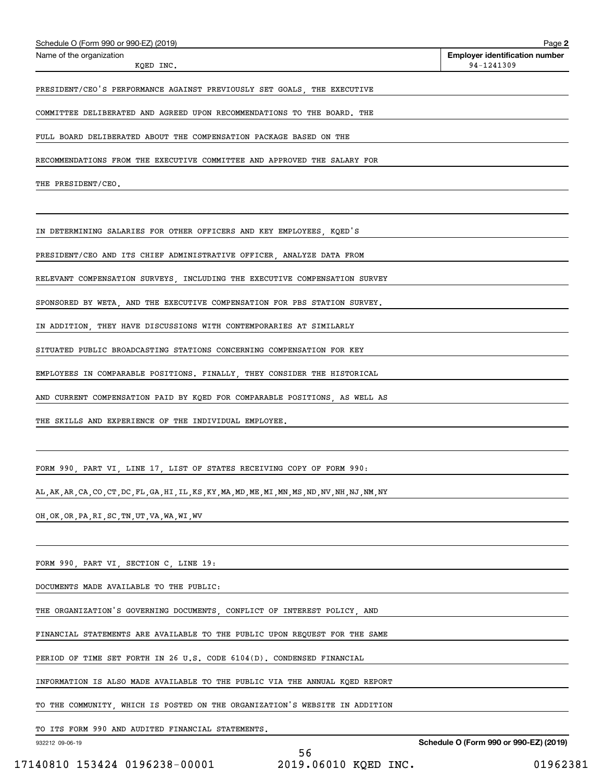| Schedule O (Form 990 or 990-EZ) (2019)                                                             | Page 2                                              |
|----------------------------------------------------------------------------------------------------|-----------------------------------------------------|
| Name of the organization<br>KQED INC.                                                              | <b>Employer identification number</b><br>94-1241309 |
| PRESIDENT/CEO'S PERFORMANCE AGAINST PREVIOUSLY SET GOALS, THE EXECUTIVE                            |                                                     |
| COMMITTEE DELIBERATED AND AGREED UPON RECOMMENDATIONS TO THE BOARD. THE                            |                                                     |
| FULL BOARD DELIBERATED ABOUT THE COMPENSATION PACKAGE BASED ON THE                                 |                                                     |
| RECOMMENDATIONS FROM THE EXECUTIVE COMMITTEE AND APPROVED THE SALARY FOR                           |                                                     |
| THE PRESIDENT/CEO.                                                                                 |                                                     |
| IN DETERMINING SALARIES FOR OTHER OFFICERS AND KEY EMPLOYEES, KQED'S                               |                                                     |
| PRESIDENT/CEO AND ITS CHIEF ADMINISTRATIVE OFFICER, ANALYZE DATA FROM                              |                                                     |
| RELEVANT COMPENSATION SURVEYS, INCLUDING THE EXECUTIVE COMPENSATION SURVEY                         |                                                     |
| SPONSORED BY WETA, AND THE EXECUTIVE COMPENSATION FOR PBS STATION SURVEY.                          |                                                     |
| IN ADDITION, THEY HAVE DISCUSSIONS WITH CONTEMPORARIES AT SIMILARLY                                |                                                     |
| SITUATED PUBLIC BROADCASTING STATIONS CONCERNING COMPENSATION FOR KEY                              |                                                     |
| EMPLOYEES IN COMPARABLE POSITIONS. FINALLY, THEY CONSIDER THE HISTORICAL                           |                                                     |
| AND CURRENT COMPENSATION PAID BY KQED FOR COMPARABLE POSITIONS. AS WELL AS                         |                                                     |
| THE SKILLS AND EXPERIENCE OF THE INDIVIDUAL EMPLOYEE.                                              |                                                     |
| FORM 990, PART VI, LINE 17, LIST OF STATES RECEIVING COPY OF FORM 990:                             |                                                     |
| AL, AK, AR, CA, CO, CT, DC, FL, GA, HI, IL, KS, KY, MA, MD, ME, MI, MN, MS, ND, NV, NH, NJ, NM, NY |                                                     |
| OH, OK, OR, PA, RI, SC, TN, UT, VA, WA, WI, WV                                                     |                                                     |

FORM 990, PART VI, SECTION C, LINE 19:

DOCUMENTS MADE AVAILABLE TO THE PUBLIC:

THE ORGANIZATION'S GOVERNING DOCUMENTS, CONFLICT OF INTEREST POLICY, AND

FINANCIAL STATEMENTS ARE AVAILABLE TO THE PUBLIC UPON REQUEST FOR THE SAME

PERIOD OF TIME SET FORTH IN 26 U.S. CODE 6104(D). CONDENSED FINANCIAL

INFORMATION IS ALSO MADE AVAILABLE TO THE PUBLIC VIA THE ANNUAL KQED REPORT

TO THE COMMUNITY, WHICH IS POSTED ON THE ORGANIZATION'S WEBSITE IN ADDITION

TO ITS FORM 990 AND AUDITED FINANCIAL STATEMENTS.

932212 09-06-19

**Schedule O (Form 990 or 990-EZ) (2019)**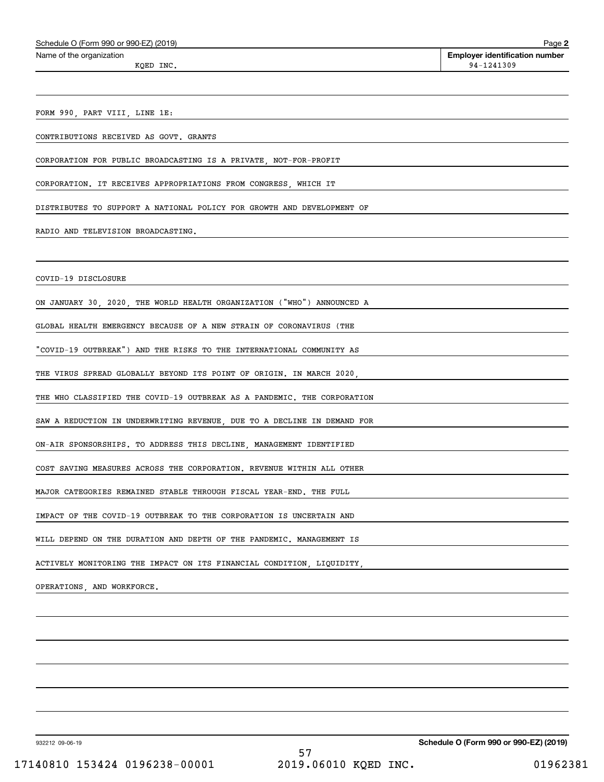| Schedule O (Form 990 or 990-EZ) (2019) |
|----------------------------------------|
|----------------------------------------|

**2**Echedule O (Form 990 or 990-EZ) (2019)<br>Name of the organization **number** Name of the organization **page Name of the organization number** KQED INC.  $94-1241309$ 

FORM 990, PART VIII, LINE 1E:

CONTRIBUTIONS RECEIVED AS GOVT. GRANTS

CORPORATION FOR PUBLIC BROADCASTING IS A PRIVATE, NOT-FOR-PROFIT

CORPORATION. IT RECEIVES APPROPRIATIONS FROM CONGRESS, WHICH IT

DISTRIBUTES TO SUPPORT A NATIONAL POLICY FOR GROWTH AND DEVELOPMENT OF

RADIO AND TELEVISION BROADCASTING.

COVID-19 DISCLOSURE

ON JANUARY 30, 2020, THE WORLD HEALTH ORGANIZATION ("WHO") ANNOUNCED A

GLOBAL HEALTH EMERGENCY BECAUSE OF A NEW STRAIN OF CORONAVIRUS (THE

"COVID-19 OUTBREAK") AND THE RISKS TO THE INTERNATIONAL COMMUNITY AS

THE VIRUS SPREAD GLOBALLY BEYOND ITS POINT OF ORIGIN. IN MARCH 2020,

THE WHO CLASSIFIED THE COVID-19 OUTBREAK AS A PANDEMIC. THE CORPORATION

SAW A REDUCTION IN UNDERWRITING REVENUE, DUE TO A DECLINE IN DEMAND FOR

ON-AIR SPONSORSHIPS. TO ADDRESS THIS DECLINE, MANAGEMENT IDENTIFIED

COST SAVING MEASURES ACROSS THE CORPORATION. REVENUE WITHIN ALL OTHER

MAJOR CATEGORIES REMAINED STABLE THROUGH FISCAL YEAR-END. THE FULL

IMPACT OF THE COVID-19 OUTBREAK TO THE CORPORATION IS UNCERTAIN AND

WILL DEPEND ON THE DURATION AND DEPTH OF THE PANDEMIC. MANAGEMENT IS

ACTIVELY MONITORING THE IMPACT ON ITS FINANCIAL CONDITION, LIQUIDITY,

OPERATIONS, AND WORKFORCE.

932212 09-06-19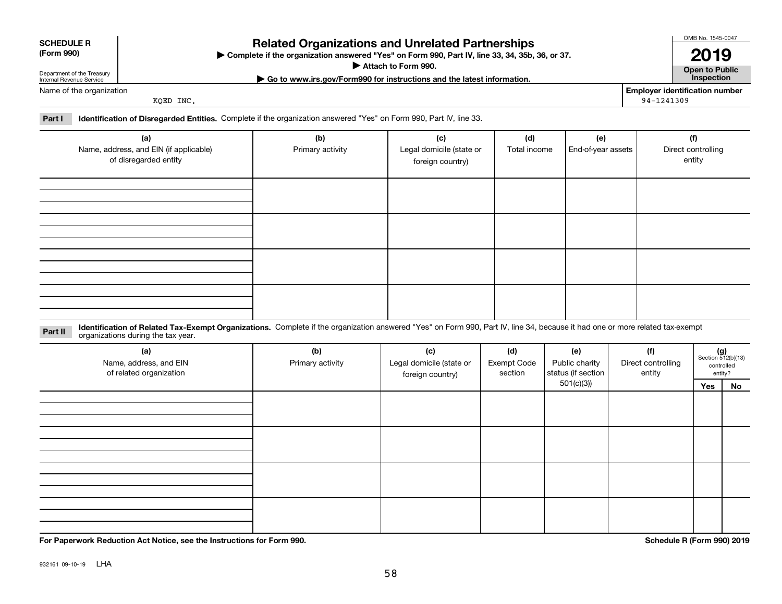|  | Department of the Treasury |  |
|--|----------------------------|--|
|  | Internal Revenue Service   |  |

**SCHEDULE R (Form 990)**

# **Related Organizations and Unrelated Partnerships**

**Complete if the organization answered "Yes" on Form 990, Part IV, line 33, 34, 35b, 36, or 37.** |

**Attach to Form 990.**  |

**| Go to www.irs.gov/Form990 for instructions and the latest information. Inspection**

OMB No. 1545-0047

**Open to Public 2019**

Name of the organization

KQED INC.  $94-1241309$ 

**Employer identification number**

**Part I Identification of Disregarded Entities.**  Complete if the organization answered "Yes" on Form 990, Part IV, line 33.

| (a)<br>Name, address, and EIN (if applicable)<br>of disregarded entity | (b)<br>Primary activity | (c)<br>Legal domicile (state or<br>foreign country) | (d)<br>Total income | (e)<br>End-of-year assets | (f)<br>Direct controlling<br>entity |
|------------------------------------------------------------------------|-------------------------|-----------------------------------------------------|---------------------|---------------------------|-------------------------------------|
|                                                                        |                         |                                                     |                     |                           |                                     |
|                                                                        |                         |                                                     |                     |                           |                                     |
|                                                                        |                         |                                                     |                     |                           |                                     |
|                                                                        |                         |                                                     |                     |                           |                                     |

**Identification of Related Tax-Exempt Organizations.** Complete if the organization answered "Yes" on Form 990, Part IV, line 34, because it had one or more related tax-exempt **Part II** organizations during the tax year.

| (a)<br>Name, address, and EIN<br>of related organization | (b)<br>Primary activity | (c)<br>Legal domicile (state or<br>foreign country) | (d)<br><b>Exempt Code</b><br>section | (e)<br>Public charity<br>status (if section | (f)<br>Direct controlling<br>entity |     | $(g)$<br>Section 512(b)(13)<br>controlled<br>entity? |
|----------------------------------------------------------|-------------------------|-----------------------------------------------------|--------------------------------------|---------------------------------------------|-------------------------------------|-----|------------------------------------------------------|
|                                                          |                         |                                                     |                                      | 501(c)(3)                                   |                                     | Yes | No                                                   |
|                                                          |                         |                                                     |                                      |                                             |                                     |     |                                                      |
|                                                          |                         |                                                     |                                      |                                             |                                     |     |                                                      |
|                                                          |                         |                                                     |                                      |                                             |                                     |     |                                                      |
|                                                          |                         |                                                     |                                      |                                             |                                     |     |                                                      |

**For Paperwork Reduction Act Notice, see the Instructions for Form 990. Schedule R (Form 990) 2019**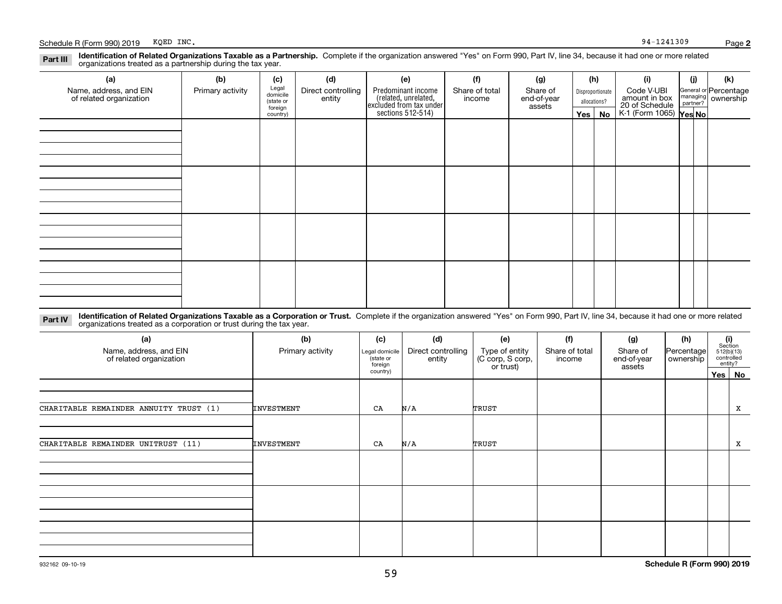#### **Identification of Related Organizations Taxable as a Partnership.** Complete if the organization answered "Yes" on Form 990, Part IV, line 34, because it had one or more related **Part III** organizations treated as a partnership during the tax year.

| (a)                                               | (b)                  | (c)               | (d)                          | (e)                                                                 | (f)                      | (g)                     |     | (h)              | (i)                                                       | (j) | (k)                                                     |
|---------------------------------------------------|----------------------|-------------------|------------------------------|---------------------------------------------------------------------|--------------------------|-------------------------|-----|------------------|-----------------------------------------------------------|-----|---------------------------------------------------------|
| Name, address, and EIN<br>of related organization | Primary activity     | Legal<br>domicile | Direct controlling<br>entity | Predominant income                                                  | Share of total<br>income | Share of<br>end-of-year |     | Disproportionate | Code V-UBI                                                |     | General or Percentage<br>managing ownership<br>partner? |
|                                                   | (state or<br>foreign |                   |                              |                                                                     | assets                   | allocations?            |     |                  |                                                           |     |                                                         |
|                                                   |                      | country)          |                              | related, unrelated,<br>excluded from tax under<br>sections 512-514) |                          |                         | Yes | No               | amount in box<br>20 of Schedule<br>K-1 (Form 1065) Yes No |     |                                                         |
|                                                   |                      |                   |                              |                                                                     |                          |                         |     |                  |                                                           |     |                                                         |
|                                                   |                      |                   |                              |                                                                     |                          |                         |     |                  |                                                           |     |                                                         |
|                                                   |                      |                   |                              |                                                                     |                          |                         |     |                  |                                                           |     |                                                         |
|                                                   |                      |                   |                              |                                                                     |                          |                         |     |                  |                                                           |     |                                                         |
|                                                   |                      |                   |                              |                                                                     |                          |                         |     |                  |                                                           |     |                                                         |
|                                                   |                      |                   |                              |                                                                     |                          |                         |     |                  |                                                           |     |                                                         |
|                                                   |                      |                   |                              |                                                                     |                          |                         |     |                  |                                                           |     |                                                         |
|                                                   |                      |                   |                              |                                                                     |                          |                         |     |                  |                                                           |     |                                                         |
|                                                   |                      |                   |                              |                                                                     |                          |                         |     |                  |                                                           |     |                                                         |
|                                                   |                      |                   |                              |                                                                     |                          |                         |     |                  |                                                           |     |                                                         |
|                                                   |                      |                   |                              |                                                                     |                          |                         |     |                  |                                                           |     |                                                         |
|                                                   |                      |                   |                              |                                                                     |                          |                         |     |                  |                                                           |     |                                                         |
|                                                   |                      |                   |                              |                                                                     |                          |                         |     |                  |                                                           |     |                                                         |
|                                                   |                      |                   |                              |                                                                     |                          |                         |     |                  |                                                           |     |                                                         |
|                                                   |                      |                   |                              |                                                                     |                          |                         |     |                  |                                                           |     |                                                         |
|                                                   |                      |                   |                              |                                                                     |                          |                         |     |                  |                                                           |     |                                                         |
|                                                   |                      |                   |                              |                                                                     |                          |                         |     |                  |                                                           |     |                                                         |

**Identification of Related Organizations Taxable as a Corporation or Trust.** Complete if the organization answered "Yes" on Form 990, Part IV, line 34, because it had one or more related **Part IV** organizations treated as a corporation or trust during the tax year.

| (a)<br>Name, address, and EIN<br>of related organization | (b)<br>Primary activity | (c)<br>Legal domicile<br>state or<br>foreign | (d)<br>Direct controlling<br>entity | (e)<br>Type of entity<br>(C corp, S corp,<br>or trust) | (f)<br>Share of total<br>income | (g)<br>Share of<br>end-of-year<br>assets | (h)<br>Percentage<br>ownership | (i)<br>Section | 512(b)(13)<br>controlled<br>entity? |
|----------------------------------------------------------|-------------------------|----------------------------------------------|-------------------------------------|--------------------------------------------------------|---------------------------------|------------------------------------------|--------------------------------|----------------|-------------------------------------|
|                                                          |                         | country)                                     |                                     |                                                        |                                 |                                          |                                |                | Yes   No                            |
| CHARITABLE REMAINDER ANNUITY TRUST (1)                   | INVESTMENT              | CA                                           | N/A                                 | TRUST                                                  |                                 |                                          |                                |                | x                                   |
|                                                          |                         |                                              |                                     |                                                        |                                 |                                          |                                |                |                                     |
| CHARITABLE REMAINDER UNITRUST (11)                       | INVESTMENT              | CA                                           | N/A                                 | <b>TRUST</b>                                           |                                 |                                          |                                |                | x                                   |
|                                                          |                         |                                              |                                     |                                                        |                                 |                                          |                                |                |                                     |
|                                                          |                         |                                              |                                     |                                                        |                                 |                                          |                                |                |                                     |
|                                                          |                         |                                              |                                     |                                                        |                                 |                                          |                                |                |                                     |
|                                                          |                         |                                              |                                     |                                                        |                                 |                                          |                                |                |                                     |
|                                                          |                         |                                              |                                     |                                                        |                                 |                                          |                                |                |                                     |
|                                                          |                         |                                              |                                     |                                                        |                                 |                                          |                                |                |                                     |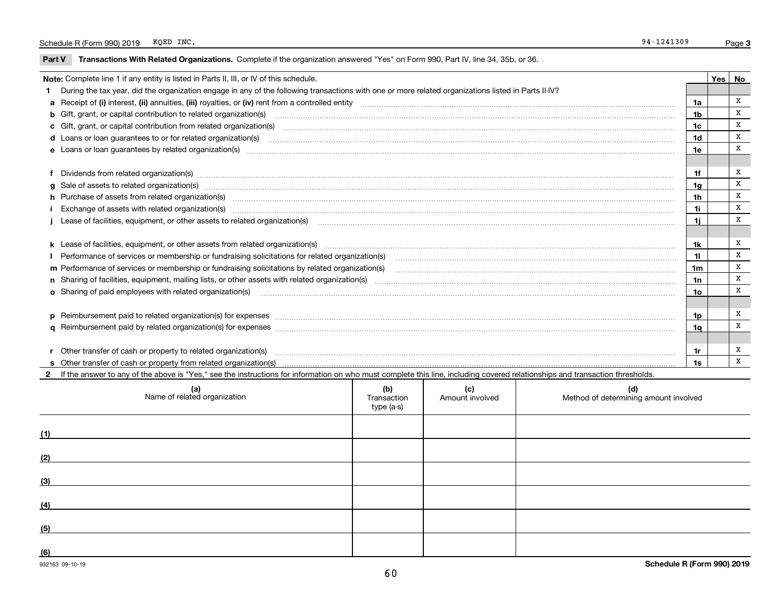$\overline{\phantom{a}}$ 

**Part V** T**ransactions With Related Organizations.** Complete if the organization answered "Yes" on Form 990, Part IV, line 34, 35b, or 36.

| Note: Complete line 1 if any entity is listed in Parts II, III, or IV of this schedule.                                                                                                                                        |                | Yes   No |             |
|--------------------------------------------------------------------------------------------------------------------------------------------------------------------------------------------------------------------------------|----------------|----------|-------------|
| 1 During the tax year, did the organization engage in any of the following transactions with one or more related organizations listed in Parts II-IV?                                                                          |                |          |             |
|                                                                                                                                                                                                                                | 1a             |          | x           |
| b Gift, grant, or capital contribution to related organization(s) manufactured content and contribution to related organization(s)                                                                                             | 1 <sub>b</sub> |          | X           |
| c Gift, grant, or capital contribution from related organization(s) manufaction content to content and contribution from related organization(s) manufaction content and contribution from related organization(s) manufaction | 1c             |          | X           |
|                                                                                                                                                                                                                                | 1 <sub>d</sub> |          | x           |
|                                                                                                                                                                                                                                | 1e             |          | X           |
|                                                                                                                                                                                                                                |                |          |             |
| f Dividends from related organization(s) manufactured contains and contained and contained contained and contained and contained and contained and contained and contained and contained and contained and contained and conta | 1f             |          | X           |
| g Sale of assets to related organization(s) www.assettion.com/www.assettion.com/www.assettion.com/www.assettion.com/www.assettion.com/www.assettion.com/www.assettion.com/www.assettion.com/www.assettion.com/www.assettion.co | 1 <sub>q</sub> |          | x           |
| h Purchase of assets from related organization(s) www.andron.com/www.andron.com/www.andron.com/www.andron.com/www.andron.com/www.andron.com/www.andron.com/www.andron.com/www.andron.com/www.andron.com/www.andron.com/www.and | 1 <sub>h</sub> |          | X           |
|                                                                                                                                                                                                                                | -1i            |          | X           |
|                                                                                                                                                                                                                                | 1j             |          | x           |
|                                                                                                                                                                                                                                |                |          |             |
|                                                                                                                                                                                                                                | 1k             |          | х           |
|                                                                                                                                                                                                                                | 11             |          | X           |
|                                                                                                                                                                                                                                | 1 <sub>m</sub> |          | $\mathbf x$ |
|                                                                                                                                                                                                                                | 1n             |          | X           |
| <b>o</b> Sharing of paid employees with related organization(s)                                                                                                                                                                | 1o             |          | X           |
|                                                                                                                                                                                                                                |                |          |             |
| p Reimbursement paid to related organization(s) for expenses [11111] [12] manufacture manufacture manufacture manufacture manufacture manufacture manufacture manufacture manufacture manufacture manufacture manufacture manu | 1p             |          | x           |
|                                                                                                                                                                                                                                | 1q             |          | X           |
|                                                                                                                                                                                                                                |                |          |             |
| r Other transfer of cash or property to related organization(s)                                                                                                                                                                | 1r             |          | X           |
|                                                                                                                                                                                                                                | 1s             |          | x           |
| 2 If the answer to any of the above is "Yes," see the instructions for information on who must complete this line, including covered relationships and transaction thresholds.                                                 |                |          |             |

| (a)<br>Name of related organization | (b)<br>Transaction<br>type (a-s) | (c)<br>Amount involved | (d)<br>Method of determining amount involved |
|-------------------------------------|----------------------------------|------------------------|----------------------------------------------|
| (1)                                 |                                  |                        |                                              |
| (2)                                 |                                  |                        |                                              |
| (3)                                 |                                  |                        |                                              |
| (4)                                 |                                  |                        |                                              |
| (5)                                 |                                  |                        |                                              |
| (6)                                 |                                  |                        |                                              |